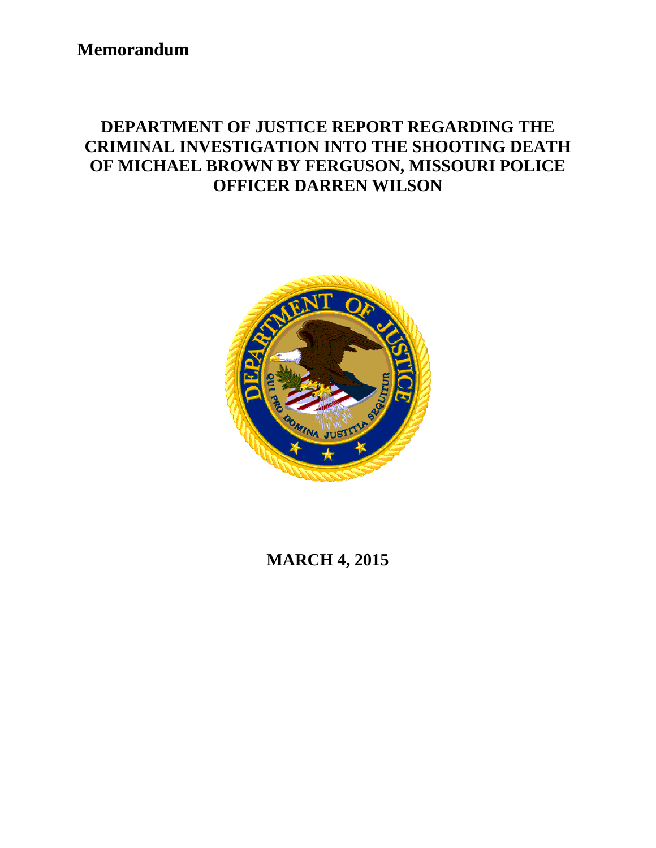**Memorandum** 

# **DEPARTMENT OF JUSTICE REPORT REGARDING THE CRIMINAL INVESTIGATION INTO THE SHOOTING DEATH OF MICHAEL BROWN BY FERGUSON, MISSOURI POLICE OFFICER DARREN WILSON**



# **MARCH 4, 2015**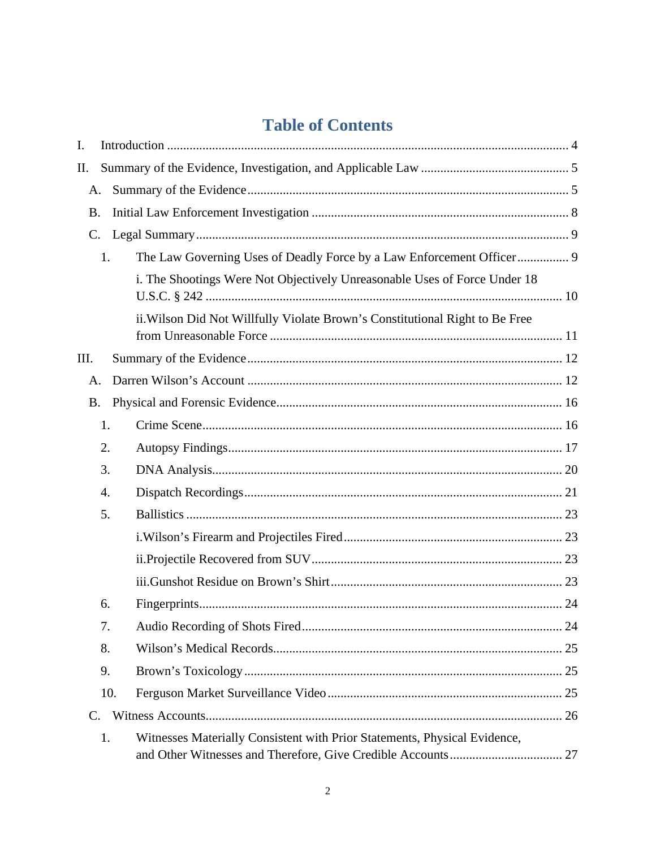# **Table of Contents**

| I.              |     |                                                                              |  |
|-----------------|-----|------------------------------------------------------------------------------|--|
| Π.              |     |                                                                              |  |
| A.              |     |                                                                              |  |
| <b>B.</b>       |     |                                                                              |  |
| C.              |     |                                                                              |  |
|                 | 1.  | The Law Governing Uses of Deadly Force by a Law Enforcement Officer 9        |  |
|                 |     | i. The Shootings Were Not Objectively Unreasonable Uses of Force Under 18    |  |
|                 |     | ii. Wilson Did Not Willfully Violate Brown's Constitutional Right to Be Free |  |
| III.            |     |                                                                              |  |
| A.              |     |                                                                              |  |
| <b>B.</b>       |     |                                                                              |  |
|                 | 1.  |                                                                              |  |
|                 | 2.  |                                                                              |  |
|                 | 3.  |                                                                              |  |
|                 | 4.  |                                                                              |  |
|                 | 5.  |                                                                              |  |
|                 |     |                                                                              |  |
|                 |     |                                                                              |  |
|                 |     |                                                                              |  |
|                 | 6.  |                                                                              |  |
|                 | 7.  |                                                                              |  |
|                 | 8.  |                                                                              |  |
|                 | 9.  |                                                                              |  |
|                 | 10. |                                                                              |  |
| $\mathcal{C}$ . |     |                                                                              |  |
|                 | 1.  | Witnesses Materially Consistent with Prior Statements, Physical Evidence,    |  |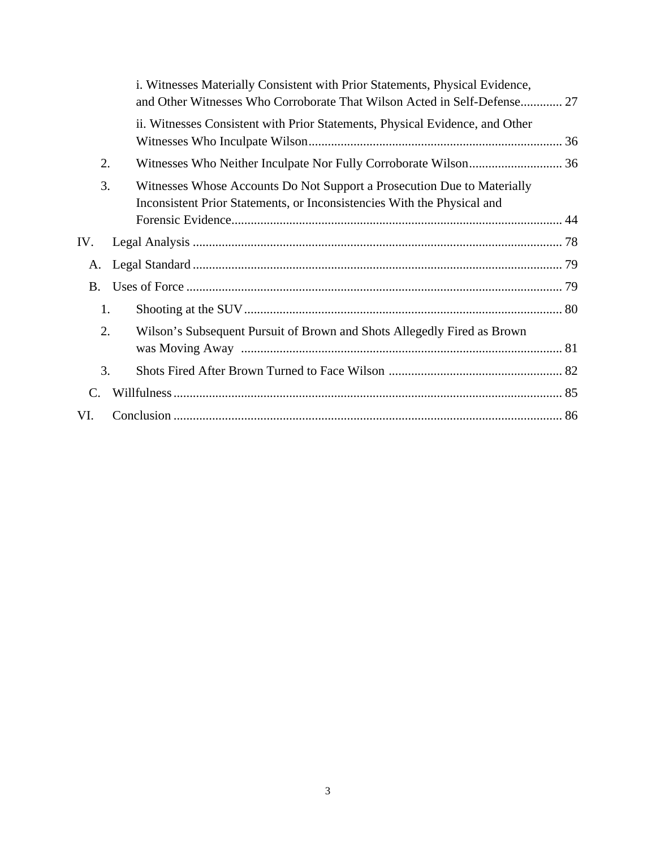|                 |  | i. Witnesses Materially Consistent with Prior Statements, Physical Evidence,<br>and Other Witnesses Who Corroborate That Wilson Acted in Self-Defense 27 |  |
|-----------------|--|----------------------------------------------------------------------------------------------------------------------------------------------------------|--|
|                 |  | ii. Witnesses Consistent with Prior Statements, Physical Evidence, and Other                                                                             |  |
| 2.              |  |                                                                                                                                                          |  |
| 3.              |  | Witnesses Whose Accounts Do Not Support a Prosecution Due to Materially<br>Inconsistent Prior Statements, or Inconsistencies With the Physical and       |  |
|                 |  |                                                                                                                                                          |  |
| IV.             |  |                                                                                                                                                          |  |
| А.              |  |                                                                                                                                                          |  |
| <b>B.</b>       |  |                                                                                                                                                          |  |
| 1.              |  |                                                                                                                                                          |  |
| 2.              |  | Wilson's Subsequent Pursuit of Brown and Shots Allegedly Fired as Brown                                                                                  |  |
| 3.              |  |                                                                                                                                                          |  |
| $\mathcal{C}$ . |  |                                                                                                                                                          |  |
| VI.             |  |                                                                                                                                                          |  |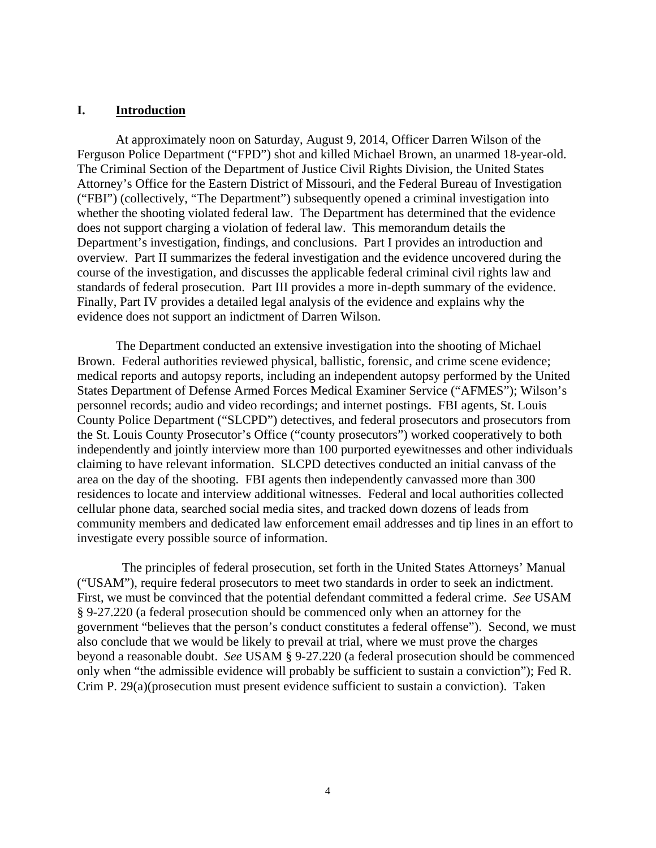#### <span id="page-3-0"></span>**I. Introduction**

At approximately noon on Saturday, August 9, 2014, Officer Darren Wilson of the Ferguson Police Department ("FPD") shot and killed Michael Brown, an unarmed 18-year-old. The Criminal Section of the Department of Justice Civil Rights Division, the United States Attorney's Office for the Eastern District of Missouri, and the Federal Bureau of Investigation ("FBI") (collectively, "The Department") subsequently opened a criminal investigation into whether the shooting violated federal law. The Department has determined that the evidence does not support charging a violation of federal law. This memorandum details the Department's investigation, findings, and conclusions. Part I provides an introduction and overview. Part II summarizes the federal investigation and the evidence uncovered during the course of the investigation, and discusses the applicable federal criminal civil rights law and standards of federal prosecution. Part III provides a more in-depth summary of the evidence. Finally, Part IV provides a detailed legal analysis of the evidence and explains why the evidence does not support an indictment of Darren Wilson.

The Department conducted an extensive investigation into the shooting of Michael Brown. Federal authorities reviewed physical, ballistic, forensic, and crime scene evidence; medical reports and autopsy reports, including an independent autopsy performed by the United States Department of Defense Armed Forces Medical Examiner Service ("AFMES"); Wilson's personnel records; audio and video recordings; and internet postings. FBI agents, St. Louis County Police Department ("SLCPD") detectives, and federal prosecutors and prosecutors from the St. Louis County Prosecutor's Office ("county prosecutors") worked cooperatively to both independently and jointly interview more than 100 purported eyewitnesses and other individuals claiming to have relevant information. SLCPD detectives conducted an initial canvass of the area on the day of the shooting. FBI agents then independently canvassed more than 300 residences to locate and interview additional witnesses. Federal and local authorities collected cellular phone data, searched social media sites, and tracked down dozens of leads from community members and dedicated law enforcement email addresses and tip lines in an effort to investigate every possible source of information.

 The principles of federal prosecution, set forth in the United States Attorneys' Manual ("USAM"), require federal prosecutors to meet two standards in order to seek an indictment. First, we must be convinced that the potential defendant committed a federal crime. *See* USAM § 9-27.220 (a federal prosecution should be commenced only when an attorney for the government "believes that the person's conduct constitutes a federal offense"). Second, we must also conclude that we would be likely to prevail at trial, where we must prove the charges beyond a reasonable doubt. *See* USAM § 9-27.220 (a federal prosecution should be commenced only when "the admissible evidence will probably be sufficient to sustain a conviction"); Fed R. Crim P. 29(a)(prosecution must present evidence sufficient to sustain a conviction). Taken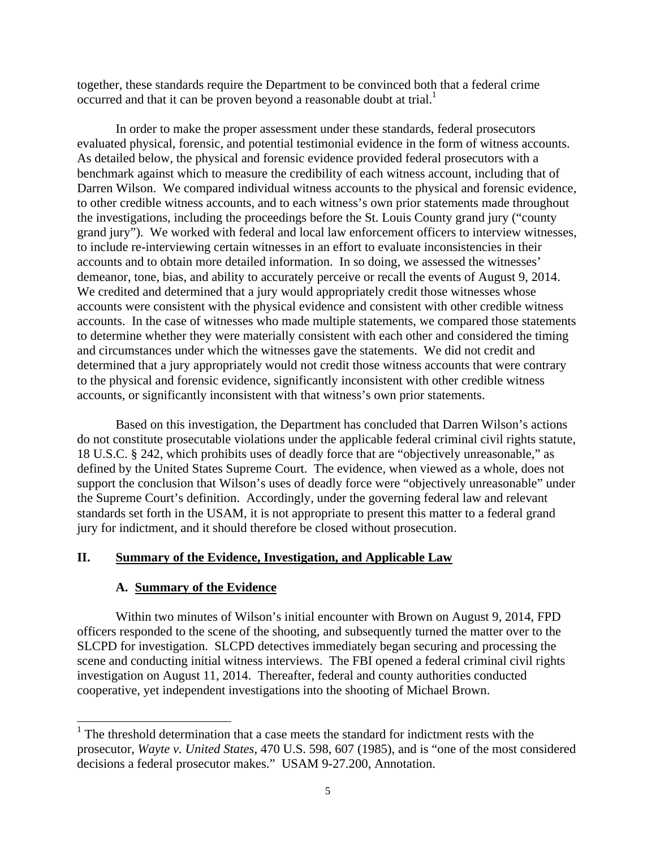<span id="page-4-0"></span>together, these standards require the Department to be convinced both that a federal crime occurred and that it can be proven beyond a reasonable doubt at trial.<sup>1</sup>

In order to make the proper assessment under these standards, federal prosecutors evaluated physical, forensic, and potential testimonial evidence in the form of witness accounts. As detailed below, the physical and forensic evidence provided federal prosecutors with a benchmark against which to measure the credibility of each witness account, including that of Darren Wilson. We compared individual witness accounts to the physical and forensic evidence, to other credible witness accounts, and to each witness's own prior statements made throughout the investigations, including the proceedings before the St. Louis County grand jury ("county grand jury"). We worked with federal and local law enforcement officers to interview witnesses, to include re-interviewing certain witnesses in an effort to evaluate inconsistencies in their accounts and to obtain more detailed information. In so doing, we assessed the witnesses' demeanor, tone, bias, and ability to accurately perceive or recall the events of August 9, 2014. We credited and determined that a jury would appropriately credit those witnesses whose accounts were consistent with the physical evidence and consistent with other credible witness accounts. In the case of witnesses who made multiple statements, we compared those statements to determine whether they were materially consistent with each other and considered the timing and circumstances under which the witnesses gave the statements. We did not credit and determined that a jury appropriately would not credit those witness accounts that were contrary to the physical and forensic evidence, significantly inconsistent with other credible witness accounts, or significantly inconsistent with that witness's own prior statements.

Based on this investigation, the Department has concluded that Darren Wilson's actions do not constitute prosecutable violations under the applicable federal criminal civil rights statute, 18 U.S.C. § 242, which prohibits uses of deadly force that are "objectively unreasonable," as defined by the United States Supreme Court. The evidence, when viewed as a whole, does not support the conclusion that Wilson's uses of deadly force were "objectively unreasonable" under the Supreme Court's definition. Accordingly, under the governing federal law and relevant standards set forth in the USAM, it is not appropriate to present this matter to a federal grand jury for indictment, and it should therefore be closed without prosecution.

# **II. Summary of the Evidence, Investigation, and Applicable Law**

# **A. Summary of the Evidence**

 $\overline{a}$ 

Within two minutes of Wilson's initial encounter with Brown on August 9, 2014, FPD officers responded to the scene of the shooting, and subsequently turned the matter over to the SLCPD for investigation. SLCPD detectives immediately began securing and processing the scene and conducting initial witness interviews. The FBI opened a federal criminal civil rights investigation on August 11, 2014. Thereafter, federal and county authorities conducted cooperative, yet independent investigations into the shooting of Michael Brown.

<sup>&</sup>lt;sup>1</sup> The threshold determination that a case meets the standard for indictment rests with the prosecutor, *Wayte v. United States*, 470 U.S. 598, 607 (1985), and is "one of the most considered decisions a federal prosecutor makes." USAM 9-27.200, Annotation.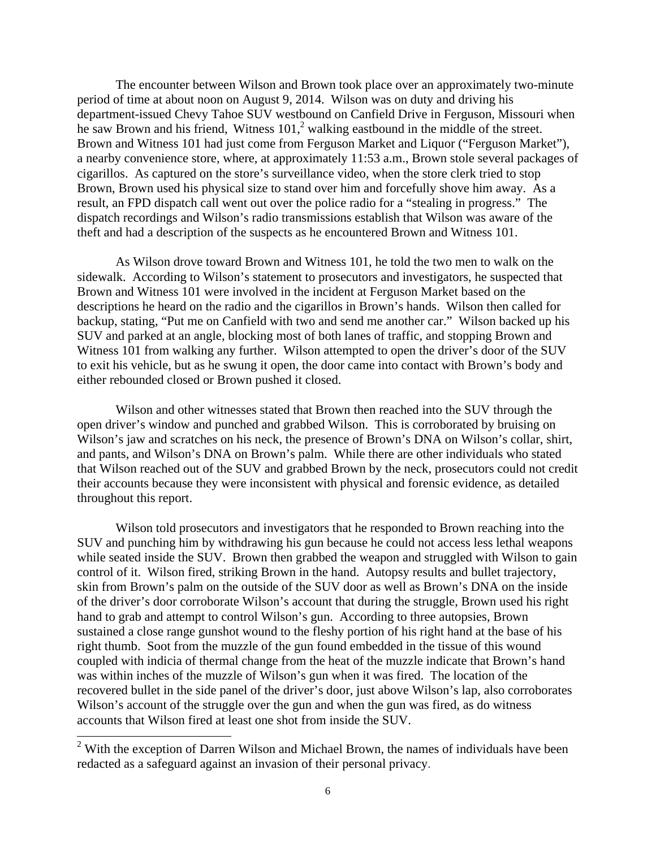The encounter between Wilson and Brown took place over an approximately two-minute period of time at about noon on August 9, 2014. Wilson was on duty and driving his department-issued Chevy Tahoe SUV westbound on Canfield Drive in Ferguson, Missouri when he saw Brown and his friend, Witness  $101<sup>2</sup>$  walking eastbound in the middle of the street. Brown and Witness 101 had just come from Ferguson Market and Liquor ("Ferguson Market"), a nearby convenience store, where, at approximately 11:53 a.m., Brown stole several packages of cigarillos. As captured on the store's surveillance video, when the store clerk tried to stop Brown, Brown used his physical size to stand over him and forcefully shove him away. As a result, an FPD dispatch call went out over the police radio for a "stealing in progress." The dispatch recordings and Wilson's radio transmissions establish that Wilson was aware of the theft and had a description of the suspects as he encountered Brown and Witness 101.

As Wilson drove toward Brown and Witness 101, he told the two men to walk on the sidewalk. According to Wilson's statement to prosecutors and investigators, he suspected that Brown and Witness 101 were involved in the incident at Ferguson Market based on the descriptions he heard on the radio and the cigarillos in Brown's hands. Wilson then called for backup, stating, "Put me on Canfield with two and send me another car." Wilson backed up his SUV and parked at an angle, blocking most of both lanes of traffic, and stopping Brown and Witness 101 from walking any further. Wilson attempted to open the driver's door of the SUV to exit his vehicle, but as he swung it open, the door came into contact with Brown's body and either rebounded closed or Brown pushed it closed.

Wilson and other witnesses stated that Brown then reached into the SUV through the open driver's window and punched and grabbed Wilson. This is corroborated by bruising on Wilson's jaw and scratches on his neck, the presence of Brown's DNA on Wilson's collar, shirt, and pants, and Wilson's DNA on Brown's palm. While there are other individuals who stated that Wilson reached out of the SUV and grabbed Brown by the neck, prosecutors could not credit their accounts because they were inconsistent with physical and forensic evidence, as detailed throughout this report.

Wilson told prosecutors and investigators that he responded to Brown reaching into the SUV and punching him by withdrawing his gun because he could not access less lethal weapons while seated inside the SUV. Brown then grabbed the weapon and struggled with Wilson to gain control of it. Wilson fired, striking Brown in the hand. Autopsy results and bullet trajectory, skin from Brown's palm on the outside of the SUV door as well as Brown's DNA on the inside of the driver's door corroborate Wilson's account that during the struggle, Brown used his right hand to grab and attempt to control Wilson's gun. According to three autopsies, Brown sustained a close range gunshot wound to the fleshy portion of his right hand at the base of his right thumb. Soot from the muzzle of the gun found embedded in the tissue of this wound coupled with indicia of thermal change from the heat of the muzzle indicate that Brown's hand was within inches of the muzzle of Wilson's gun when it was fired. The location of the recovered bullet in the side panel of the driver's door, just above Wilson's lap, also corroborates Wilson's account of the struggle over the gun and when the gun was fired, as do witness accounts that Wilson fired at least one shot from inside the SUV.

 $2$  With the exception of Darren Wilson and Michael Brown, the names of individuals have been redacted as a safeguard against an invasion of their personal privacy.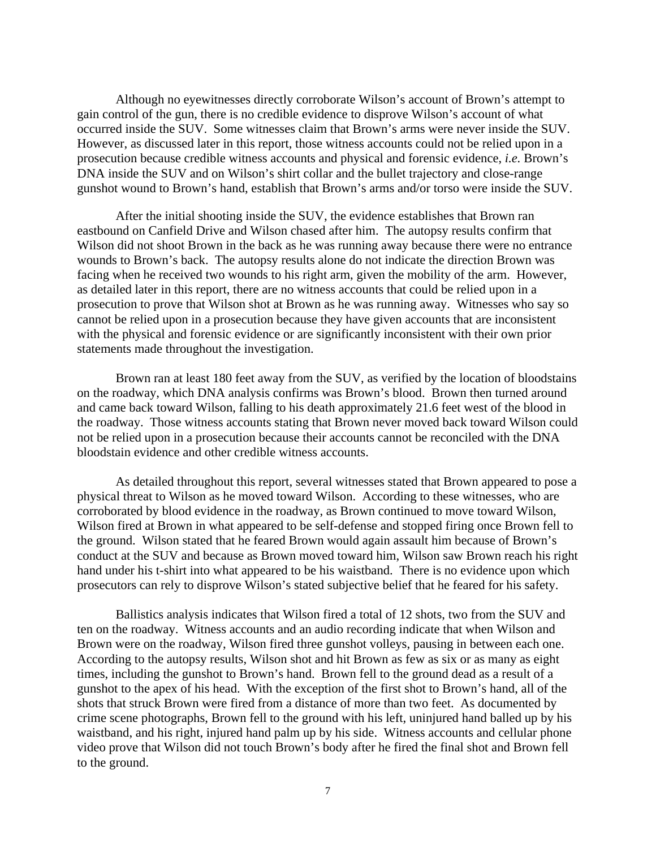Although no eyewitnesses directly corroborate Wilson's account of Brown's attempt to gain control of the gun, there is no credible evidence to disprove Wilson's account of what occurred inside the SUV. Some witnesses claim that Brown's arms were never inside the SUV. However, as discussed later in this report, those witness accounts could not be relied upon in a prosecution because credible witness accounts and physical and forensic evidence, *i.e.* Brown's DNA inside the SUV and on Wilson's shirt collar and the bullet trajectory and close-range gunshot wound to Brown's hand, establish that Brown's arms and/or torso were inside the SUV.

After the initial shooting inside the SUV, the evidence establishes that Brown ran eastbound on Canfield Drive and Wilson chased after him. The autopsy results confirm that Wilson did not shoot Brown in the back as he was running away because there were no entrance wounds to Brown's back. The autopsy results alone do not indicate the direction Brown was facing when he received two wounds to his right arm, given the mobility of the arm. However, as detailed later in this report, there are no witness accounts that could be relied upon in a prosecution to prove that Wilson shot at Brown as he was running away. Witnesses who say so cannot be relied upon in a prosecution because they have given accounts that are inconsistent with the physical and forensic evidence or are significantly inconsistent with their own prior statements made throughout the investigation.

Brown ran at least 180 feet away from the SUV, as verified by the location of bloodstains on the roadway, which DNA analysis confirms was Brown's blood. Brown then turned around and came back toward Wilson, falling to his death approximately 21.6 feet west of the blood in the roadway. Those witness accounts stating that Brown never moved back toward Wilson could not be relied upon in a prosecution because their accounts cannot be reconciled with the DNA bloodstain evidence and other credible witness accounts.

As detailed throughout this report, several witnesses stated that Brown appeared to pose a physical threat to Wilson as he moved toward Wilson. According to these witnesses, who are corroborated by blood evidence in the roadway, as Brown continued to move toward Wilson, Wilson fired at Brown in what appeared to be self-defense and stopped firing once Brown fell to the ground. Wilson stated that he feared Brown would again assault him because of Brown's conduct at the SUV and because as Brown moved toward him, Wilson saw Brown reach his right hand under his t-shirt into what appeared to be his waistband. There is no evidence upon which prosecutors can rely to disprove Wilson's stated subjective belief that he feared for his safety.

Ballistics analysis indicates that Wilson fired a total of 12 shots, two from the SUV and ten on the roadway. Witness accounts and an audio recording indicate that when Wilson and Brown were on the roadway, Wilson fired three gunshot volleys, pausing in between each one. According to the autopsy results, Wilson shot and hit Brown as few as six or as many as eight times, including the gunshot to Brown's hand. Brown fell to the ground dead as a result of a gunshot to the apex of his head. With the exception of the first shot to Brown's hand, all of the shots that struck Brown were fired from a distance of more than two feet. As documented by crime scene photographs, Brown fell to the ground with his left, uninjured hand balled up by his waistband, and his right, injured hand palm up by his side. Witness accounts and cellular phone video prove that Wilson did not touch Brown's body after he fired the final shot and Brown fell to the ground.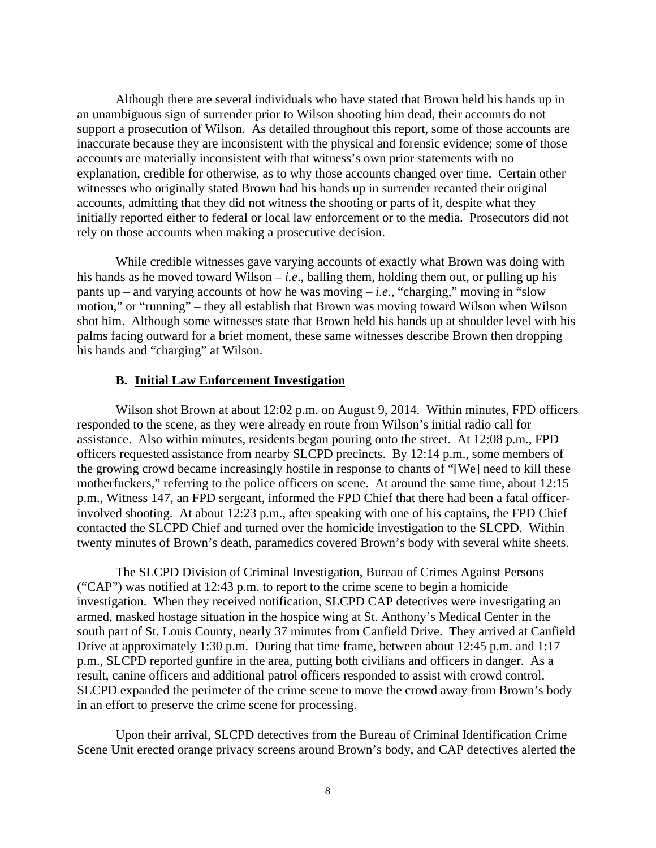<span id="page-7-0"></span>Although there are several individuals who have stated that Brown held his hands up in an unambiguous sign of surrender prior to Wilson shooting him dead, their accounts do not support a prosecution of Wilson. As detailed throughout this report, some of those accounts are inaccurate because they are inconsistent with the physical and forensic evidence; some of those accounts are materially inconsistent with that witness's own prior statements with no explanation, credible for otherwise, as to why those accounts changed over time. Certain other witnesses who originally stated Brown had his hands up in surrender recanted their original accounts, admitting that they did not witness the shooting or parts of it, despite what they initially reported either to federal or local law enforcement or to the media. Prosecutors did not rely on those accounts when making a prosecutive decision.

While credible witnesses gave varying accounts of exactly what Brown was doing with his hands as he moved toward Wilson – *i.e*., balling them, holding them out, or pulling up his pants up – and varying accounts of how he was moving – *i.e.*, "charging," moving in "slow" motion," or "running" – they all establish that Brown was moving toward Wilson when Wilson shot him. Although some witnesses state that Brown held his hands up at shoulder level with his palms facing outward for a brief moment, these same witnesses describe Brown then dropping his hands and "charging" at Wilson.

#### **B. Initial Law Enforcement Investigation**

Wilson shot Brown at about 12:02 p.m. on August 9, 2014. Within minutes, FPD officers responded to the scene, as they were already en route from Wilson's initial radio call for assistance. Also within minutes, residents began pouring onto the street. At 12:08 p.m., FPD officers requested assistance from nearby SLCPD precincts. By 12:14 p.m., some members of the growing crowd became increasingly hostile in response to chants of "[We] need to kill these motherfuckers," referring to the police officers on scene. At around the same time, about 12:15 p.m., Witness 147, an FPD sergeant, informed the FPD Chief that there had been a fatal officerinvolved shooting. At about 12:23 p.m., after speaking with one of his captains, the FPD Chief contacted the SLCPD Chief and turned over the homicide investigation to the SLCPD. Within twenty minutes of Brown's death, paramedics covered Brown's body with several white sheets.

The SLCPD Division of Criminal Investigation, Bureau of Crimes Against Persons ("CAP") was notified at 12:43 p.m. to report to the crime scene to begin a homicide investigation. When they received notification, SLCPD CAP detectives were investigating an armed, masked hostage situation in the hospice wing at St. Anthony's Medical Center in the south part of St. Louis County, nearly 37 minutes from Canfield Drive. They arrived at Canfield Drive at approximately 1:30 p.m. During that time frame, between about 12:45 p.m. and 1:17 p.m., SLCPD reported gunfire in the area, putting both civilians and officers in danger. As a result, canine officers and additional patrol officers responded to assist with crowd control. SLCPD expanded the perimeter of the crime scene to move the crowd away from Brown's body in an effort to preserve the crime scene for processing.

Upon their arrival, SLCPD detectives from the Bureau of Criminal Identification Crime Scene Unit erected orange privacy screens around Brown's body, and CAP detectives alerted the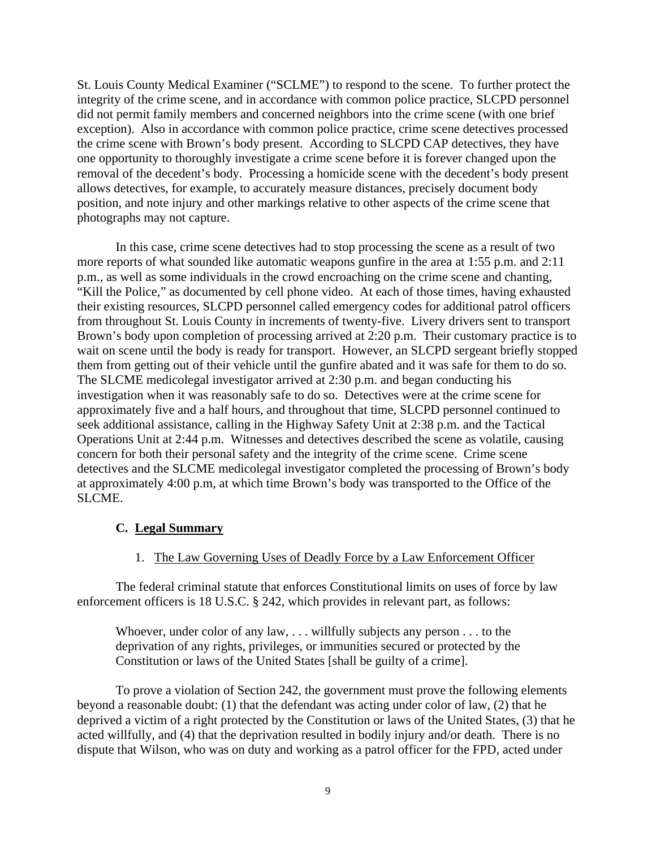<span id="page-8-0"></span>St. Louis County Medical Examiner ("SCLME") to respond to the scene. To further protect the integrity of the crime scene, and in accordance with common police practice, SLCPD personnel did not permit family members and concerned neighbors into the crime scene (with one brief exception). Also in accordance with common police practice, crime scene detectives processed the crime scene with Brown's body present. According to SLCPD CAP detectives, they have one opportunity to thoroughly investigate a crime scene before it is forever changed upon the removal of the decedent's body. Processing a homicide scene with the decedent's body present allows detectives, for example, to accurately measure distances, precisely document body position, and note injury and other markings relative to other aspects of the crime scene that photographs may not capture.

In this case, crime scene detectives had to stop processing the scene as a result of two more reports of what sounded like automatic weapons gunfire in the area at 1:55 p.m. and 2:11 p.m., as well as some individuals in the crowd encroaching on the crime scene and chanting, "Kill the Police," as documented by cell phone video. At each of those times, having exhausted their existing resources, SLCPD personnel called emergency codes for additional patrol officers from throughout St. Louis County in increments of twenty-five. Livery drivers sent to transport Brown's body upon completion of processing arrived at 2:20 p.m. Their customary practice is to wait on scene until the body is ready for transport. However, an SLCPD sergeant briefly stopped them from getting out of their vehicle until the gunfire abated and it was safe for them to do so. The SLCME medicolegal investigator arrived at 2:30 p.m. and began conducting his investigation when it was reasonably safe to do so. Detectives were at the crime scene for approximately five and a half hours, and throughout that time, SLCPD personnel continued to seek additional assistance, calling in the Highway Safety Unit at 2:38 p.m. and the Tactical Operations Unit at 2:44 p.m. Witnesses and detectives described the scene as volatile, causing concern for both their personal safety and the integrity of the crime scene. Crime scene detectives and the SLCME medicolegal investigator completed the processing of Brown's body at approximately 4:00 p.m, at which time Brown's body was transported to the Office of the SLCME.

# **C. Legal Summary**

#### 1. The Law Governing Uses of Deadly Force by a Law Enforcement Officer

The federal criminal statute that enforces Constitutional limits on uses of force by law enforcement officers is 18 U.S.C. § 242, which provides in relevant part, as follows:

Whoever, under color of any law, ... willfully subjects any person ... to the deprivation of any rights, privileges, or immunities secured or protected by the Constitution or laws of the United States [shall be guilty of a crime].

To prove a violation of Section 242, the government must prove the following elements beyond a reasonable doubt: (1) that the defendant was acting under color of law, (2) that he deprived a victim of a right protected by the Constitution or laws of the United States, (3) that he acted willfully, and (4) that the deprivation resulted in bodily injury and/or death. There is no dispute that Wilson, who was on duty and working as a patrol officer for the FPD, acted under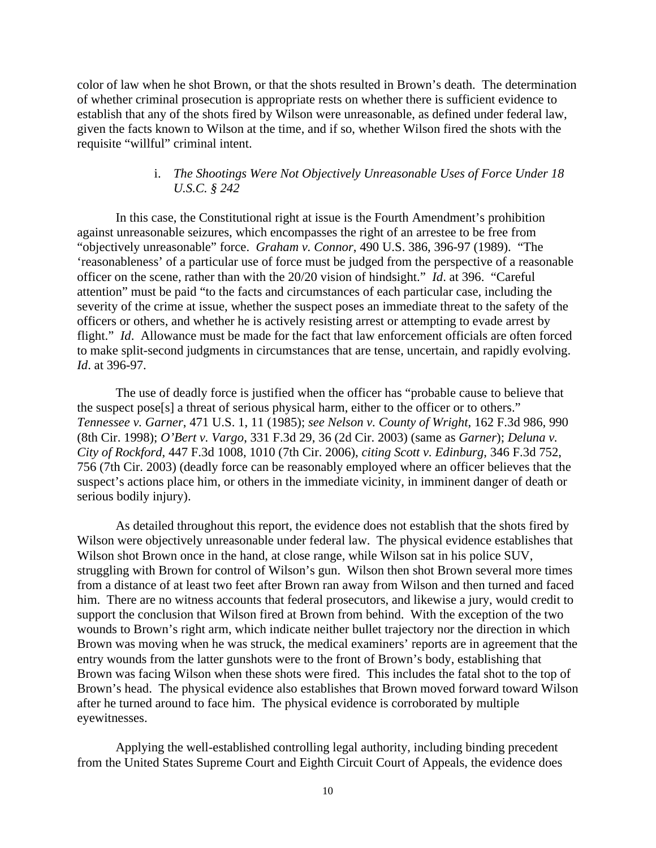<span id="page-9-0"></span>color of law when he shot Brown, or that the shots resulted in Brown's death. The determination of whether criminal prosecution is appropriate rests on whether there is sufficient evidence to establish that any of the shots fired by Wilson were unreasonable, as defined under federal law, given the facts known to Wilson at the time, and if so, whether Wilson fired the shots with the requisite "willful" criminal intent.

# i. *The Shootings Were Not Objectively Unreasonable Uses of Force Under 18 U.S.C. § 242*

In this case, the Constitutional right at issue is the Fourth Amendment's prohibition against unreasonable seizures, which encompasses the right of an arrestee to be free from "objectively unreasonable" force. *Graham v. Connor*, 490 U.S. 386, 396-97 (1989). "The 'reasonableness' of a particular use of force must be judged from the perspective of a reasonable officer on the scene, rather than with the 20/20 vision of hindsight." *Id*. at 396. "Careful attention" must be paid "to the facts and circumstances of each particular case, including the severity of the crime at issue, whether the suspect poses an immediate threat to the safety of the officers or others, and whether he is actively resisting arrest or attempting to evade arrest by flight." *Id*. Allowance must be made for the fact that law enforcement officials are often forced to make split-second judgments in circumstances that are tense, uncertain, and rapidly evolving. *Id*. at 396-97.

The use of deadly force is justified when the officer has "probable cause to believe that the suspect pose[s] a threat of serious physical harm, either to the officer or to others." *Tennessee v. Garner*, 471 U.S. 1, 11 (1985); *see Nelson v. County of Wright*, 162 F.3d 986, 990 (8th Cir. 1998); *O'Bert v. Vargo*, 331 F.3d 29, 36 (2d Cir. 2003) (same as *Garner*); *Deluna v. City of Rockford*, 447 F.3d 1008, 1010 (7th Cir. 2006), *citing Scott v. Edinburg*, 346 F.3d 752, 756 (7th Cir. 2003) (deadly force can be reasonably employed where an officer believes that the suspect's actions place him, or others in the immediate vicinity, in imminent danger of death or serious bodily injury).

As detailed throughout this report, the evidence does not establish that the shots fired by Wilson were objectively unreasonable under federal law. The physical evidence establishes that Wilson shot Brown once in the hand, at close range, while Wilson sat in his police SUV, struggling with Brown for control of Wilson's gun. Wilson then shot Brown several more times from a distance of at least two feet after Brown ran away from Wilson and then turned and faced him. There are no witness accounts that federal prosecutors, and likewise a jury, would credit to support the conclusion that Wilson fired at Brown from behind. With the exception of the two wounds to Brown's right arm, which indicate neither bullet trajectory nor the direction in which Brown was moving when he was struck, the medical examiners' reports are in agreement that the entry wounds from the latter gunshots were to the front of Brown's body, establishing that Brown was facing Wilson when these shots were fired. This includes the fatal shot to the top of Brown's head. The physical evidence also establishes that Brown moved forward toward Wilson after he turned around to face him. The physical evidence is corroborated by multiple eyewitnesses.

Applying the well-established controlling legal authority, including binding precedent from the United States Supreme Court and Eighth Circuit Court of Appeals, the evidence does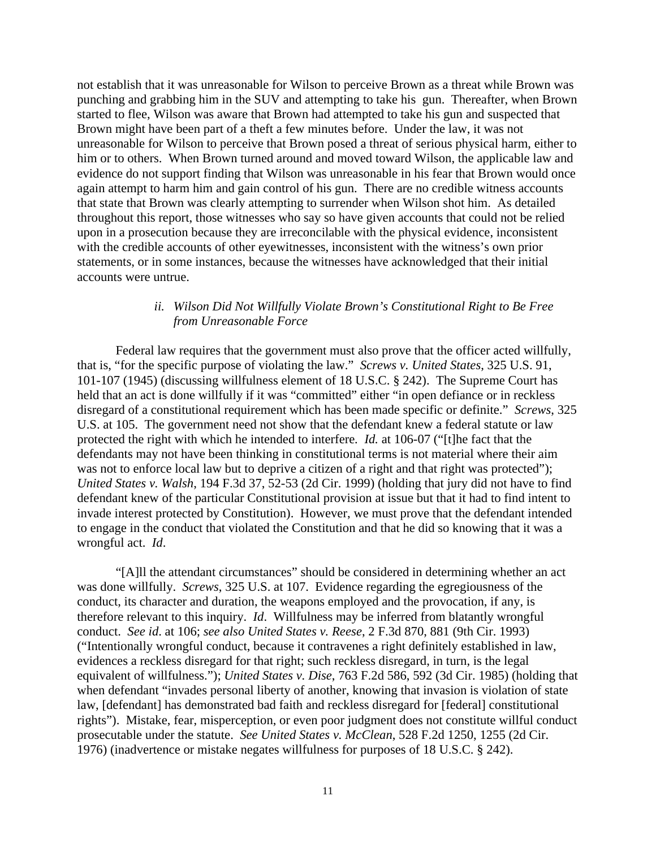<span id="page-10-0"></span>not establish that it was unreasonable for Wilson to perceive Brown as a threat while Brown was punching and grabbing him in the SUV and attempting to take his gun. Thereafter, when Brown started to flee, Wilson was aware that Brown had attempted to take his gun and suspected that Brown might have been part of a theft a few minutes before. Under the law, it was not unreasonable for Wilson to perceive that Brown posed a threat of serious physical harm, either to him or to others. When Brown turned around and moved toward Wilson, the applicable law and evidence do not support finding that Wilson was unreasonable in his fear that Brown would once again attempt to harm him and gain control of his gun. There are no credible witness accounts that state that Brown was clearly attempting to surrender when Wilson shot him. As detailed throughout this report, those witnesses who say so have given accounts that could not be relied upon in a prosecution because they are irreconcilable with the physical evidence, inconsistent with the credible accounts of other eyewitnesses, inconsistent with the witness's own prior statements, or in some instances, because the witnesses have acknowledged that their initial accounts were untrue.

# *ii. Wilson Did Not Willfully Violate Brown's Constitutional Right to Be Free from Unreasonable Force*

Federal law requires that the government must also prove that the officer acted willfully, that is, "for the specific purpose of violating the law." *Screws v. United States*, 325 U.S. 91, 101-107 (1945) (discussing willfulness element of 18 U.S.C. § 242). The Supreme Court has held that an act is done willfully if it was "committed" either "in open defiance or in reckless disregard of a constitutional requirement which has been made specific or definite." *Screws*, 325 U.S. at 105. The government need not show that the defendant knew a federal statute or law protected the right with which he intended to interfere*. Id.* at 106-07 ("[t]he fact that the defendants may not have been thinking in constitutional terms is not material where their aim was not to enforce local law but to deprive a citizen of a right and that right was protected"); *United States v. Walsh*, 194 F.3d 37, 52-53 (2d Cir. 1999) (holding that jury did not have to find defendant knew of the particular Constitutional provision at issue but that it had to find intent to invade interest protected by Constitution). However, we must prove that the defendant intended to engage in the conduct that violated the Constitution and that he did so knowing that it was a wrongful act. *Id*.

"[A]ll the attendant circumstances" should be considered in determining whether an act was done willfully. *Screws*, 325 U.S. at 107. Evidence regarding the egregiousness of the conduct, its character and duration, the weapons employed and the provocation, if any, is therefore relevant to this inquiry. *Id*. Willfulness may be inferred from blatantly wrongful conduct. *See id*. at 106; *see also United States v. Reese*, 2 F.3d 870, 881 (9th Cir. 1993) ("Intentionally wrongful conduct, because it contravenes a right definitely established in law, evidences a reckless disregard for that right; such reckless disregard, in turn, is the legal equivalent of willfulness."); *United States v. Dise*, 763 F.2d 586, 592 (3d Cir. 1985) (holding that when defendant "invades personal liberty of another, knowing that invasion is violation of state law, [defendant] has demonstrated bad faith and reckless disregard for [federal] constitutional rights"). Mistake, fear, misperception, or even poor judgment does not constitute willful conduct prosecutable under the statute. *See United States v. McClean*, 528 F.2d 1250, 1255 (2d Cir. 1976) (inadvertence or mistake negates willfulness for purposes of 18 U.S.C. § 242).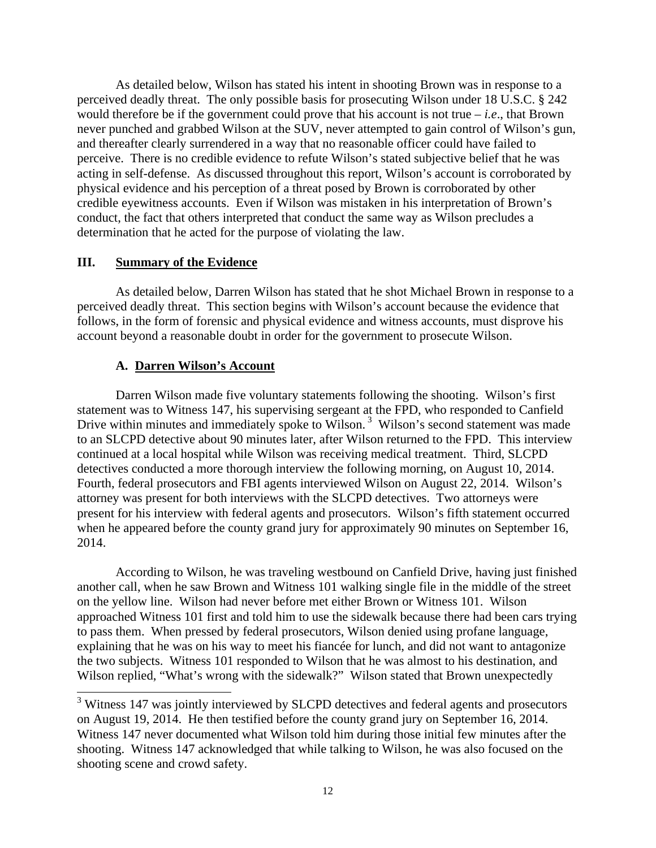<span id="page-11-0"></span>As detailed below, Wilson has stated his intent in shooting Brown was in response to a perceived deadly threat. The only possible basis for prosecuting Wilson under 18 U.S.C. § 242 would therefore be if the government could prove that his account is not true – *i.e*., that Brown never punched and grabbed Wilson at the SUV, never attempted to gain control of Wilson's gun, and thereafter clearly surrendered in a way that no reasonable officer could have failed to perceive. There is no credible evidence to refute Wilson's stated subjective belief that he was acting in self-defense. As discussed throughout this report, Wilson's account is corroborated by physical evidence and his perception of a threat posed by Brown is corroborated by other credible eyewitness accounts. Even if Wilson was mistaken in his interpretation of Brown's conduct, the fact that others interpreted that conduct the same way as Wilson precludes a determination that he acted for the purpose of violating the law.

#### **III. Summary of the Evidence**

As detailed below, Darren Wilson has stated that he shot Michael Brown in response to a perceived deadly threat. This section begins with Wilson's account because the evidence that follows, in the form of forensic and physical evidence and witness accounts, must disprove his account beyond a reasonable doubt in order for the government to prosecute Wilson.

#### **A. Darren Wilson's Account**

Darren Wilson made five voluntary statements following the shooting. Wilson's first statement was to Witness 147, his supervising sergeant at the FPD, who responded to Canfield Drive within minutes and immediately spoke to Wilson.<sup>3</sup> Wilson's second statement was made to an SLCPD detective about 90 minutes later, after Wilson returned to the FPD. This interview continued at a local hospital while Wilson was receiving medical treatment. Third, SLCPD detectives conducted a more thorough interview the following morning, on August 10, 2014. Fourth, federal prosecutors and FBI agents interviewed Wilson on August 22, 2014. Wilson's attorney was present for both interviews with the SLCPD detectives. Two attorneys were present for his interview with federal agents and prosecutors. Wilson's fifth statement occurred when he appeared before the county grand jury for approximately 90 minutes on September 16, 2014.

According to Wilson, he was traveling westbound on Canfield Drive, having just finished another call, when he saw Brown and Witness 101 walking single file in the middle of the street on the yellow line. Wilson had never before met either Brown or Witness 101. Wilson approached Witness 101 first and told him to use the sidewalk because there had been cars trying to pass them. When pressed by federal prosecutors, Wilson denied using profane language, explaining that he was on his way to meet his fiancée for lunch, and did not want to antagonize the two subjects. Witness 101 responded to Wilson that he was almost to his destination, and Wilson replied, "What's wrong with the sidewalk?" Wilson stated that Brown unexpectedly

<sup>&</sup>lt;sup>3</sup> Witness 147 was jointly interviewed by SLCPD detectives and federal agents and prosecutors on August 19, 2014. He then testified before the county grand jury on September 16, 2014. Witness 147 never documented what Wilson told him during those initial few minutes after the shooting. Witness 147 acknowledged that while talking to Wilson, he was also focused on the shooting scene and crowd safety.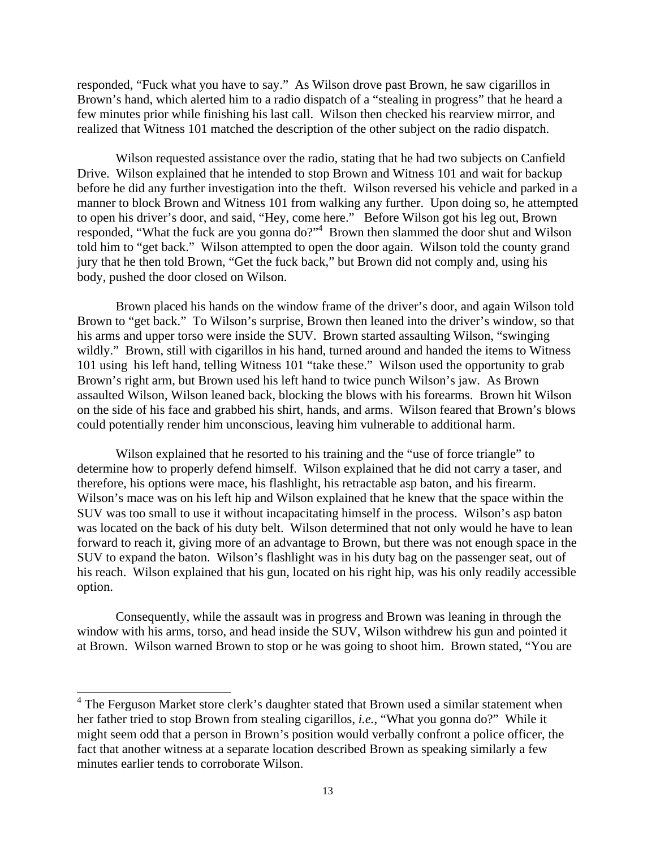responded, "Fuck what you have to say." As Wilson drove past Brown, he saw cigarillos in Brown's hand, which alerted him to a radio dispatch of a "stealing in progress" that he heard a few minutes prior while finishing his last call. Wilson then checked his rearview mirror, and realized that Witness 101 matched the description of the other subject on the radio dispatch.

Wilson requested assistance over the radio, stating that he had two subjects on Canfield Drive. Wilson explained that he intended to stop Brown and Witness 101 and wait for backup before he did any further investigation into the theft. Wilson reversed his vehicle and parked in a manner to block Brown and Witness 101 from walking any further. Upon doing so, he attempted to open his driver's door, and said, "Hey, come here." Before Wilson got his leg out, Brown responded, "What the fuck are you gonna do?"4 Brown then slammed the door shut and Wilson told him to "get back." Wilson attempted to open the door again. Wilson told the county grand jury that he then told Brown, "Get the fuck back," but Brown did not comply and, using his body, pushed the door closed on Wilson.

Brown placed his hands on the window frame of the driver's door, and again Wilson told Brown to "get back." To Wilson's surprise, Brown then leaned into the driver's window, so that his arms and upper torso were inside the SUV. Brown started assaulting Wilson, "swinging wildly." Brown, still with cigarillos in his hand, turned around and handed the items to Witness 101 using his left hand, telling Witness 101 "take these." Wilson used the opportunity to grab Brown's right arm, but Brown used his left hand to twice punch Wilson's jaw. As Brown assaulted Wilson, Wilson leaned back, blocking the blows with his forearms. Brown hit Wilson on the side of his face and grabbed his shirt, hands, and arms. Wilson feared that Brown's blows could potentially render him unconscious, leaving him vulnerable to additional harm.

Wilson explained that he resorted to his training and the "use of force triangle" to determine how to properly defend himself. Wilson explained that he did not carry a taser, and therefore, his options were mace, his flashlight, his retractable asp baton, and his firearm. Wilson's mace was on his left hip and Wilson explained that he knew that the space within the SUV was too small to use it without incapacitating himself in the process. Wilson's asp baton was located on the back of his duty belt. Wilson determined that not only would he have to lean forward to reach it, giving more of an advantage to Brown, but there was not enough space in the SUV to expand the baton. Wilson's flashlight was in his duty bag on the passenger seat, out of his reach. Wilson explained that his gun, located on his right hip, was his only readily accessible option.

Consequently, while the assault was in progress and Brown was leaning in through the window with his arms, torso, and head inside the SUV, Wilson withdrew his gun and pointed it at Brown. Wilson warned Brown to stop or he was going to shoot him. Brown stated, "You are

<sup>&</sup>lt;sup>4</sup> The Ferguson Market store clerk's daughter stated that Brown used a similar statement when her father tried to stop Brown from stealing cigarillos, *i.e.*, "What you gonna do?" While it might seem odd that a person in Brown's position would verbally confront a police officer, the fact that another witness at a separate location described Brown as speaking similarly a few minutes earlier tends to corroborate Wilson.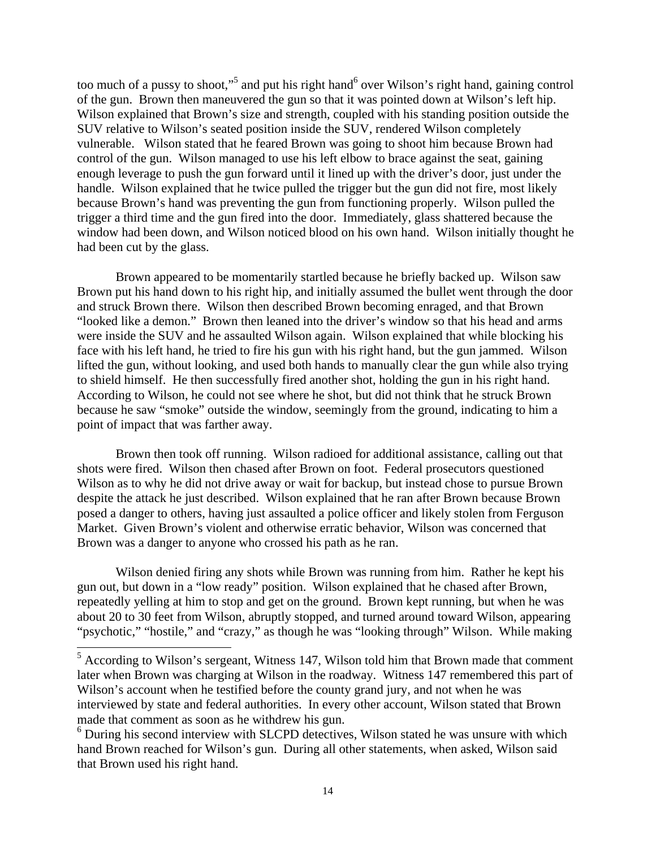too much of a pussy to shoot,"<sup>5</sup> and put his right hand<sup>6</sup> over Wilson's right hand, gaining control of the gun. Brown then maneuvered the gun so that it was pointed down at Wilson's left hip. Wilson explained that Brown's size and strength, coupled with his standing position outside the SUV relative to Wilson's seated position inside the SUV, rendered Wilson completely vulnerable. Wilson stated that he feared Brown was going to shoot him because Brown had control of the gun. Wilson managed to use his left elbow to brace against the seat, gaining enough leverage to push the gun forward until it lined up with the driver's door, just under the handle. Wilson explained that he twice pulled the trigger but the gun did not fire, most likely because Brown's hand was preventing the gun from functioning properly. Wilson pulled the trigger a third time and the gun fired into the door. Immediately, glass shattered because the window had been down, and Wilson noticed blood on his own hand. Wilson initially thought he had been cut by the glass.

Brown appeared to be momentarily startled because he briefly backed up. Wilson saw Brown put his hand down to his right hip, and initially assumed the bullet went through the door and struck Brown there. Wilson then described Brown becoming enraged, and that Brown "looked like a demon." Brown then leaned into the driver's window so that his head and arms were inside the SUV and he assaulted Wilson again. Wilson explained that while blocking his face with his left hand, he tried to fire his gun with his right hand, but the gun jammed. Wilson lifted the gun, without looking, and used both hands to manually clear the gun while also trying to shield himself. He then successfully fired another shot, holding the gun in his right hand. According to Wilson, he could not see where he shot, but did not think that he struck Brown because he saw "smoke" outside the window, seemingly from the ground, indicating to him a point of impact that was farther away.

Brown then took off running. Wilson radioed for additional assistance, calling out that shots were fired. Wilson then chased after Brown on foot. Federal prosecutors questioned Wilson as to why he did not drive away or wait for backup, but instead chose to pursue Brown despite the attack he just described. Wilson explained that he ran after Brown because Brown posed a danger to others, having just assaulted a police officer and likely stolen from Ferguson Market. Given Brown's violent and otherwise erratic behavior, Wilson was concerned that Brown was a danger to anyone who crossed his path as he ran.

Wilson denied firing any shots while Brown was running from him. Rather he kept his gun out, but down in a "low ready" position. Wilson explained that he chased after Brown, repeatedly yelling at him to stop and get on the ground. Brown kept running, but when he was about 20 to 30 feet from Wilson, abruptly stopped, and turned around toward Wilson, appearing "psychotic," "hostile," and "crazy," as though he was "looking through" Wilson. While making

<sup>&</sup>lt;sup>5</sup> According to Wilson's sergeant, Witness 147, Wilson told him that Brown made that comment later when Brown was charging at Wilson in the roadway. Witness 147 remembered this part of Wilson's account when he testified before the county grand jury, and not when he was interviewed by state and federal authorities. In every other account, Wilson stated that Brown made that comment as soon as he withdrew his gun.

<sup>&</sup>lt;sup>6</sup> During his second interview with SLCPD detectives, Wilson stated he was unsure with which hand Brown reached for Wilson's gun. During all other statements, when asked, Wilson said that Brown used his right hand.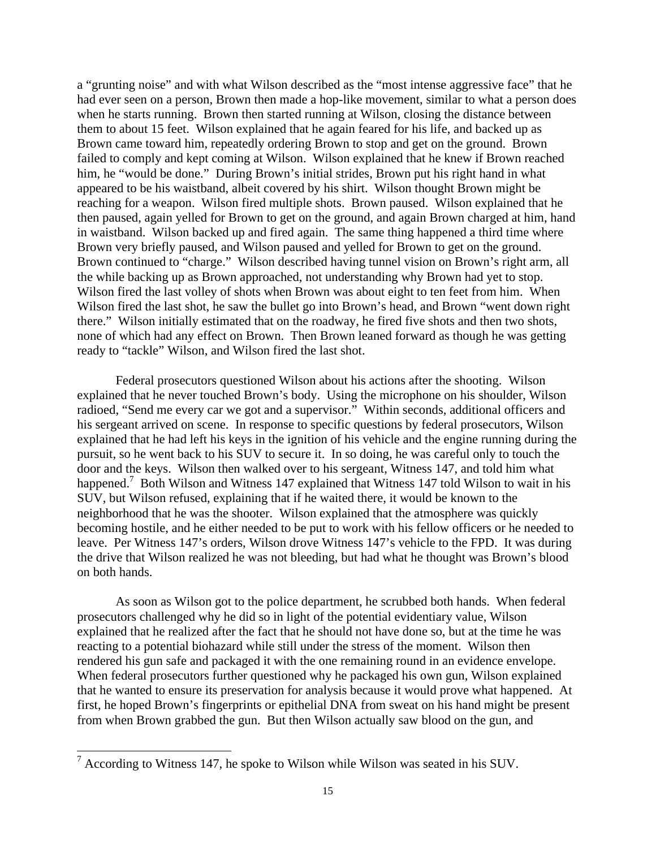a "grunting noise" and with what Wilson described as the "most intense aggressive face" that he had ever seen on a person, Brown then made a hop-like movement, similar to what a person does when he starts running. Brown then started running at Wilson, closing the distance between them to about 15 feet. Wilson explained that he again feared for his life, and backed up as Brown came toward him, repeatedly ordering Brown to stop and get on the ground. Brown failed to comply and kept coming at Wilson. Wilson explained that he knew if Brown reached him, he "would be done." During Brown's initial strides, Brown put his right hand in what appeared to be his waistband, albeit covered by his shirt. Wilson thought Brown might be reaching for a weapon. Wilson fired multiple shots. Brown paused. Wilson explained that he then paused, again yelled for Brown to get on the ground, and again Brown charged at him, hand in waistband. Wilson backed up and fired again. The same thing happened a third time where Brown very briefly paused, and Wilson paused and yelled for Brown to get on the ground. Brown continued to "charge." Wilson described having tunnel vision on Brown's right arm, all the while backing up as Brown approached, not understanding why Brown had yet to stop. Wilson fired the last volley of shots when Brown was about eight to ten feet from him. When Wilson fired the last shot, he saw the bullet go into Brown's head, and Brown "went down right there." Wilson initially estimated that on the roadway, he fired five shots and then two shots, none of which had any effect on Brown. Then Brown leaned forward as though he was getting ready to "tackle" Wilson, and Wilson fired the last shot.

Federal prosecutors questioned Wilson about his actions after the shooting. Wilson explained that he never touched Brown's body. Using the microphone on his shoulder, Wilson radioed, "Send me every car we got and a supervisor." Within seconds, additional officers and his sergeant arrived on scene. In response to specific questions by federal prosecutors, Wilson explained that he had left his keys in the ignition of his vehicle and the engine running during the pursuit, so he went back to his SUV to secure it. In so doing, he was careful only to touch the door and the keys. Wilson then walked over to his sergeant, Witness 147, and told him what happened.<sup>7</sup> Both Wilson and Witness 147 explained that Witness 147 told Wilson to wait in his SUV, but Wilson refused, explaining that if he waited there, it would be known to the neighborhood that he was the shooter. Wilson explained that the atmosphere was quickly becoming hostile, and he either needed to be put to work with his fellow officers or he needed to leave. Per Witness 147's orders, Wilson drove Witness 147's vehicle to the FPD. It was during the drive that Wilson realized he was not bleeding, but had what he thought was Brown's blood on both hands.

As soon as Wilson got to the police department, he scrubbed both hands. When federal prosecutors challenged why he did so in light of the potential evidentiary value, Wilson explained that he realized after the fact that he should not have done so, but at the time he was reacting to a potential biohazard while still under the stress of the moment. Wilson then rendered his gun safe and packaged it with the one remaining round in an evidence envelope. When federal prosecutors further questioned why he packaged his own gun, Wilson explained that he wanted to ensure its preservation for analysis because it would prove what happened. At first, he hoped Brown's fingerprints or epithelial DNA from sweat on his hand might be present from when Brown grabbed the gun. But then Wilson actually saw blood on the gun, and

<sup>&</sup>lt;sup>7</sup> According to Witness 147, he spoke to Wilson while Wilson was seated in his SUV.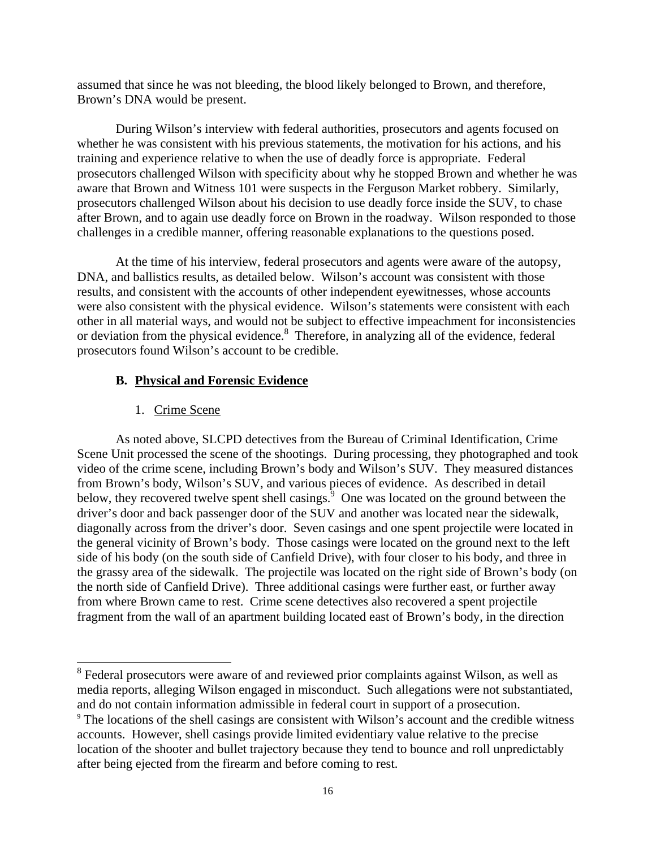<span id="page-15-0"></span>assumed that since he was not bleeding, the blood likely belonged to Brown, and therefore, Brown's DNA would be present.

During Wilson's interview with federal authorities, prosecutors and agents focused on whether he was consistent with his previous statements, the motivation for his actions, and his training and experience relative to when the use of deadly force is appropriate. Federal prosecutors challenged Wilson with specificity about why he stopped Brown and whether he was aware that Brown and Witness 101 were suspects in the Ferguson Market robbery. Similarly, prosecutors challenged Wilson about his decision to use deadly force inside the SUV, to chase after Brown, and to again use deadly force on Brown in the roadway. Wilson responded to those challenges in a credible manner, offering reasonable explanations to the questions posed.

At the time of his interview, federal prosecutors and agents were aware of the autopsy, DNA, and ballistics results, as detailed below. Wilson's account was consistent with those results, and consistent with the accounts of other independent eyewitnesses, whose accounts were also consistent with the physical evidence. Wilson's statements were consistent with each other in all material ways, and would not be subject to effective impeachment for inconsistencies or deviation from the physical evidence.<sup>8</sup> Therefore, in analyzing all of the evidence, federal prosecutors found Wilson's account to be credible.

#### **B. Physical and Forensic Evidence**

#### 1. Crime Scene

 $\overline{a}$ 

As noted above, SLCPD detectives from the Bureau of Criminal Identification, Crime Scene Unit processed the scene of the shootings. During processing, they photographed and took video of the crime scene, including Brown's body and Wilson's SUV. They measured distances from Brown's body, Wilson's SUV, and various pieces of evidence. As described in detail below, they recovered twelve spent shell casings. $\frac{3}{9}$  One was located on the ground between the driver's door and back passenger door of the SUV and another was located near the sidewalk, diagonally across from the driver's door. Seven casings and one spent projectile were located in the general vicinity of Brown's body. Those casings were located on the ground next to the left side of his body (on the south side of Canfield Drive), with four closer to his body, and three in the grassy area of the sidewalk. The projectile was located on the right side of Brown's body (on the north side of Canfield Drive). Three additional casings were further east, or further away from where Brown came to rest. Crime scene detectives also recovered a spent projectile fragment from the wall of an apartment building located east of Brown's body, in the direction

 $8$  Federal prosecutors were aware of and reviewed prior complaints against Wilson, as well as media reports, alleging Wilson engaged in misconduct. Such allegations were not substantiated, and do not contain information admissible in federal court in support of a prosecution. <sup>9</sup> The locations of the shell casings are consistent with Wilson's account and the credible witness accounts. However, shell casings provide limited evidentiary value relative to the precise location of the shooter and bullet trajectory because they tend to bounce and roll unpredictably after being ejected from the firearm and before coming to rest.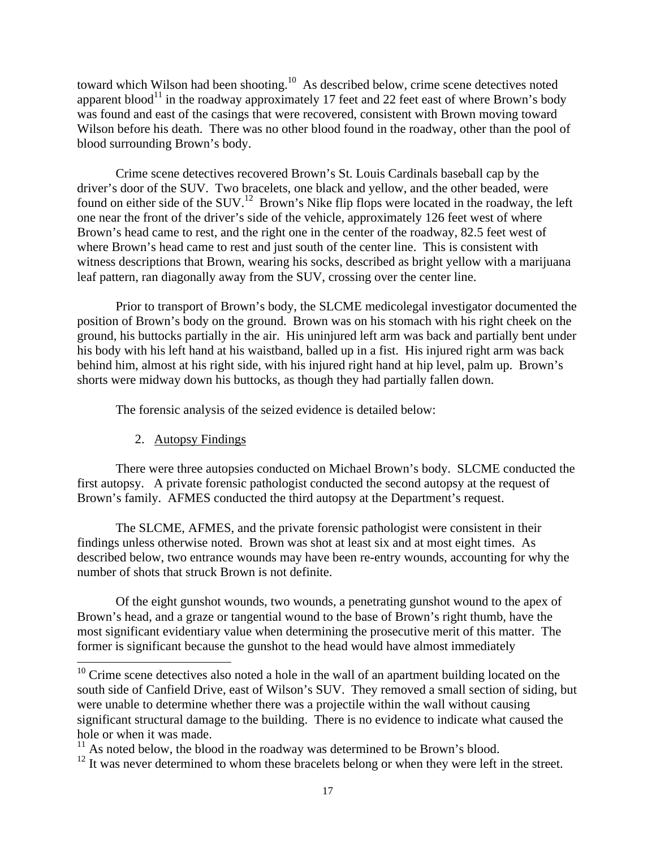<span id="page-16-0"></span>toward which Wilson had been shooting.<sup>10</sup> As described below, crime scene detectives noted apparent blood<sup>11</sup> in the roadway approximately 17 feet and 22 feet east of where Brown's body was found and east of the casings that were recovered, consistent with Brown moving toward Wilson before his death. There was no other blood found in the roadway, other than the pool of blood surrounding Brown's body.

Crime scene detectives recovered Brown's St. Louis Cardinals baseball cap by the driver's door of the SUV. Two bracelets, one black and yellow, and the other beaded, were found on either side of the SUV.<sup>12</sup> Brown's Nike flip flops were located in the roadway, the left one near the front of the driver's side of the vehicle, approximately 126 feet west of where Brown's head came to rest, and the right one in the center of the roadway, 82.5 feet west of where Brown's head came to rest and just south of the center line. This is consistent with witness descriptions that Brown, wearing his socks, described as bright yellow with a marijuana leaf pattern, ran diagonally away from the SUV, crossing over the center line.

Prior to transport of Brown's body, the SLCME medicolegal investigator documented the position of Brown's body on the ground. Brown was on his stomach with his right cheek on the ground, his buttocks partially in the air. His uninjured left arm was back and partially bent under his body with his left hand at his waistband, balled up in a fist. His injured right arm was back behind him, almost at his right side, with his injured right hand at hip level, palm up. Brown's shorts were midway down his buttocks, as though they had partially fallen down.

The forensic analysis of the seized evidence is detailed below:

2. Autopsy Findings

 $\overline{a}$ 

There were three autopsies conducted on Michael Brown's body. SLCME conducted the first autopsy. A private forensic pathologist conducted the second autopsy at the request of Brown's family. AFMES conducted the third autopsy at the Department's request.

The SLCME, AFMES, and the private forensic pathologist were consistent in their findings unless otherwise noted. Brown was shot at least six and at most eight times. As described below, two entrance wounds may have been re-entry wounds, accounting for why the number of shots that struck Brown is not definite.

Of the eight gunshot wounds, two wounds, a penetrating gunshot wound to the apex of Brown's head, and a graze or tangential wound to the base of Brown's right thumb, have the most significant evidentiary value when determining the prosecutive merit of this matter. The former is significant because the gunshot to the head would have almost immediately

 $10$  Crime scene detectives also noted a hole in the wall of an apartment building located on the south side of Canfield Drive, east of Wilson's SUV. They removed a small section of siding, but were unable to determine whether there was a projectile within the wall without causing significant structural damage to the building. There is no evidence to indicate what caused the hole or when it was made.

 $11$  As noted below, the blood in the roadway was determined to be Brown's blood.

 $12$  It was never determined to whom these bracelets belong or when they were left in the street.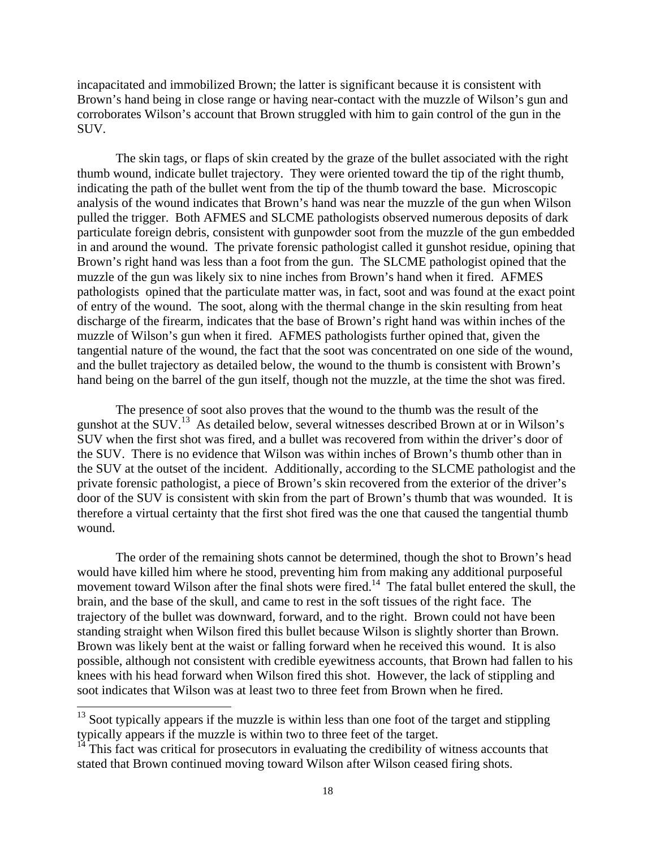<span id="page-17-0"></span>incapacitated and immobilized Brown; the latter is significant because it is consistent with Brown's hand being in close range or having near-contact with the muzzle of Wilson's gun and corroborates Wilson's account that Brown struggled with him to gain control of the gun in the SUV.

The skin tags, or flaps of skin created by the graze of the bullet associated with the right thumb wound, indicate bullet trajectory. They were oriented toward the tip of the right thumb, indicating the path of the bullet went from the tip of the thumb toward the base. Microscopic analysis of the wound indicates that Brown's hand was near the muzzle of the gun when Wilson pulled the trigger. Both AFMES and SLCME pathologists observed numerous deposits of dark particulate foreign debris, consistent with gunpowder soot from the muzzle of the gun embedded in and around the wound. The private forensic pathologist called it gunshot residue, opining that Brown's right hand was less than a foot from the gun. The SLCME pathologist opined that the muzzle of the gun was likely six to nine inches from Brown's hand when it fired. AFMES pathologists opined that the particulate matter was, in fact, soot and was found at the exact point of entry of the wound. The soot, along with the thermal change in the skin resulting from heat discharge of the firearm, indicates that the base of Brown's right hand was within inches of the muzzle of Wilson's gun when it fired. AFMES pathologists further opined that, given the tangential nature of the wound, the fact that the soot was concentrated on one side of the wound, and the bullet trajectory as detailed below, the wound to the thumb is consistent with Brown's hand being on the barrel of the gun itself, though not the muzzle, at the time the shot was fired.

The presence of soot also proves that the wound to the thumb was the result of the gunshot at the SUV.13 As detailed below, several witnesses described Brown at or in Wilson's SUV when the first shot was fired, and a bullet was recovered from within the driver's door of the SUV. There is no evidence that Wilson was within inches of Brown's thumb other than in the SUV at the outset of the incident. Additionally, according to the SLCME pathologist and the private forensic pathologist, a piece of Brown's skin recovered from the exterior of the driver's door of the SUV is consistent with skin from the part of Brown's thumb that was wounded. It is therefore a virtual certainty that the first shot fired was the one that caused the tangential thumb wound.

The order of the remaining shots cannot be determined, though the shot to Brown's head would have killed him where he stood, preventing him from making any additional purposeful movement toward Wilson after the final shots were fired.<sup>14</sup> The fatal bullet entered the skull, the brain, and the base of the skull, and came to rest in the soft tissues of the right face. The trajectory of the bullet was downward, forward, and to the right. Brown could not have been standing straight when Wilson fired this bullet because Wilson is slightly shorter than Brown. Brown was likely bent at the waist or falling forward when he received this wound. It is also possible, although not consistent with credible eyewitness accounts, that Brown had fallen to his knees with his head forward when Wilson fired this shot. However, the lack of stippling and soot indicates that Wilson was at least two to three feet from Brown when he fired.

 $13$  Soot typically appears if the muzzle is within less than one foot of the target and stippling typically appears if the muzzle is within two to three feet of the target.

<sup>14</sup> This fact was critical for prosecutors in evaluating the credibility of witness accounts that stated that Brown continued moving toward Wilson after Wilson ceased firing shots.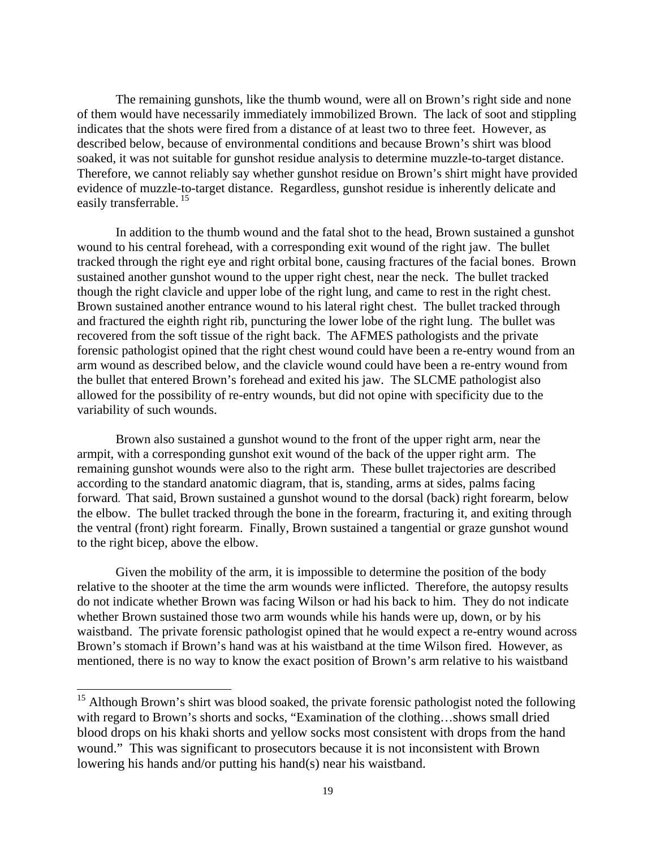easily transferrable.<sup>15</sup> The remaining gunshots, like the thumb wound, were all on Brown's right side and none of them would have necessarily immediately immobilized Brown. The lack of soot and stippling indicates that the shots were fired from a distance of at least two to three feet. However, as described below, because of environmental conditions and because Brown's shirt was blood soaked, it was not suitable for gunshot residue analysis to determine muzzle-to-target distance. Therefore, we cannot reliably say whether gunshot residue on Brown's shirt might have provided evidence of muzzle-to-target distance. Regardless, gunshot residue is inherently delicate and

In addition to the thumb wound and the fatal shot to the head, Brown sustained a gunshot wound to his central forehead, with a corresponding exit wound of the right jaw. The bullet tracked through the right eye and right orbital bone, causing fractures of the facial bones. Brown sustained another gunshot wound to the upper right chest, near the neck. The bullet tracked though the right clavicle and upper lobe of the right lung, and came to rest in the right chest. Brown sustained another entrance wound to his lateral right chest. The bullet tracked through and fractured the eighth right rib, puncturing the lower lobe of the right lung. The bullet was recovered from the soft tissue of the right back. The AFMES pathologists and the private forensic pathologist opined that the right chest wound could have been a re-entry wound from an arm wound as described below, and the clavicle wound could have been a re-entry wound from the bullet that entered Brown's forehead and exited his jaw. The SLCME pathologist also allowed for the possibility of re-entry wounds, but did not opine with specificity due to the variability of such wounds.

Brown also sustained a gunshot wound to the front of the upper right arm, near the armpit, with a corresponding gunshot exit wound of the back of the upper right arm. The remaining gunshot wounds were also to the right arm. These bullet trajectories are described according to the standard anatomic diagram, that is, standing, arms at sides, palms facing forward. That said, Brown sustained a gunshot wound to the dorsal (back) right forearm, below the elbow. The bullet tracked through the bone in the forearm, fracturing it, and exiting through the ventral (front) right forearm. Finally, Brown sustained a tangential or graze gunshot wound to the right bicep, above the elbow.

Given the mobility of the arm, it is impossible to determine the position of the body relative to the shooter at the time the arm wounds were inflicted. Therefore, the autopsy results do not indicate whether Brown was facing Wilson or had his back to him. They do not indicate whether Brown sustained those two arm wounds while his hands were up, down, or by his waistband. The private forensic pathologist opined that he would expect a re-entry wound across Brown's stomach if Brown's hand was at his waistband at the time Wilson fired. However, as mentioned, there is no way to know the exact position of Brown's arm relative to his waistband

<sup>&</sup>lt;sup>15</sup> Although Brown's shirt was blood soaked, the private forensic pathologist noted the following with regard to Brown's shorts and socks, "Examination of the clothing…shows small dried blood drops on his khaki shorts and yellow socks most consistent with drops from the hand wound." This was significant to prosecutors because it is not inconsistent with Brown lowering his hands and/or putting his hand(s) near his waistband.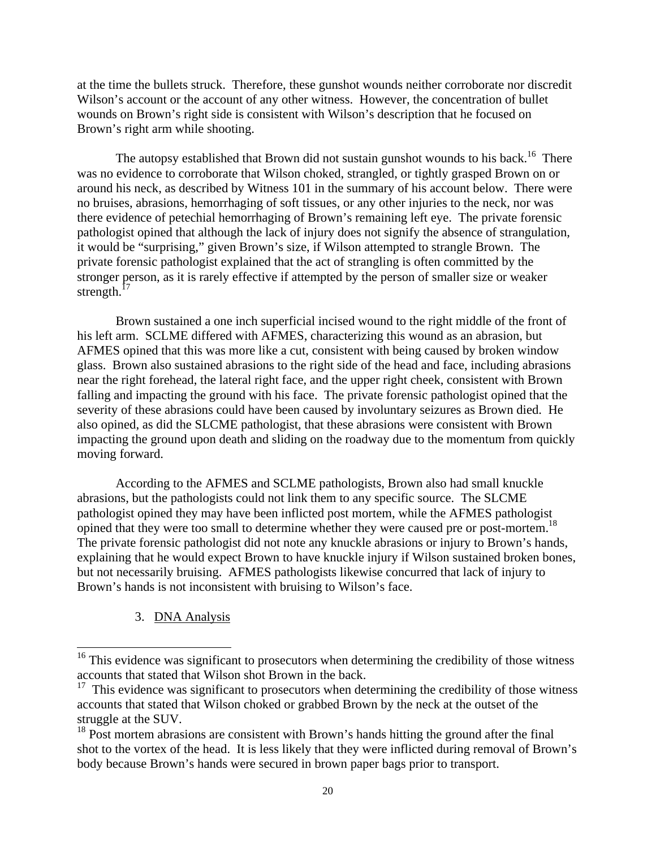<span id="page-19-0"></span>at the time the bullets struck. Therefore, these gunshot wounds neither corroborate nor discredit Wilson's account or the account of any other witness. However, the concentration of bullet wounds on Brown's right side is consistent with Wilson's description that he focused on Brown's right arm while shooting.

The autopsy established that Brown did not sustain gunshot wounds to his back.<sup>16</sup> There was no evidence to corroborate that Wilson choked, strangled, or tightly grasped Brown on or around his neck, as described by Witness 101 in the summary of his account below. There were no bruises, abrasions, hemorrhaging of soft tissues, or any other injuries to the neck, nor was there evidence of petechial hemorrhaging of Brown's remaining left eye. The private forensic pathologist opined that although the lack of injury does not signify the absence of strangulation, it would be "surprising," given Brown's size, if Wilson attempted to strangle Brown. The private forensic pathologist explained that the act of strangling is often committed by the stronger person, as it is rarely effective if attempted by the person of smaller size or weaker strength. $^{17}$ 

Brown sustained a one inch superficial incised wound to the right middle of the front of his left arm. SCLME differed with AFMES, characterizing this wound as an abrasion, but AFMES opined that this was more like a cut, consistent with being caused by broken window glass. Brown also sustained abrasions to the right side of the head and face, including abrasions near the right forehead, the lateral right face, and the upper right cheek, consistent with Brown falling and impacting the ground with his face. The private forensic pathologist opined that the severity of these abrasions could have been caused by involuntary seizures as Brown died. He also opined, as did the SLCME pathologist, that these abrasions were consistent with Brown impacting the ground upon death and sliding on the roadway due to the momentum from quickly moving forward.

opined that they were too small to determine whether they were caused pre or post-mortem.<sup>18</sup> According to the AFMES and SCLME pathologists, Brown also had small knuckle abrasions, but the pathologists could not link them to any specific source. The SLCME pathologist opined they may have been inflicted post mortem, while the AFMES pathologist The private forensic pathologist did not note any knuckle abrasions or injury to Brown's hands, explaining that he would expect Brown to have knuckle injury if Wilson sustained broken bones, but not necessarily bruising. AFMES pathologists likewise concurred that lack of injury to Brown's hands is not inconsistent with bruising to Wilson's face.

#### 3. DNA Analysis

 $16$  This evidence was significant to prosecutors when determining the credibility of those witness accounts that stated that Wilson shot Brown in the back.

 $17$  This evidence was significant to prosecutors when determining the credibility of those witness accounts that stated that Wilson choked or grabbed Brown by the neck at the outset of the struggle at the SUV.

 $18$  Post mortem abrasions are consistent with Brown's hands hitting the ground after the final shot to the vortex of the head. It is less likely that they were inflicted during removal of Brown's body because Brown's hands were secured in brown paper bags prior to transport.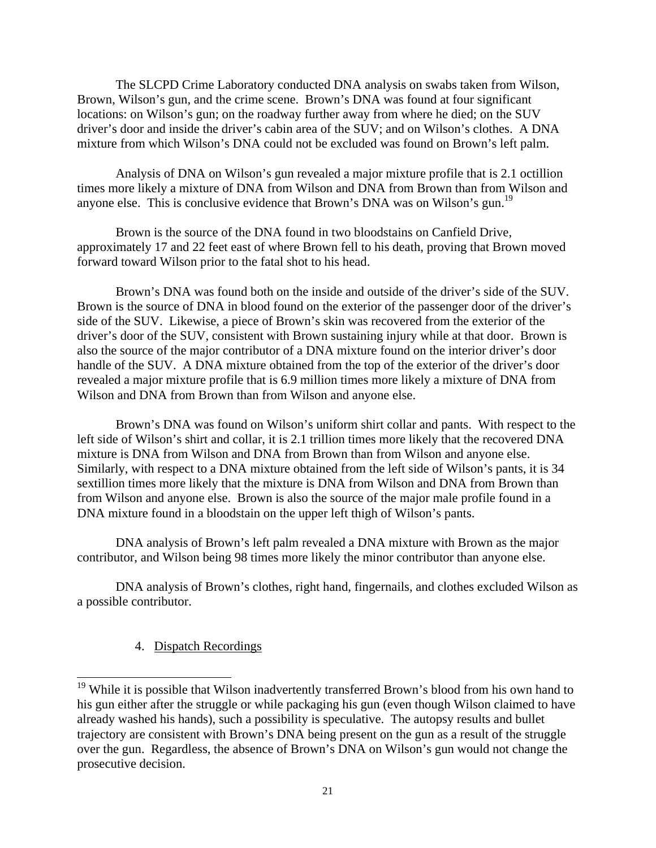<span id="page-20-0"></span>The SLCPD Crime Laboratory conducted DNA analysis on swabs taken from Wilson, Brown, Wilson's gun, and the crime scene. Brown's DNA was found at four significant locations: on Wilson's gun; on the roadway further away from where he died; on the SUV driver's door and inside the driver's cabin area of the SUV; and on Wilson's clothes. A DNA mixture from which Wilson's DNA could not be excluded was found on Brown's left palm.

anyone else. This is conclusive evidence that Brown's DNA was on Wilson's gun.<sup>19</sup> Analysis of DNA on Wilson's gun revealed a major mixture profile that is 2.1 octillion times more likely a mixture of DNA from Wilson and DNA from Brown than from Wilson and

Brown is the source of the DNA found in two bloodstains on Canfield Drive, approximately 17 and 22 feet east of where Brown fell to his death, proving that Brown moved forward toward Wilson prior to the fatal shot to his head.

Brown's DNA was found both on the inside and outside of the driver's side of the SUV. Brown is the source of DNA in blood found on the exterior of the passenger door of the driver's side of the SUV. Likewise, a piece of Brown's skin was recovered from the exterior of the driver's door of the SUV, consistent with Brown sustaining injury while at that door. Brown is also the source of the major contributor of a DNA mixture found on the interior driver's door handle of the SUV. A DNA mixture obtained from the top of the exterior of the driver's door revealed a major mixture profile that is 6.9 million times more likely a mixture of DNA from Wilson and DNA from Brown than from Wilson and anyone else.

Brown's DNA was found on Wilson's uniform shirt collar and pants. With respect to the left side of Wilson's shirt and collar, it is 2.1 trillion times more likely that the recovered DNA mixture is DNA from Wilson and DNA from Brown than from Wilson and anyone else. Similarly, with respect to a DNA mixture obtained from the left side of Wilson's pants, it is 34 sextillion times more likely that the mixture is DNA from Wilson and DNA from Brown than from Wilson and anyone else. Brown is also the source of the major male profile found in a DNA mixture found in a bloodstain on the upper left thigh of Wilson's pants.

DNA analysis of Brown's left palm revealed a DNA mixture with Brown as the major contributor, and Wilson being 98 times more likely the minor contributor than anyone else.

DNA analysis of Brown's clothes, right hand, fingernails, and clothes excluded Wilson as a possible contributor.

# 4. Dispatch Recordings

 $19$  While it is possible that Wilson inadvertently transferred Brown's blood from his own hand to his gun either after the struggle or while packaging his gun (even though Wilson claimed to have already washed his hands), such a possibility is speculative. The autopsy results and bullet trajectory are consistent with Brown's DNA being present on the gun as a result of the struggle over the gun. Regardless, the absence of Brown's DNA on Wilson's gun would not change the prosecutive decision.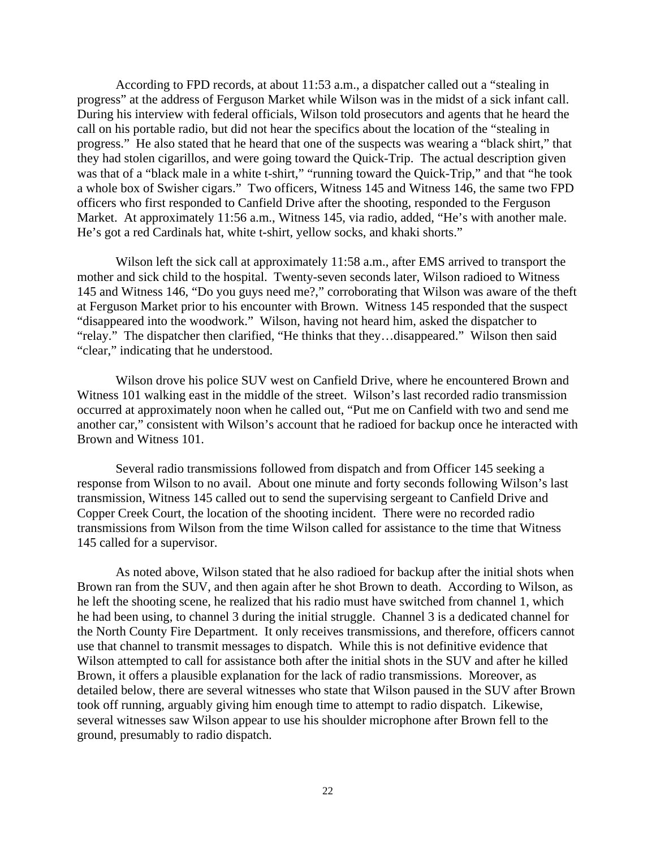According to FPD records, at about 11:53 a.m., a dispatcher called out a "stealing in progress" at the address of Ferguson Market while Wilson was in the midst of a sick infant call. During his interview with federal officials, Wilson told prosecutors and agents that he heard the call on his portable radio, but did not hear the specifics about the location of the "stealing in progress." He also stated that he heard that one of the suspects was wearing a "black shirt," that they had stolen cigarillos, and were going toward the Quick-Trip. The actual description given was that of a "black male in a white t-shirt," "running toward the Quick-Trip," and that "he took a whole box of Swisher cigars." Two officers, Witness 145 and Witness 146, the same two FPD officers who first responded to Canfield Drive after the shooting, responded to the Ferguson Market. At approximately 11:56 a.m., Witness 145, via radio, added, "He's with another male. He's got a red Cardinals hat, white t-shirt, yellow socks, and khaki shorts."

Wilson left the sick call at approximately 11:58 a.m., after EMS arrived to transport the mother and sick child to the hospital. Twenty-seven seconds later, Wilson radioed to Witness 145 and Witness 146, "Do you guys need me?," corroborating that Wilson was aware of the theft at Ferguson Market prior to his encounter with Brown. Witness 145 responded that the suspect "disappeared into the woodwork." Wilson, having not heard him, asked the dispatcher to "relay." The dispatcher then clarified, "He thinks that they…disappeared." Wilson then said "clear," indicating that he understood.

Wilson drove his police SUV west on Canfield Drive, where he encountered Brown and Witness 101 walking east in the middle of the street. Wilson's last recorded radio transmission occurred at approximately noon when he called out, "Put me on Canfield with two and send me another car," consistent with Wilson's account that he radioed for backup once he interacted with Brown and Witness 101.

Several radio transmissions followed from dispatch and from Officer 145 seeking a response from Wilson to no avail. About one minute and forty seconds following Wilson's last transmission, Witness 145 called out to send the supervising sergeant to Canfield Drive and Copper Creek Court, the location of the shooting incident. There were no recorded radio transmissions from Wilson from the time Wilson called for assistance to the time that Witness 145 called for a supervisor.

As noted above, Wilson stated that he also radioed for backup after the initial shots when Brown ran from the SUV, and then again after he shot Brown to death. According to Wilson, as he left the shooting scene, he realized that his radio must have switched from channel 1, which he had been using, to channel 3 during the initial struggle. Channel 3 is a dedicated channel for the North County Fire Department. It only receives transmissions, and therefore, officers cannot use that channel to transmit messages to dispatch. While this is not definitive evidence that Wilson attempted to call for assistance both after the initial shots in the SUV and after he killed Brown, it offers a plausible explanation for the lack of radio transmissions. Moreover, as detailed below, there are several witnesses who state that Wilson paused in the SUV after Brown took off running, arguably giving him enough time to attempt to radio dispatch. Likewise, several witnesses saw Wilson appear to use his shoulder microphone after Brown fell to the ground, presumably to radio dispatch.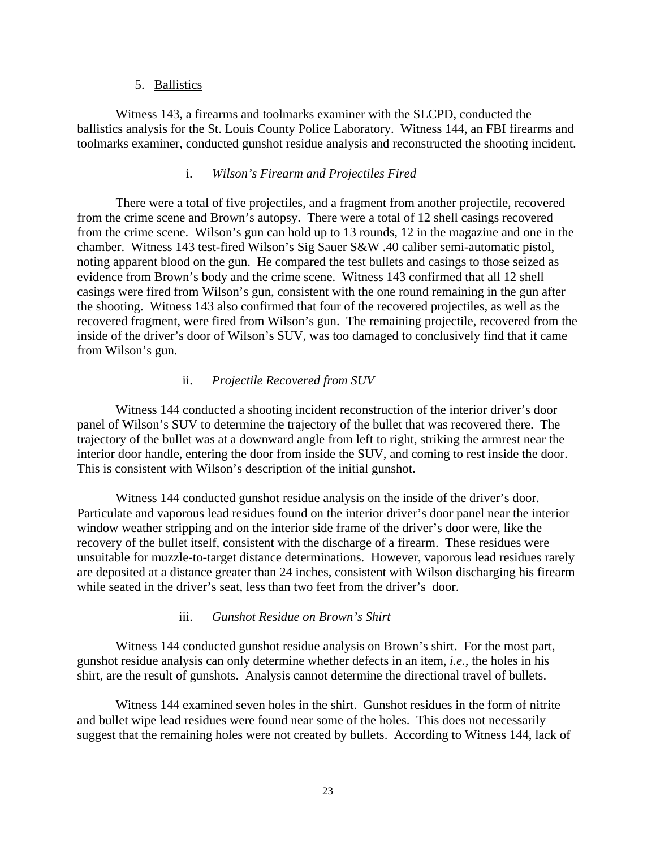## 5. Ballistics

<span id="page-22-0"></span>Witness 143, a firearms and toolmarks examiner with the SLCPD, conducted the ballistics analysis for the St. Louis County Police Laboratory. Witness 144, an FBI firearms and toolmarks examiner, conducted gunshot residue analysis and reconstructed the shooting incident.

# i. *Wilson's Firearm and Projectiles Fired*

There were a total of five projectiles, and a fragment from another projectile, recovered from the crime scene and Brown's autopsy. There were a total of 12 shell casings recovered from the crime scene. Wilson's gun can hold up to 13 rounds, 12 in the magazine and one in the chamber. Witness 143 test-fired Wilson's Sig Sauer S&W .40 caliber semi-automatic pistol, noting apparent blood on the gun. He compared the test bullets and casings to those seized as evidence from Brown's body and the crime scene. Witness 143 confirmed that all 12 shell casings were fired from Wilson's gun, consistent with the one round remaining in the gun after the shooting. Witness 143 also confirmed that four of the recovered projectiles, as well as the recovered fragment, were fired from Wilson's gun. The remaining projectile, recovered from the inside of the driver's door of Wilson's SUV, was too damaged to conclusively find that it came from Wilson's gun.

# ii. *Projectile Recovered from SUV*

Witness 144 conducted a shooting incident reconstruction of the interior driver's door panel of Wilson's SUV to determine the trajectory of the bullet that was recovered there. The trajectory of the bullet was at a downward angle from left to right, striking the armrest near the interior door handle, entering the door from inside the SUV, and coming to rest inside the door. This is consistent with Wilson's description of the initial gunshot.

Witness 144 conducted gunshot residue analysis on the inside of the driver's door. Particulate and vaporous lead residues found on the interior driver's door panel near the interior window weather stripping and on the interior side frame of the driver's door were, like the recovery of the bullet itself, consistent with the discharge of a firearm. These residues were unsuitable for muzzle-to-target distance determinations. However, vaporous lead residues rarely are deposited at a distance greater than 24 inches, consistent with Wilson discharging his firearm while seated in the driver's seat, less than two feet from the driver's door.

# iii. *Gunshot Residue on Brown's Shirt*

Witness 144 conducted gunshot residue analysis on Brown's shirt. For the most part, gunshot residue analysis can only determine whether defects in an item, *i.e.,* the holes in his shirt, are the result of gunshots. Analysis cannot determine the directional travel of bullets.

Witness 144 examined seven holes in the shirt. Gunshot residues in the form of nitrite and bullet wipe lead residues were found near some of the holes. This does not necessarily suggest that the remaining holes were not created by bullets. According to Witness 144, lack of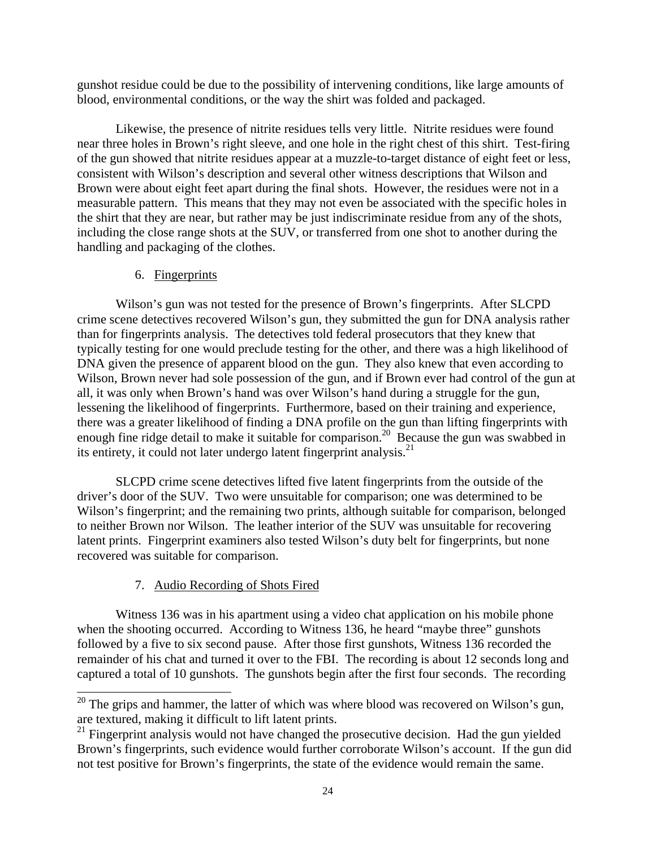<span id="page-23-0"></span>gunshot residue could be due to the possibility of intervening conditions, like large amounts of blood, environmental conditions, or the way the shirt was folded and packaged.

handling and packaging of the clothes.<br>6. Fingerprints Likewise, the presence of nitrite residues tells very little. Nitrite residues were found near three holes in Brown's right sleeve, and one hole in the right chest of this shirt. Test-firing of the gun showed that nitrite residues appear at a muzzle-to-target distance of eight feet or less, consistent with Wilson's description and several other witness descriptions that Wilson and Brown were about eight feet apart during the final shots. However, the residues were not in a measurable pattern. This means that they may not even be associated with the specific holes in the shirt that they are near, but rather may be just indiscriminate residue from any of the shots, including the close range shots at the SUV, or transferred from one shot to another during the

its entirety, it could not later undergo latent fingerprint analysis. $^{21}$ Wilson's gun was not tested for the presence of Brown's fingerprints. After SLCPD crime scene detectives recovered Wilson's gun, they submitted the gun for DNA analysis rather than for fingerprints analysis. The detectives told federal prosecutors that they knew that typically testing for one would preclude testing for the other, and there was a high likelihood of DNA given the presence of apparent blood on the gun. They also knew that even according to Wilson, Brown never had sole possession of the gun, and if Brown ever had control of the gun at all, it was only when Brown's hand was over Wilson's hand during a struggle for the gun, lessening the likelihood of fingerprints. Furthermore, based on their training and experience, there was a greater likelihood of finding a DNA profile on the gun than lifting fingerprints with enough fine ridge detail to make it suitable for comparison.<sup>20</sup> Because the gun was swabbed in

SLCPD crime scene detectives lifted five latent fingerprints from the outside of the driver's door of the SUV. Two were unsuitable for comparison; one was determined to be Wilson's fingerprint; and the remaining two prints, although suitable for comparison, belonged to neither Brown nor Wilson. The leather interior of the SUV was unsuitable for recovering latent prints. Fingerprint examiners also tested Wilson's duty belt for fingerprints, but none recovered was suitable for comparison.

# 7. Audio Recording of Shots Fired

l

Witness 136 was in his apartment using a video chat application on his mobile phone when the shooting occurred. According to Witness 136, he heard "maybe three" gunshots followed by a five to six second pause. After those first gunshots, Witness 136 recorded the remainder of his chat and turned it over to the FBI. The recording is about 12 seconds long and captured a total of 10 gunshots. The gunshots begin after the first four seconds. The recording

 $20$  The grips and hammer, the latter of which was where blood was recovered on Wilson's gun, are textured, making it difficult to lift latent prints.

 $21$  Fingerprint analysis would not have changed the prosecutive decision. Had the gun yielded Brown's fingerprints, such evidence would further corroborate Wilson's account. If the gun did not test positive for Brown's fingerprints, the state of the evidence would remain the same.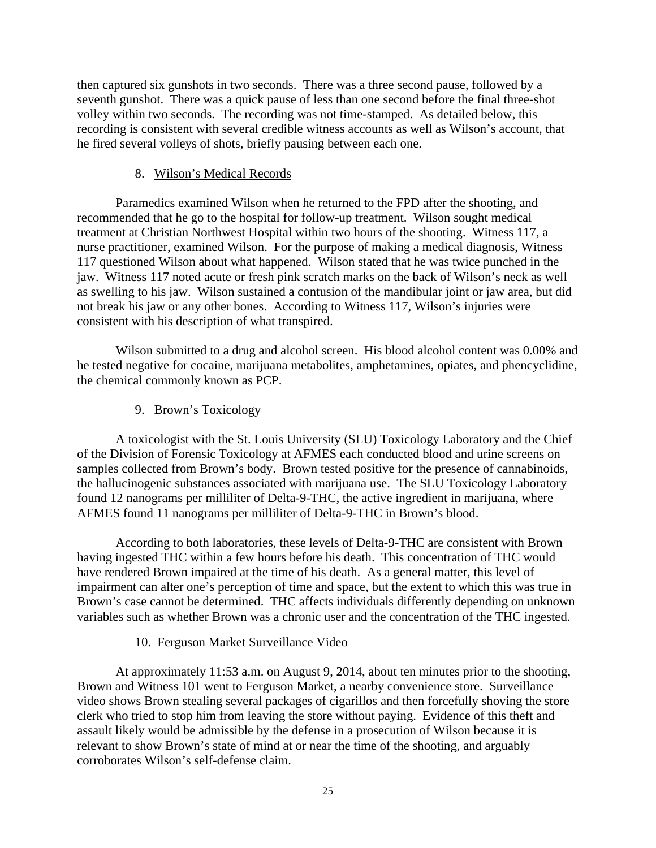<span id="page-24-0"></span>then captured six gunshots in two seconds. There was a three second pause, followed by a seventh gunshot. There was a quick pause of less than one second before the final three-shot volley within two seconds. The recording was not time-stamped. As detailed below, this recording is consistent with several credible witness accounts as well as Wilson's account, that he fired several volleys of shots, briefly pausing between each one.

# 8. Wilson's Medical Records

Paramedics examined Wilson when he returned to the FPD after the shooting, and recommended that he go to the hospital for follow-up treatment. Wilson sought medical treatment at Christian Northwest Hospital within two hours of the shooting. Witness 117, a nurse practitioner, examined Wilson. For the purpose of making a medical diagnosis, Witness 117 questioned Wilson about what happened. Wilson stated that he was twice punched in the jaw. Witness 117 noted acute or fresh pink scratch marks on the back of Wilson's neck as well as swelling to his jaw. Wilson sustained a contusion of the mandibular joint or jaw area, but did not break his jaw or any other bones. According to Witness 117, Wilson's injuries were consistent with his description of what transpired.

Wilson submitted to a drug and alcohol screen. His blood alcohol content was 0.00% and he tested negative for cocaine, marijuana metabolites, amphetamines, opiates, and phencyclidine, the chemical commonly known as PCP.

# 9. Brown's Toxicology

A toxicologist with the St. Louis University (SLU) Toxicology Laboratory and the Chief of the Division of Forensic Toxicology at AFMES each conducted blood and urine screens on samples collected from Brown's body. Brown tested positive for the presence of cannabinoids, the hallucinogenic substances associated with marijuana use. The SLU Toxicology Laboratory found 12 nanograms per milliliter of Delta-9-THC, the active ingredient in marijuana, where AFMES found 11 nanograms per milliliter of Delta-9-THC in Brown's blood.

According to both laboratories, these levels of Delta-9-THC are consistent with Brown having ingested THC within a few hours before his death. This concentration of THC would have rendered Brown impaired at the time of his death. As a general matter, this level of impairment can alter one's perception of time and space, but the extent to which this was true in Brown's case cannot be determined. THC affects individuals differently depending on unknown variables such as whether Brown was a chronic user and the concentration of the THC ingested.

#### 10. Ferguson Market Surveillance Video

At approximately 11:53 a.m. on August 9, 2014, about ten minutes prior to the shooting, Brown and Witness 101 went to Ferguson Market, a nearby convenience store. Surveillance video shows Brown stealing several packages of cigarillos and then forcefully shoving the store clerk who tried to stop him from leaving the store without paying. Evidence of this theft and assault likely would be admissible by the defense in a prosecution of Wilson because it is relevant to show Brown's state of mind at or near the time of the shooting, and arguably corroborates Wilson's self-defense claim.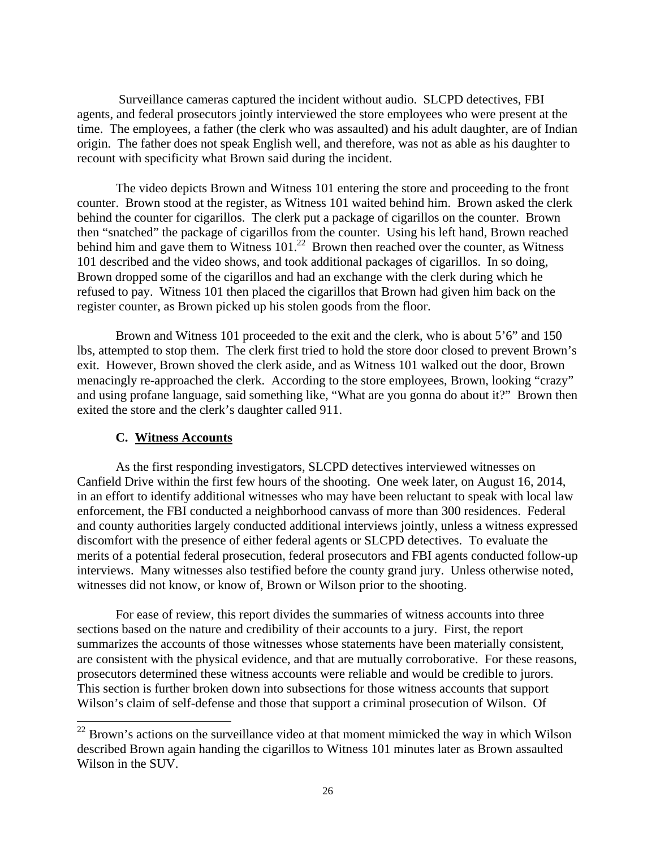<span id="page-25-0"></span> Surveillance cameras captured the incident without audio. SLCPD detectives, FBI agents, and federal prosecutors jointly interviewed the store employees who were present at the time. The employees, a father (the clerk who was assaulted) and his adult daughter, are of Indian origin. The father does not speak English well, and therefore, was not as able as his daughter to recount with specificity what Brown said during the incident.

The video depicts Brown and Witness 101 entering the store and proceeding to the front counter. Brown stood at the register, as Witness 101 waited behind him. Brown asked the clerk behind the counter for cigarillos. The clerk put a package of cigarillos on the counter. Brown then "snatched" the package of cigarillos from the counter. Using his left hand, Brown reached behind him and gave them to Witness  $101<sup>22</sup>$  Brown then reached over the counter, as Witness 101 described and the video shows, and took additional packages of cigarillos. In so doing, Brown dropped some of the cigarillos and had an exchange with the clerk during which he refused to pay. Witness 101 then placed the cigarillos that Brown had given him back on the register counter, as Brown picked up his stolen goods from the floor.

Brown and Witness 101 proceeded to the exit and the clerk, who is about 5'6" and 150 lbs, attempted to stop them. The clerk first tried to hold the store door closed to prevent Brown's exit. However, Brown shoved the clerk aside, and as Witness 101 walked out the door, Brown menacingly re-approached the clerk. According to the store employees, Brown, looking "crazy" and using profane language, said something like, "What are you gonna do about it?" Brown then exited the store and the clerk's daughter called 911.

#### **C. Witness Accounts**

 $\overline{a}$ 

As the first responding investigators, SLCPD detectives interviewed witnesses on Canfield Drive within the first few hours of the shooting. One week later, on August 16, 2014, in an effort to identify additional witnesses who may have been reluctant to speak with local law enforcement, the FBI conducted a neighborhood canvass of more than 300 residences. Federal and county authorities largely conducted additional interviews jointly, unless a witness expressed discomfort with the presence of either federal agents or SLCPD detectives. To evaluate the merits of a potential federal prosecution, federal prosecutors and FBI agents conducted follow-up interviews. Many witnesses also testified before the county grand jury. Unless otherwise noted, witnesses did not know, or know of, Brown or Wilson prior to the shooting.

For ease of review, this report divides the summaries of witness accounts into three sections based on the nature and credibility of their accounts to a jury. First, the report summarizes the accounts of those witnesses whose statements have been materially consistent, are consistent with the physical evidence, and that are mutually corroborative. For these reasons, prosecutors determined these witness accounts were reliable and would be credible to jurors. This section is further broken down into subsections for those witness accounts that support Wilson's claim of self-defense and those that support a criminal prosecution of Wilson. Of

 $22$  Brown's actions on the surveillance video at that moment mimicked the way in which Wilson described Brown again handing the cigarillos to Witness 101 minutes later as Brown assaulted Wilson in the SUV.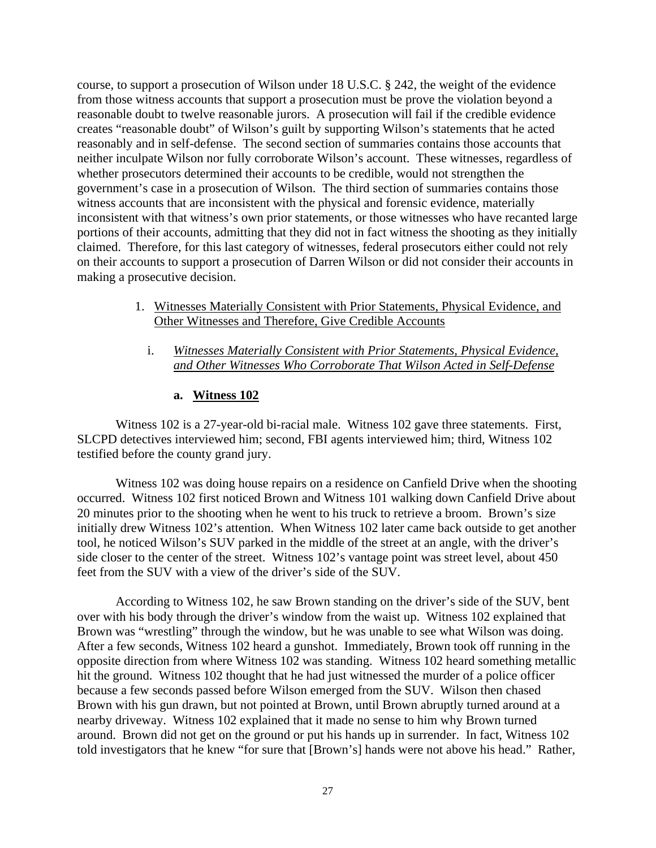<span id="page-26-0"></span>course, to support a prosecution of Wilson under 18 U.S.C. § 242, the weight of the evidence from those witness accounts that support a prosecution must be prove the violation beyond a reasonable doubt to twelve reasonable jurors. A prosecution will fail if the credible evidence creates "reasonable doubt" of Wilson's guilt by supporting Wilson's statements that he acted reasonably and in self-defense. The second section of summaries contains those accounts that neither inculpate Wilson nor fully corroborate Wilson's account. These witnesses, regardless of whether prosecutors determined their accounts to be credible, would not strengthen the government's case in a prosecution of Wilson. The third section of summaries contains those witness accounts that are inconsistent with the physical and forensic evidence, materially inconsistent with that witness's own prior statements, or those witnesses who have recanted large portions of their accounts, admitting that they did not in fact witness the shooting as they initially claimed. Therefore, for this last category of witnesses, federal prosecutors either could not rely on their accounts to support a prosecution of Darren Wilson or did not consider their accounts in making a prosecutive decision.

- 1. Witnesses Materially Consistent with Prior Statements, Physical Evidence, and Other Witnesses and Therefore, Give Credible Accounts
	- i. *Witnesses Materially Consistent with Prior Statements, Physical Evidence, and Other Witnesses Who Corroborate That Wilson Acted in Self-Defense*

# **a. Witness 102**

Witness 102 is a 27-year-old bi-racial male. Witness 102 gave three statements. First, SLCPD detectives interviewed him; second, FBI agents interviewed him; third, Witness 102 testified before the county grand jury.

Witness 102 was doing house repairs on a residence on Canfield Drive when the shooting occurred. Witness 102 first noticed Brown and Witness 101 walking down Canfield Drive about 20 minutes prior to the shooting when he went to his truck to retrieve a broom. Brown's size initially drew Witness 102's attention. When Witness 102 later came back outside to get another tool, he noticed Wilson's SUV parked in the middle of the street at an angle, with the driver's side closer to the center of the street. Witness 102's vantage point was street level, about 450 feet from the SUV with a view of the driver's side of the SUV.

According to Witness 102, he saw Brown standing on the driver's side of the SUV, bent over with his body through the driver's window from the waist up. Witness 102 explained that Brown was "wrestling" through the window, but he was unable to see what Wilson was doing. After a few seconds, Witness 102 heard a gunshot. Immediately, Brown took off running in the opposite direction from where Witness 102 was standing. Witness 102 heard something metallic hit the ground. Witness 102 thought that he had just witnessed the murder of a police officer because a few seconds passed before Wilson emerged from the SUV. Wilson then chased Brown with his gun drawn, but not pointed at Brown, until Brown abruptly turned around at a nearby driveway. Witness 102 explained that it made no sense to him why Brown turned around. Brown did not get on the ground or put his hands up in surrender. In fact, Witness 102 told investigators that he knew "for sure that [Brown's] hands were not above his head." Rather,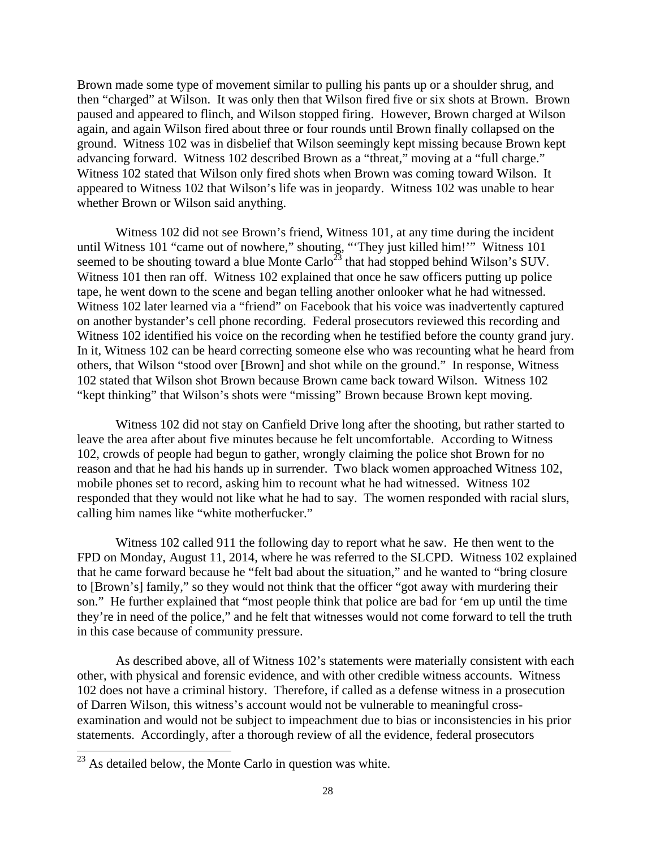Brown made some type of movement similar to pulling his pants up or a shoulder shrug, and then "charged" at Wilson. It was only then that Wilson fired five or six shots at Brown. Brown paused and appeared to flinch, and Wilson stopped firing. However, Brown charged at Wilson again, and again Wilson fired about three or four rounds until Brown finally collapsed on the ground. Witness 102 was in disbelief that Wilson seemingly kept missing because Brown kept advancing forward. Witness 102 described Brown as a "threat," moving at a "full charge." Witness 102 stated that Wilson only fired shots when Brown was coming toward Wilson. It appeared to Witness 102 that Wilson's life was in jeopardy. Witness 102 was unable to hear whether Brown or Wilson said anything.

Witness 102 did not see Brown's friend, Witness 101, at any time during the incident until Witness 101 "came out of nowhere," shouting, "'They just killed him!'" Witness 101 seemed to be shouting toward a blue Monte Carlo<sup>23</sup> that had stopped behind Wilson's SUV. Witness 101 then ran off. Witness 102 explained that once he saw officers putting up police tape, he went down to the scene and began telling another onlooker what he had witnessed. Witness 102 later learned via a "friend" on Facebook that his voice was inadvertently captured on another bystander's cell phone recording. Federal prosecutors reviewed this recording and Witness 102 identified his voice on the recording when he testified before the county grand jury. In it, Witness 102 can be heard correcting someone else who was recounting what he heard from others, that Wilson "stood over [Brown] and shot while on the ground." In response, Witness 102 stated that Wilson shot Brown because Brown came back toward Wilson. Witness 102 "kept thinking" that Wilson's shots were "missing" Brown because Brown kept moving.

Witness 102 did not stay on Canfield Drive long after the shooting, but rather started to leave the area after about five minutes because he felt uncomfortable. According to Witness 102, crowds of people had begun to gather, wrongly claiming the police shot Brown for no reason and that he had his hands up in surrender. Two black women approached Witness 102, mobile phones set to record, asking him to recount what he had witnessed. Witness 102 responded that they would not like what he had to say. The women responded with racial slurs, calling him names like "white motherfucker."

Witness 102 called 911 the following day to report what he saw. He then went to the FPD on Monday, August 11, 2014, where he was referred to the SLCPD. Witness 102 explained that he came forward because he "felt bad about the situation," and he wanted to "bring closure to [Brown's] family," so they would not think that the officer "got away with murdering their son." He further explained that "most people think that police are bad for 'em up until the time they're in need of the police," and he felt that witnesses would not come forward to tell the truth in this case because of community pressure.

As described above, all of Witness 102's statements were materially consistent with each other, with physical and forensic evidence, and with other credible witness accounts. Witness 102 does not have a criminal history. Therefore, if called as a defense witness in a prosecution of Darren Wilson, this witness's account would not be vulnerable to meaningful crossexamination and would not be subject to impeachment due to bias or inconsistencies in his prior statements. Accordingly, after a thorough review of all the evidence, federal prosecutors

 $^{23}$  As detailed below, the Monte Carlo in question was white.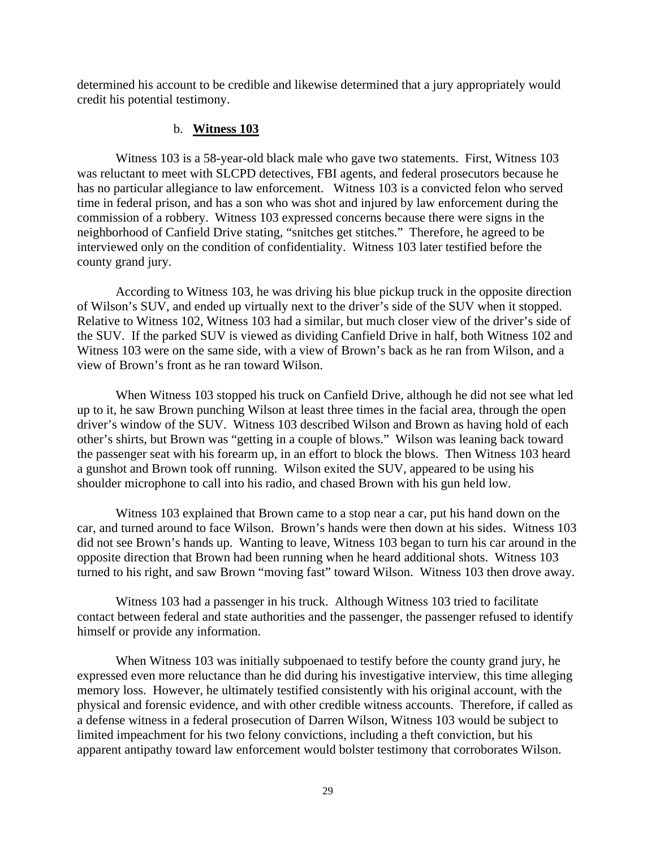determined his account to be credible and likewise determined that a jury appropriately would credit his potential testimony.

#### b. **Witness 103**

Witness 103 is a 58-year-old black male who gave two statements. First, Witness 103 was reluctant to meet with SLCPD detectives, FBI agents, and federal prosecutors because he has no particular allegiance to law enforcement. Witness 103 is a convicted felon who served time in federal prison, and has a son who was shot and injured by law enforcement during the commission of a robbery. Witness 103 expressed concerns because there were signs in the neighborhood of Canfield Drive stating, "snitches get stitches." Therefore, he agreed to be interviewed only on the condition of confidentiality. Witness 103 later testified before the county grand jury.

According to Witness 103, he was driving his blue pickup truck in the opposite direction of Wilson's SUV, and ended up virtually next to the driver's side of the SUV when it stopped. Relative to Witness 102, Witness 103 had a similar, but much closer view of the driver's side of the SUV. If the parked SUV is viewed as dividing Canfield Drive in half, both Witness 102 and Witness 103 were on the same side, with a view of Brown's back as he ran from Wilson, and a view of Brown's front as he ran toward Wilson.

When Witness 103 stopped his truck on Canfield Drive, although he did not see what led up to it, he saw Brown punching Wilson at least three times in the facial area, through the open driver's window of the SUV. Witness 103 described Wilson and Brown as having hold of each other's shirts, but Brown was "getting in a couple of blows." Wilson was leaning back toward the passenger seat with his forearm up, in an effort to block the blows. Then Witness 103 heard a gunshot and Brown took off running. Wilson exited the SUV, appeared to be using his shoulder microphone to call into his radio, and chased Brown with his gun held low.

Witness 103 explained that Brown came to a stop near a car, put his hand down on the car, and turned around to face Wilson. Brown's hands were then down at his sides. Witness 103 did not see Brown's hands up. Wanting to leave, Witness 103 began to turn his car around in the opposite direction that Brown had been running when he heard additional shots. Witness 103 turned to his right, and saw Brown "moving fast" toward Wilson. Witness 103 then drove away.

Witness 103 had a passenger in his truck. Although Witness 103 tried to facilitate contact between federal and state authorities and the passenger, the passenger refused to identify himself or provide any information.

When Witness 103 was initially subpoenaed to testify before the county grand jury, he expressed even more reluctance than he did during his investigative interview, this time alleging memory loss. However, he ultimately testified consistently with his original account, with the physical and forensic evidence, and with other credible witness accounts. Therefore, if called as a defense witness in a federal prosecution of Darren Wilson, Witness 103 would be subject to limited impeachment for his two felony convictions, including a theft conviction, but his apparent antipathy toward law enforcement would bolster testimony that corroborates Wilson.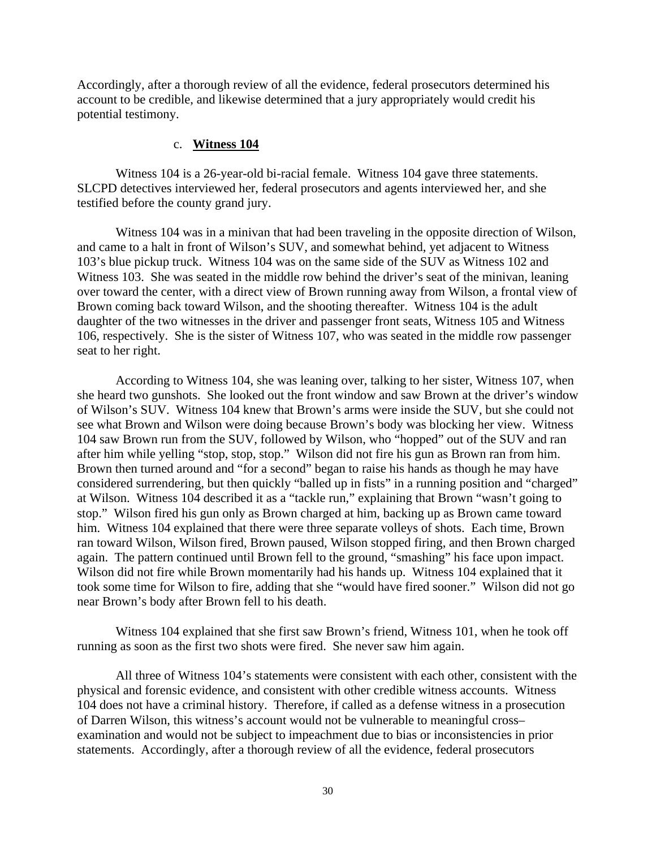Accordingly, after a thorough review of all the evidence, federal prosecutors determined his account to be credible, and likewise determined that a jury appropriately would credit his potential testimony.

#### c. **Witness 104**

Witness 104 is a 26-year-old bi-racial female. Witness 104 gave three statements. SLCPD detectives interviewed her, federal prosecutors and agents interviewed her, and she testified before the county grand jury.

Witness 104 was in a minivan that had been traveling in the opposite direction of Wilson, and came to a halt in front of Wilson's SUV, and somewhat behind, yet adjacent to Witness 103's blue pickup truck. Witness 104 was on the same side of the SUV as Witness 102 and Witness 103. She was seated in the middle row behind the driver's seat of the minivan, leaning over toward the center, with a direct view of Brown running away from Wilson, a frontal view of Brown coming back toward Wilson, and the shooting thereafter. Witness 104 is the adult daughter of the two witnesses in the driver and passenger front seats, Witness 105 and Witness 106, respectively. She is the sister of Witness 107, who was seated in the middle row passenger seat to her right.

According to Witness 104, she was leaning over, talking to her sister, Witness 107, when she heard two gunshots. She looked out the front window and saw Brown at the driver's window of Wilson's SUV. Witness 104 knew that Brown's arms were inside the SUV, but she could not see what Brown and Wilson were doing because Brown's body was blocking her view. Witness 104 saw Brown run from the SUV, followed by Wilson, who "hopped" out of the SUV and ran after him while yelling "stop, stop, stop." Wilson did not fire his gun as Brown ran from him. Brown then turned around and "for a second" began to raise his hands as though he may have considered surrendering, but then quickly "balled up in fists" in a running position and "charged" at Wilson. Witness 104 described it as a "tackle run," explaining that Brown "wasn't going to stop." Wilson fired his gun only as Brown charged at him, backing up as Brown came toward him. Witness 104 explained that there were three separate volleys of shots. Each time, Brown ran toward Wilson, Wilson fired, Brown paused, Wilson stopped firing, and then Brown charged again. The pattern continued until Brown fell to the ground, "smashing" his face upon impact. Wilson did not fire while Brown momentarily had his hands up. Witness 104 explained that it took some time for Wilson to fire, adding that she "would have fired sooner." Wilson did not go near Brown's body after Brown fell to his death.

Witness 104 explained that she first saw Brown's friend, Witness 101, when he took off running as soon as the first two shots were fired. She never saw him again.

All three of Witness 104's statements were consistent with each other, consistent with the physical and forensic evidence, and consistent with other credible witness accounts. Witness 104 does not have a criminal history. Therefore, if called as a defense witness in a prosecution of Darren Wilson, this witness's account would not be vulnerable to meaningful cross– examination and would not be subject to impeachment due to bias or inconsistencies in prior statements. Accordingly, after a thorough review of all the evidence, federal prosecutors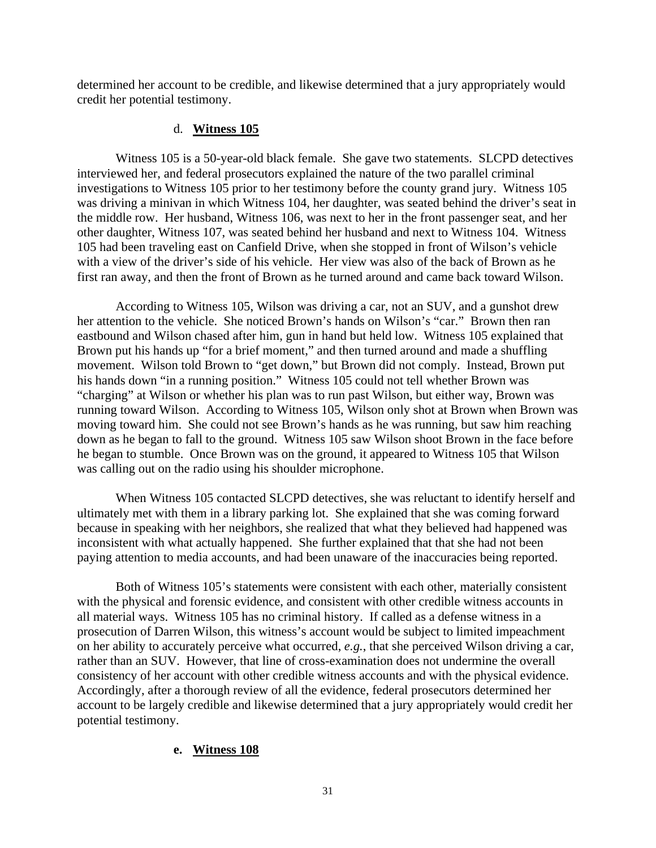determined her account to be credible, and likewise determined that a jury appropriately would credit her potential testimony.

# d. **Witness 105**

Witness 105 is a 50-year-old black female. She gave two statements. SLCPD detectives interviewed her, and federal prosecutors explained the nature of the two parallel criminal investigations to Witness 105 prior to her testimony before the county grand jury. Witness 105 was driving a minivan in which Witness 104, her daughter, was seated behind the driver's seat in the middle row. Her husband, Witness 106, was next to her in the front passenger seat, and her other daughter, Witness 107, was seated behind her husband and next to Witness 104. Witness 105 had been traveling east on Canfield Drive, when she stopped in front of Wilson's vehicle with a view of the driver's side of his vehicle. Her view was also of the back of Brown as he first ran away, and then the front of Brown as he turned around and came back toward Wilson.

According to Witness 105, Wilson was driving a car, not an SUV, and a gunshot drew her attention to the vehicle. She noticed Brown's hands on Wilson's "car." Brown then ran eastbound and Wilson chased after him, gun in hand but held low. Witness 105 explained that Brown put his hands up "for a brief moment," and then turned around and made a shuffling movement. Wilson told Brown to "get down," but Brown did not comply. Instead, Brown put his hands down "in a running position." Witness 105 could not tell whether Brown was "charging" at Wilson or whether his plan was to run past Wilson, but either way, Brown was running toward Wilson. According to Witness 105, Wilson only shot at Brown when Brown was moving toward him. She could not see Brown's hands as he was running, but saw him reaching down as he began to fall to the ground. Witness 105 saw Wilson shoot Brown in the face before he began to stumble. Once Brown was on the ground, it appeared to Witness 105 that Wilson was calling out on the radio using his shoulder microphone.

When Witness 105 contacted SLCPD detectives, she was reluctant to identify herself and ultimately met with them in a library parking lot. She explained that she was coming forward because in speaking with her neighbors, she realized that what they believed had happened was inconsistent with what actually happened. She further explained that that she had not been paying attention to media accounts, and had been unaware of the inaccuracies being reported.

Both of Witness 105's statements were consistent with each other, materially consistent with the physical and forensic evidence, and consistent with other credible witness accounts in all material ways. Witness 105 has no criminal history. If called as a defense witness in a prosecution of Darren Wilson, this witness's account would be subject to limited impeachment on her ability to accurately perceive what occurred, *e.g.*, that she perceived Wilson driving a car, rather than an SUV. However, that line of cross-examination does not undermine the overall consistency of her account with other credible witness accounts and with the physical evidence. Accordingly, after a thorough review of all the evidence, federal prosecutors determined her account to be largely credible and likewise determined that a jury appropriately would credit her potential testimony.

# **e. Witness 108**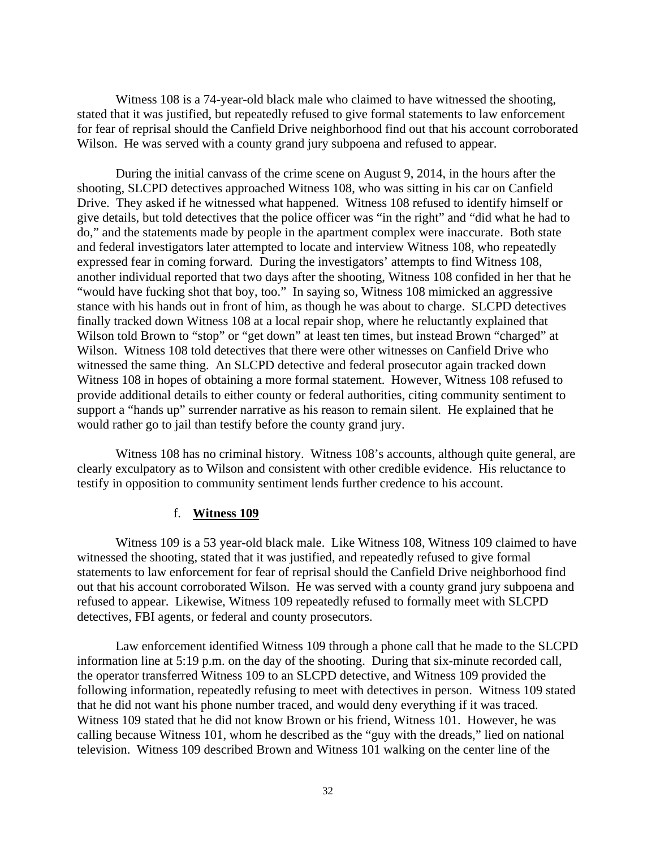Witness 108 is a 74-year-old black male who claimed to have witnessed the shooting, stated that it was justified, but repeatedly refused to give formal statements to law enforcement for fear of reprisal should the Canfield Drive neighborhood find out that his account corroborated Wilson. He was served with a county grand jury subpoena and refused to appear.

During the initial canvass of the crime scene on August 9, 2014, in the hours after the shooting, SLCPD detectives approached Witness 108, who was sitting in his car on Canfield Drive. They asked if he witnessed what happened. Witness 108 refused to identify himself or give details, but told detectives that the police officer was "in the right" and "did what he had to do," and the statements made by people in the apartment complex were inaccurate. Both state and federal investigators later attempted to locate and interview Witness 108, who repeatedly expressed fear in coming forward. During the investigators' attempts to find Witness 108, another individual reported that two days after the shooting, Witness 108 confided in her that he "would have fucking shot that boy, too." In saying so, Witness 108 mimicked an aggressive stance with his hands out in front of him, as though he was about to charge. SLCPD detectives finally tracked down Witness 108 at a local repair shop, where he reluctantly explained that Wilson told Brown to "stop" or "get down" at least ten times, but instead Brown "charged" at Wilson. Witness 108 told detectives that there were other witnesses on Canfield Drive who witnessed the same thing. An SLCPD detective and federal prosecutor again tracked down Witness 108 in hopes of obtaining a more formal statement. However, Witness 108 refused to provide additional details to either county or federal authorities, citing community sentiment to support a "hands up" surrender narrative as his reason to remain silent. He explained that he would rather go to jail than testify before the county grand jury.

Witness 108 has no criminal history. Witness 108's accounts, although quite general, are clearly exculpatory as to Wilson and consistent with other credible evidence. His reluctance to testify in opposition to community sentiment lends further credence to his account.

#### f. **Witness 109**

Witness 109 is a 53 year-old black male. Like Witness 108, Witness 109 claimed to have witnessed the shooting, stated that it was justified, and repeatedly refused to give formal statements to law enforcement for fear of reprisal should the Canfield Drive neighborhood find out that his account corroborated Wilson. He was served with a county grand jury subpoena and refused to appear. Likewise, Witness 109 repeatedly refused to formally meet with SLCPD detectives, FBI agents, or federal and county prosecutors.

Law enforcement identified Witness 109 through a phone call that he made to the SLCPD information line at 5:19 p.m. on the day of the shooting. During that six-minute recorded call, the operator transferred Witness 109 to an SLCPD detective, and Witness 109 provided the following information, repeatedly refusing to meet with detectives in person. Witness 109 stated that he did not want his phone number traced, and would deny everything if it was traced. Witness 109 stated that he did not know Brown or his friend, Witness 101. However, he was calling because Witness 101, whom he described as the "guy with the dreads," lied on national television. Witness 109 described Brown and Witness 101 walking on the center line of the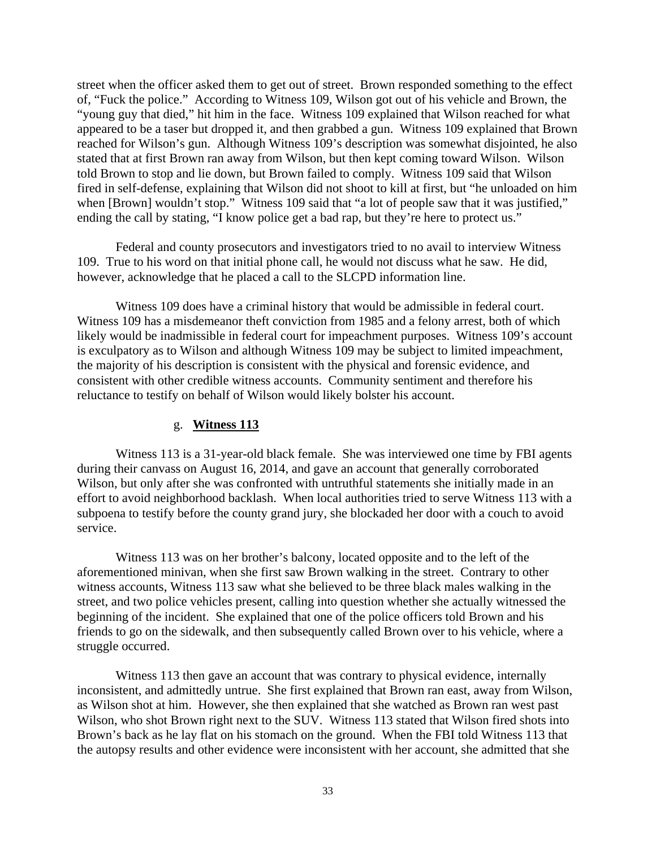street when the officer asked them to get out of street. Brown responded something to the effect of, "Fuck the police." According to Witness 109, Wilson got out of his vehicle and Brown, the "young guy that died," hit him in the face. Witness 109 explained that Wilson reached for what appeared to be a taser but dropped it, and then grabbed a gun. Witness 109 explained that Brown reached for Wilson's gun. Although Witness 109's description was somewhat disjointed, he also stated that at first Brown ran away from Wilson, but then kept coming toward Wilson. Wilson told Brown to stop and lie down, but Brown failed to comply. Witness 109 said that Wilson fired in self-defense, explaining that Wilson did not shoot to kill at first, but "he unloaded on him when [Brown] wouldn't stop." Witness 109 said that "a lot of people saw that it was justified," ending the call by stating, "I know police get a bad rap, but they're here to protect us."

Federal and county prosecutors and investigators tried to no avail to interview Witness 109. True to his word on that initial phone call, he would not discuss what he saw. He did, however, acknowledge that he placed a call to the SLCPD information line.

Witness 109 does have a criminal history that would be admissible in federal court. Witness 109 has a misdemeanor theft conviction from 1985 and a felony arrest, both of which likely would be inadmissible in federal court for impeachment purposes. Witness 109's account is exculpatory as to Wilson and although Witness 109 may be subject to limited impeachment, the majority of his description is consistent with the physical and forensic evidence, and consistent with other credible witness accounts. Community sentiment and therefore his reluctance to testify on behalf of Wilson would likely bolster his account.

#### g. **Witness 113**

Witness 113 is a 31-year-old black female. She was interviewed one time by FBI agents during their canvass on August 16, 2014, and gave an account that generally corroborated Wilson, but only after she was confronted with untruthful statements she initially made in an effort to avoid neighborhood backlash. When local authorities tried to serve Witness 113 with a subpoena to testify before the county grand jury, she blockaded her door with a couch to avoid service.

Witness 113 was on her brother's balcony, located opposite and to the left of the aforementioned minivan, when she first saw Brown walking in the street. Contrary to other witness accounts, Witness 113 saw what she believed to be three black males walking in the street, and two police vehicles present, calling into question whether she actually witnessed the beginning of the incident. She explained that one of the police officers told Brown and his friends to go on the sidewalk, and then subsequently called Brown over to his vehicle, where a struggle occurred.

Witness 113 then gave an account that was contrary to physical evidence, internally inconsistent, and admittedly untrue. She first explained that Brown ran east, away from Wilson, as Wilson shot at him. However, she then explained that she watched as Brown ran west past Wilson, who shot Brown right next to the SUV. Witness 113 stated that Wilson fired shots into Brown's back as he lay flat on his stomach on the ground. When the FBI told Witness 113 that the autopsy results and other evidence were inconsistent with her account, she admitted that she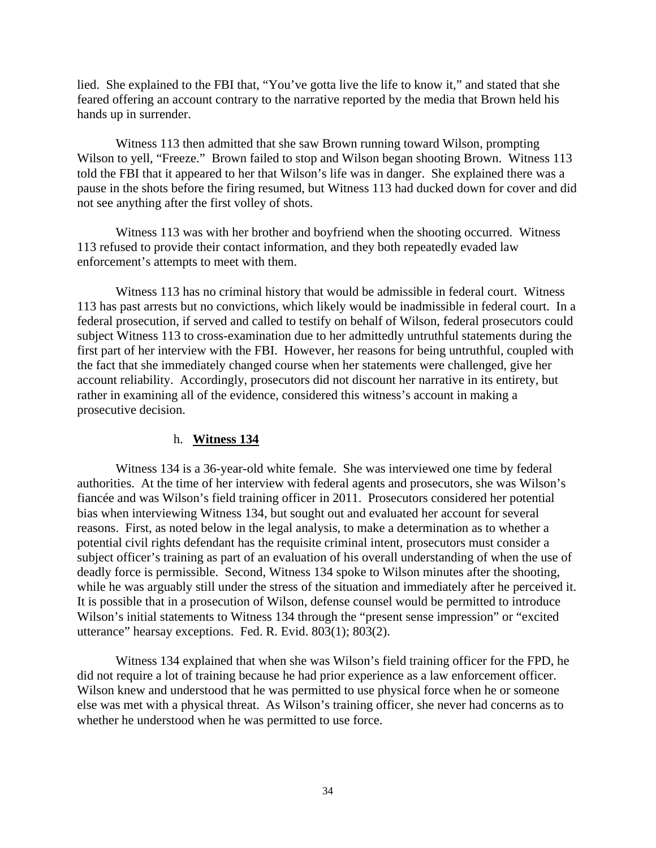lied. She explained to the FBI that, "You've gotta live the life to know it," and stated that she feared offering an account contrary to the narrative reported by the media that Brown held his hands up in surrender.

Witness 113 then admitted that she saw Brown running toward Wilson, prompting Wilson to yell, "Freeze." Brown failed to stop and Wilson began shooting Brown. Witness 113 told the FBI that it appeared to her that Wilson's life was in danger. She explained there was a pause in the shots before the firing resumed, but Witness 113 had ducked down for cover and did not see anything after the first volley of shots.

Witness 113 was with her brother and boyfriend when the shooting occurred. Witness 113 refused to provide their contact information, and they both repeatedly evaded law enforcement's attempts to meet with them.

Witness 113 has no criminal history that would be admissible in federal court. Witness 113 has past arrests but no convictions, which likely would be inadmissible in federal court. In a federal prosecution, if served and called to testify on behalf of Wilson, federal prosecutors could subject Witness 113 to cross-examination due to her admittedly untruthful statements during the first part of her interview with the FBI. However, her reasons for being untruthful, coupled with the fact that she immediately changed course when her statements were challenged, give her account reliability. Accordingly, prosecutors did not discount her narrative in its entirety, but rather in examining all of the evidence, considered this witness's account in making a prosecutive decision.

## h. **Witness 134**

Witness 134 is a 36-year-old white female. She was interviewed one time by federal authorities. At the time of her interview with federal agents and prosecutors, she was Wilson's fiancée and was Wilson's field training officer in 2011. Prosecutors considered her potential bias when interviewing Witness 134, but sought out and evaluated her account for several reasons. First, as noted below in the legal analysis, to make a determination as to whether a potential civil rights defendant has the requisite criminal intent, prosecutors must consider a subject officer's training as part of an evaluation of his overall understanding of when the use of deadly force is permissible. Second, Witness 134 spoke to Wilson minutes after the shooting, while he was arguably still under the stress of the situation and immediately after he perceived it. It is possible that in a prosecution of Wilson, defense counsel would be permitted to introduce Wilson's initial statements to Witness 134 through the "present sense impression" or "excited" utterance" hearsay exceptions. Fed. R. Evid. 803(1); 803(2).

Witness 134 explained that when she was Wilson's field training officer for the FPD, he did not require a lot of training because he had prior experience as a law enforcement officer. Wilson knew and understood that he was permitted to use physical force when he or someone else was met with a physical threat. As Wilson's training officer, she never had concerns as to whether he understood when he was permitted to use force.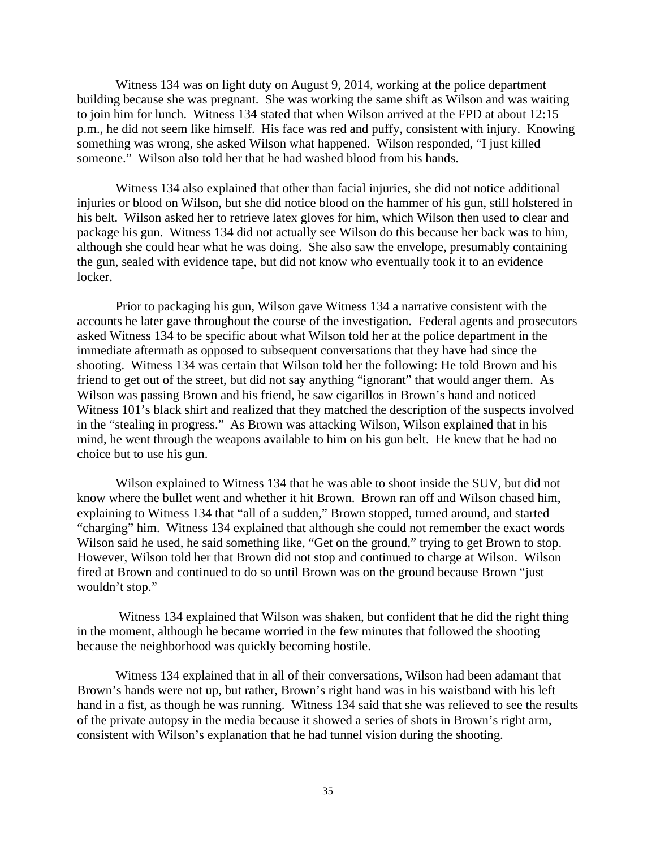Witness 134 was on light duty on August 9, 2014, working at the police department building because she was pregnant. She was working the same shift as Wilson and was waiting to join him for lunch. Witness 134 stated that when Wilson arrived at the FPD at about 12:15 p.m., he did not seem like himself. His face was red and puffy, consistent with injury. Knowing something was wrong, she asked Wilson what happened. Wilson responded, "I just killed someone." Wilson also told her that he had washed blood from his hands.

Witness 134 also explained that other than facial injuries, she did not notice additional injuries or blood on Wilson, but she did notice blood on the hammer of his gun, still holstered in his belt. Wilson asked her to retrieve latex gloves for him, which Wilson then used to clear and package his gun. Witness 134 did not actually see Wilson do this because her back was to him, although she could hear what he was doing. She also saw the envelope, presumably containing the gun, sealed with evidence tape, but did not know who eventually took it to an evidence locker.

Prior to packaging his gun, Wilson gave Witness 134 a narrative consistent with the accounts he later gave throughout the course of the investigation. Federal agents and prosecutors asked Witness 134 to be specific about what Wilson told her at the police department in the immediate aftermath as opposed to subsequent conversations that they have had since the shooting. Witness 134 was certain that Wilson told her the following: He told Brown and his friend to get out of the street, but did not say anything "ignorant" that would anger them. As Wilson was passing Brown and his friend, he saw cigarillos in Brown's hand and noticed Witness 101's black shirt and realized that they matched the description of the suspects involved in the "stealing in progress." As Brown was attacking Wilson, Wilson explained that in his mind, he went through the weapons available to him on his gun belt. He knew that he had no choice but to use his gun.

Wilson explained to Witness 134 that he was able to shoot inside the SUV, but did not know where the bullet went and whether it hit Brown. Brown ran off and Wilson chased him, explaining to Witness 134 that "all of a sudden," Brown stopped, turned around, and started "charging" him. Witness 134 explained that although she could not remember the exact words Wilson said he used, he said something like, "Get on the ground," trying to get Brown to stop. However, Wilson told her that Brown did not stop and continued to charge at Wilson. Wilson fired at Brown and continued to do so until Brown was on the ground because Brown "just wouldn't stop."

 Witness 134 explained that Wilson was shaken, but confident that he did the right thing in the moment, although he became worried in the few minutes that followed the shooting because the neighborhood was quickly becoming hostile.

Witness 134 explained that in all of their conversations, Wilson had been adamant that Brown's hands were not up, but rather, Brown's right hand was in his waistband with his left hand in a fist, as though he was running. Witness 134 said that she was relieved to see the results of the private autopsy in the media because it showed a series of shots in Brown's right arm, consistent with Wilson's explanation that he had tunnel vision during the shooting.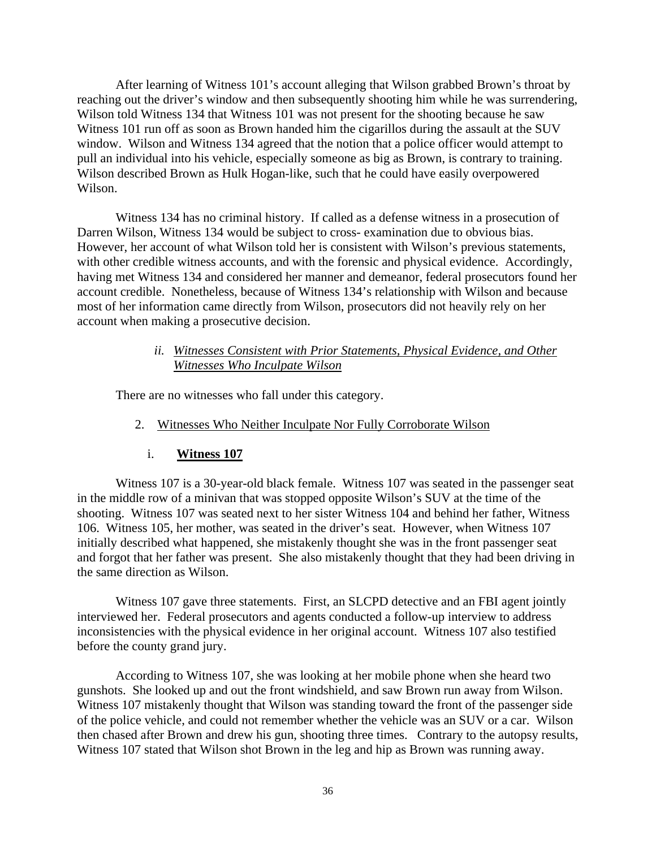<span id="page-35-0"></span>After learning of Witness 101's account alleging that Wilson grabbed Brown's throat by reaching out the driver's window and then subsequently shooting him while he was surrendering, Wilson told Witness 134 that Witness 101 was not present for the shooting because he saw Witness 101 run off as soon as Brown handed him the cigarillos during the assault at the SUV window. Wilson and Witness 134 agreed that the notion that a police officer would attempt to pull an individual into his vehicle, especially someone as big as Brown, is contrary to training. Wilson described Brown as Hulk Hogan-like, such that he could have easily overpowered Wilson.

Witness 134 has no criminal history. If called as a defense witness in a prosecution of Darren Wilson, Witness 134 would be subject to cross- examination due to obvious bias. However, her account of what Wilson told her is consistent with Wilson's previous statements, with other credible witness accounts, and with the forensic and physical evidence. Accordingly, having met Witness 134 and considered her manner and demeanor, federal prosecutors found her account credible. Nonetheless, because of Witness 134's relationship with Wilson and because most of her information came directly from Wilson, prosecutors did not heavily rely on her account when making a prosecutive decision.

# *ii. Witnesses Consistent with Prior Statements, Physical Evidence, and Other Witnesses Who Inculpate Wilson*

There are no witnesses who fall under this category.

2. Witnesses Who Neither Inculpate Nor Fully Corroborate Wilson

#### i. **Witness 107**

Witness 107 is a 30-year-old black female. Witness 107 was seated in the passenger seat in the middle row of a minivan that was stopped opposite Wilson's SUV at the time of the shooting. Witness 107 was seated next to her sister Witness 104 and behind her father, Witness 106. Witness 105, her mother, was seated in the driver's seat. However, when Witness 107 initially described what happened, she mistakenly thought she was in the front passenger seat and forgot that her father was present. She also mistakenly thought that they had been driving in the same direction as Wilson.

Witness 107 gave three statements. First, an SLCPD detective and an FBI agent jointly interviewed her. Federal prosecutors and agents conducted a follow-up interview to address inconsistencies with the physical evidence in her original account. Witness 107 also testified before the county grand jury.

According to Witness 107, she was looking at her mobile phone when she heard two gunshots. She looked up and out the front windshield, and saw Brown run away from Wilson. Witness 107 mistakenly thought that Wilson was standing toward the front of the passenger side of the police vehicle, and could not remember whether the vehicle was an SUV or a car. Wilson then chased after Brown and drew his gun, shooting three times. Contrary to the autopsy results, Witness 107 stated that Wilson shot Brown in the leg and hip as Brown was running away.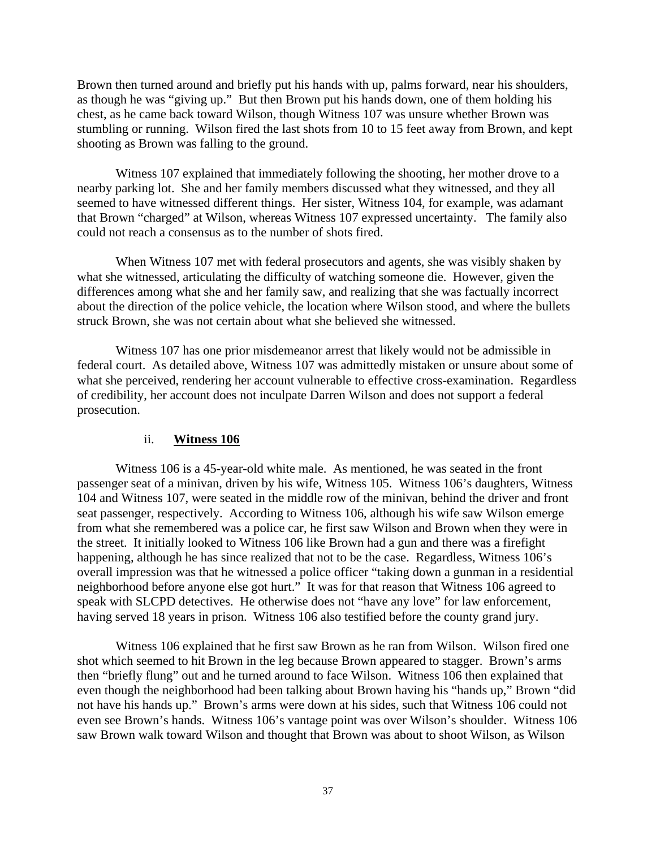Brown then turned around and briefly put his hands with up, palms forward, near his shoulders, as though he was "giving up." But then Brown put his hands down, one of them holding his chest, as he came back toward Wilson, though Witness 107 was unsure whether Brown was stumbling or running. Wilson fired the last shots from 10 to 15 feet away from Brown, and kept shooting as Brown was falling to the ground.

Witness 107 explained that immediately following the shooting, her mother drove to a nearby parking lot. She and her family members discussed what they witnessed, and they all seemed to have witnessed different things. Her sister, Witness 104, for example, was adamant that Brown "charged" at Wilson, whereas Witness 107 expressed uncertainty. The family also could not reach a consensus as to the number of shots fired.

When Witness 107 met with federal prosecutors and agents, she was visibly shaken by what she witnessed, articulating the difficulty of watching someone die. However, given the differences among what she and her family saw, and realizing that she was factually incorrect about the direction of the police vehicle, the location where Wilson stood, and where the bullets struck Brown, she was not certain about what she believed she witnessed.

Witness 107 has one prior misdemeanor arrest that likely would not be admissible in federal court. As detailed above, Witness 107 was admittedly mistaken or unsure about some of what she perceived, rendering her account vulnerable to effective cross-examination. Regardless of credibility, her account does not inculpate Darren Wilson and does not support a federal prosecution.

# ii. **Witness 106**

Witness 106 is a 45-year-old white male. As mentioned, he was seated in the front passenger seat of a minivan, driven by his wife, Witness 105. Witness 106's daughters, Witness 104 and Witness 107, were seated in the middle row of the minivan, behind the driver and front seat passenger, respectively. According to Witness 106, although his wife saw Wilson emerge from what she remembered was a police car, he first saw Wilson and Brown when they were in the street. It initially looked to Witness 106 like Brown had a gun and there was a firefight happening, although he has since realized that not to be the case. Regardless, Witness 106's overall impression was that he witnessed a police officer "taking down a gunman in a residential neighborhood before anyone else got hurt." It was for that reason that Witness 106 agreed to speak with SLCPD detectives. He otherwise does not "have any love" for law enforcement, having served 18 years in prison. Witness 106 also testified before the county grand jury.

Witness 106 explained that he first saw Brown as he ran from Wilson. Wilson fired one shot which seemed to hit Brown in the leg because Brown appeared to stagger. Brown's arms then "briefly flung" out and he turned around to face Wilson. Witness 106 then explained that even though the neighborhood had been talking about Brown having his "hands up," Brown "did not have his hands up." Brown's arms were down at his sides, such that Witness 106 could not even see Brown's hands. Witness 106's vantage point was over Wilson's shoulder. Witness 106 saw Brown walk toward Wilson and thought that Brown was about to shoot Wilson, as Wilson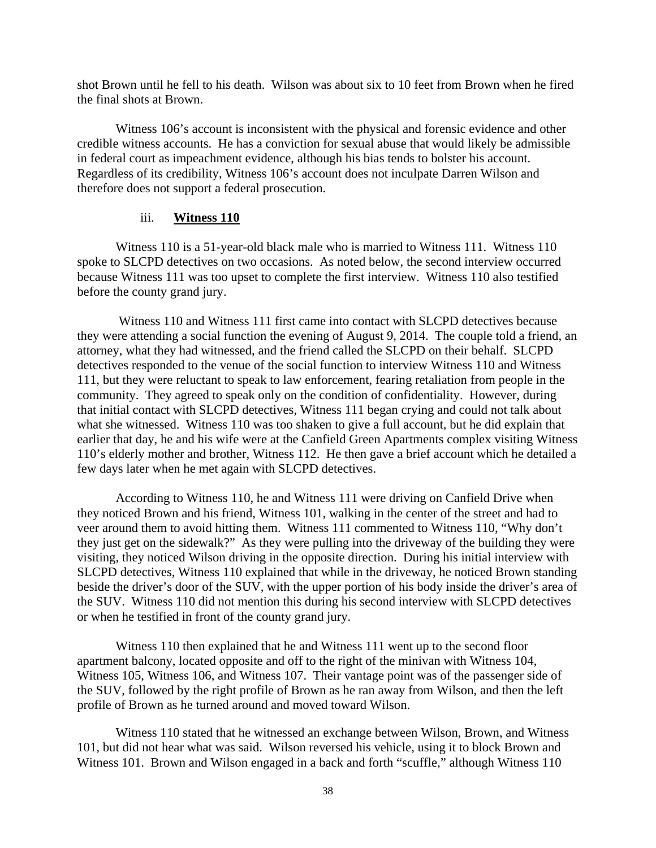shot Brown until he fell to his death. Wilson was about six to 10 feet from Brown when he fired the final shots at Brown.

Witness 106's account is inconsistent with the physical and forensic evidence and other credible witness accounts. He has a conviction for sexual abuse that would likely be admissible in federal court as impeachment evidence, although his bias tends to bolster his account. Regardless of its credibility, Witness 106's account does not inculpate Darren Wilson and therefore does not support a federal prosecution.

# iii. **Witness 110**

Witness 110 is a 51-year-old black male who is married to Witness 111. Witness 110 spoke to SLCPD detectives on two occasions. As noted below, the second interview occurred because Witness 111 was too upset to complete the first interview. Witness 110 also testified before the county grand jury.

 Witness 110 and Witness 111 first came into contact with SLCPD detectives because they were attending a social function the evening of August 9, 2014. The couple told a friend, an attorney, what they had witnessed, and the friend called the SLCPD on their behalf. SLCPD detectives responded to the venue of the social function to interview Witness 110 and Witness 111, but they were reluctant to speak to law enforcement, fearing retaliation from people in the community. They agreed to speak only on the condition of confidentiality. However, during that initial contact with SLCPD detectives, Witness 111 began crying and could not talk about what she witnessed. Witness 110 was too shaken to give a full account, but he did explain that earlier that day, he and his wife were at the Canfield Green Apartments complex visiting Witness 110's elderly mother and brother, Witness 112. He then gave a brief account which he detailed a few days later when he met again with SLCPD detectives.

According to Witness 110, he and Witness 111 were driving on Canfield Drive when they noticed Brown and his friend, Witness 101, walking in the center of the street and had to veer around them to avoid hitting them. Witness 111 commented to Witness 110, "Why don't they just get on the sidewalk?" As they were pulling into the driveway of the building they were visiting, they noticed Wilson driving in the opposite direction. During his initial interview with SLCPD detectives, Witness 110 explained that while in the driveway, he noticed Brown standing beside the driver's door of the SUV, with the upper portion of his body inside the driver's area of the SUV. Witness 110 did not mention this during his second interview with SLCPD detectives or when he testified in front of the county grand jury.

Witness 110 then explained that he and Witness 111 went up to the second floor apartment balcony, located opposite and off to the right of the minivan with Witness 104, Witness 105, Witness 106, and Witness 107. Their vantage point was of the passenger side of the SUV, followed by the right profile of Brown as he ran away from Wilson, and then the left profile of Brown as he turned around and moved toward Wilson.

Witness 110 stated that he witnessed an exchange between Wilson, Brown, and Witness 101, but did not hear what was said. Wilson reversed his vehicle, using it to block Brown and Witness 101. Brown and Wilson engaged in a back and forth "scuffle," although Witness 110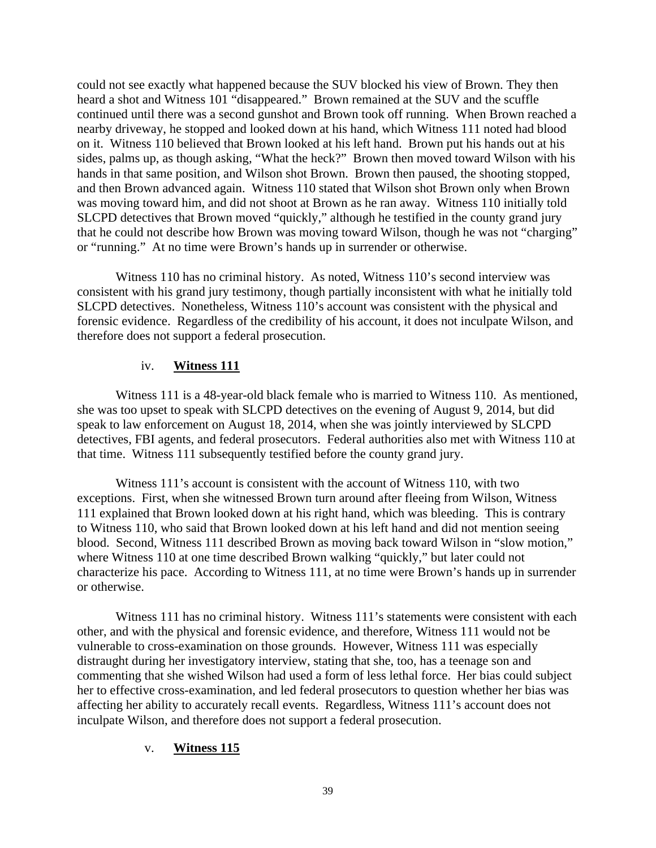could not see exactly what happened because the SUV blocked his view of Brown. They then heard a shot and Witness 101 "disappeared." Brown remained at the SUV and the scuffle continued until there was a second gunshot and Brown took off running. When Brown reached a nearby driveway, he stopped and looked down at his hand, which Witness 111 noted had blood on it. Witness 110 believed that Brown looked at his left hand. Brown put his hands out at his sides, palms up, as though asking, "What the heck?" Brown then moved toward Wilson with his hands in that same position, and Wilson shot Brown. Brown then paused, the shooting stopped, and then Brown advanced again. Witness 110 stated that Wilson shot Brown only when Brown was moving toward him, and did not shoot at Brown as he ran away. Witness 110 initially told SLCPD detectives that Brown moved "quickly," although he testified in the county grand jury that he could not describe how Brown was moving toward Wilson, though he was not "charging" or "running." At no time were Brown's hands up in surrender or otherwise.

Witness 110 has no criminal history. As noted, Witness 110's second interview was consistent with his grand jury testimony, though partially inconsistent with what he initially told SLCPD detectives. Nonetheless, Witness 110's account was consistent with the physical and forensic evidence. Regardless of the credibility of his account, it does not inculpate Wilson, and therefore does not support a federal prosecution.

# iv. **Witness 111**

Witness 111 is a 48-year-old black female who is married to Witness 110. As mentioned, she was too upset to speak with SLCPD detectives on the evening of August 9, 2014, but did speak to law enforcement on August 18, 2014, when she was jointly interviewed by SLCPD detectives, FBI agents, and federal prosecutors. Federal authorities also met with Witness 110 at that time. Witness 111 subsequently testified before the county grand jury.

Witness 111's account is consistent with the account of Witness 110, with two exceptions. First, when she witnessed Brown turn around after fleeing from Wilson, Witness 111 explained that Brown looked down at his right hand, which was bleeding. This is contrary to Witness 110, who said that Brown looked down at his left hand and did not mention seeing blood. Second, Witness 111 described Brown as moving back toward Wilson in "slow motion," where Witness 110 at one time described Brown walking "quickly," but later could not characterize his pace. According to Witness 111, at no time were Brown's hands up in surrender or otherwise.

Witness 111 has no criminal history. Witness 111's statements were consistent with each other, and with the physical and forensic evidence, and therefore, Witness 111 would not be vulnerable to cross-examination on those grounds. However, Witness 111 was especially distraught during her investigatory interview, stating that she, too, has a teenage son and commenting that she wished Wilson had used a form of less lethal force. Her bias could subject her to effective cross-examination, and led federal prosecutors to question whether her bias was affecting her ability to accurately recall events. Regardless, Witness 111's account does not inculpate Wilson, and therefore does not support a federal prosecution.

# v. **Witness 115**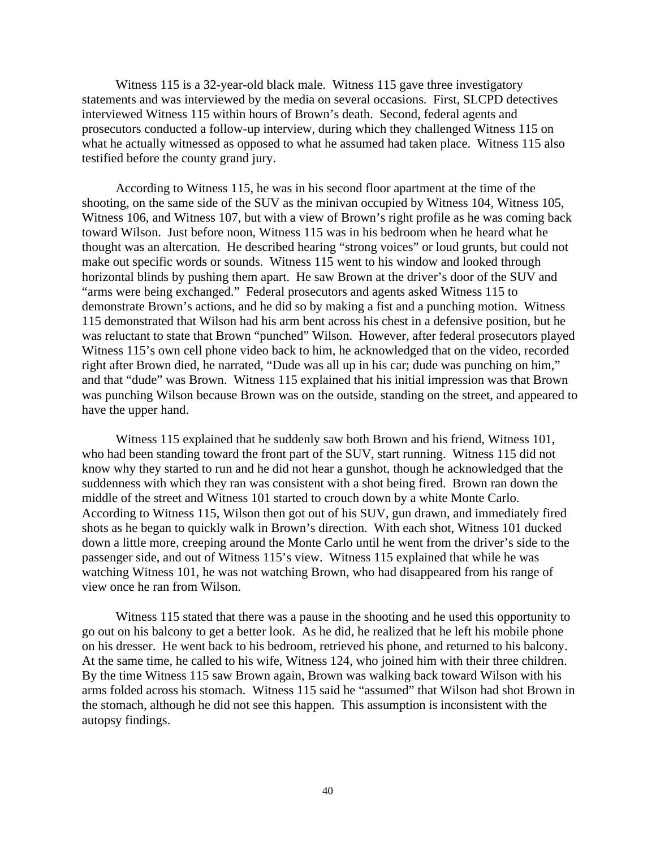Witness 115 is a 32-year-old black male. Witness 115 gave three investigatory statements and was interviewed by the media on several occasions. First, SLCPD detectives interviewed Witness 115 within hours of Brown's death. Second, federal agents and prosecutors conducted a follow-up interview, during which they challenged Witness 115 on what he actually witnessed as opposed to what he assumed had taken place. Witness 115 also testified before the county grand jury.

According to Witness 115, he was in his second floor apartment at the time of the shooting, on the same side of the SUV as the minivan occupied by Witness 104, Witness 105, Witness 106, and Witness 107, but with a view of Brown's right profile as he was coming back toward Wilson. Just before noon, Witness 115 was in his bedroom when he heard what he thought was an altercation. He described hearing "strong voices" or loud grunts, but could not make out specific words or sounds. Witness 115 went to his window and looked through horizontal blinds by pushing them apart. He saw Brown at the driver's door of the SUV and "arms were being exchanged." Federal prosecutors and agents asked Witness 115 to demonstrate Brown's actions, and he did so by making a fist and a punching motion. Witness 115 demonstrated that Wilson had his arm bent across his chest in a defensive position, but he was reluctant to state that Brown "punched" Wilson. However, after federal prosecutors played Witness 115's own cell phone video back to him, he acknowledged that on the video, recorded right after Brown died, he narrated, "Dude was all up in his car; dude was punching on him," and that "dude" was Brown. Witness 115 explained that his initial impression was that Brown was punching Wilson because Brown was on the outside, standing on the street, and appeared to have the upper hand.

Witness 115 explained that he suddenly saw both Brown and his friend, Witness 101, who had been standing toward the front part of the SUV, start running. Witness 115 did not know why they started to run and he did not hear a gunshot, though he acknowledged that the suddenness with which they ran was consistent with a shot being fired. Brown ran down the middle of the street and Witness 101 started to crouch down by a white Monte Carlo. According to Witness 115, Wilson then got out of his SUV, gun drawn, and immediately fired shots as he began to quickly walk in Brown's direction. With each shot, Witness 101 ducked down a little more, creeping around the Monte Carlo until he went from the driver's side to the passenger side, and out of Witness 115's view. Witness 115 explained that while he was watching Witness 101, he was not watching Brown, who had disappeared from his range of view once he ran from Wilson.

Witness 115 stated that there was a pause in the shooting and he used this opportunity to go out on his balcony to get a better look. As he did, he realized that he left his mobile phone on his dresser. He went back to his bedroom, retrieved his phone, and returned to his balcony. At the same time, he called to his wife, Witness 124, who joined him with their three children. By the time Witness 115 saw Brown again, Brown was walking back toward Wilson with his arms folded across his stomach. Witness 115 said he "assumed" that Wilson had shot Brown in the stomach, although he did not see this happen. This assumption is inconsistent with the autopsy findings.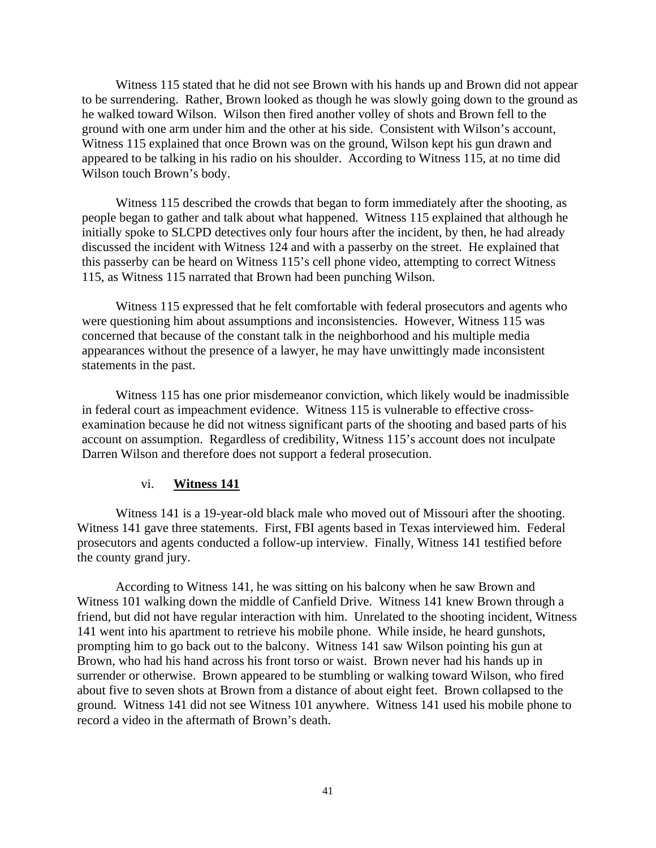Witness 115 stated that he did not see Brown with his hands up and Brown did not appear to be surrendering. Rather, Brown looked as though he was slowly going down to the ground as he walked toward Wilson. Wilson then fired another volley of shots and Brown fell to the ground with one arm under him and the other at his side. Consistent with Wilson's account, Witness 115 explained that once Brown was on the ground, Wilson kept his gun drawn and appeared to be talking in his radio on his shoulder. According to Witness 115, at no time did Wilson touch Brown's body.

Witness 115 described the crowds that began to form immediately after the shooting, as people began to gather and talk about what happened. Witness 115 explained that although he initially spoke to SLCPD detectives only four hours after the incident, by then, he had already discussed the incident with Witness 124 and with a passerby on the street. He explained that this passerby can be heard on Witness 115's cell phone video, attempting to correct Witness 115, as Witness 115 narrated that Brown had been punching Wilson.

Witness 115 expressed that he felt comfortable with federal prosecutors and agents who were questioning him about assumptions and inconsistencies. However, Witness 115 was concerned that because of the constant talk in the neighborhood and his multiple media appearances without the presence of a lawyer, he may have unwittingly made inconsistent statements in the past.

Witness 115 has one prior misdemeanor conviction, which likely would be inadmissible in federal court as impeachment evidence. Witness 115 is vulnerable to effective crossexamination because he did not witness significant parts of the shooting and based parts of his account on assumption. Regardless of credibility, Witness 115's account does not inculpate Darren Wilson and therefore does not support a federal prosecution.

## vi. **Witness 141**

Witness 141 is a 19-year-old black male who moved out of Missouri after the shooting. Witness 141 gave three statements. First, FBI agents based in Texas interviewed him. Federal prosecutors and agents conducted a follow-up interview. Finally, Witness 141 testified before the county grand jury.

According to Witness 141, he was sitting on his balcony when he saw Brown and Witness 101 walking down the middle of Canfield Drive. Witness 141 knew Brown through a friend, but did not have regular interaction with him. Unrelated to the shooting incident, Witness 141 went into his apartment to retrieve his mobile phone. While inside, he heard gunshots, prompting him to go back out to the balcony. Witness 141 saw Wilson pointing his gun at Brown, who had his hand across his front torso or waist. Brown never had his hands up in surrender or otherwise. Brown appeared to be stumbling or walking toward Wilson, who fired about five to seven shots at Brown from a distance of about eight feet. Brown collapsed to the ground. Witness 141 did not see Witness 101 anywhere. Witness 141 used his mobile phone to record a video in the aftermath of Brown's death.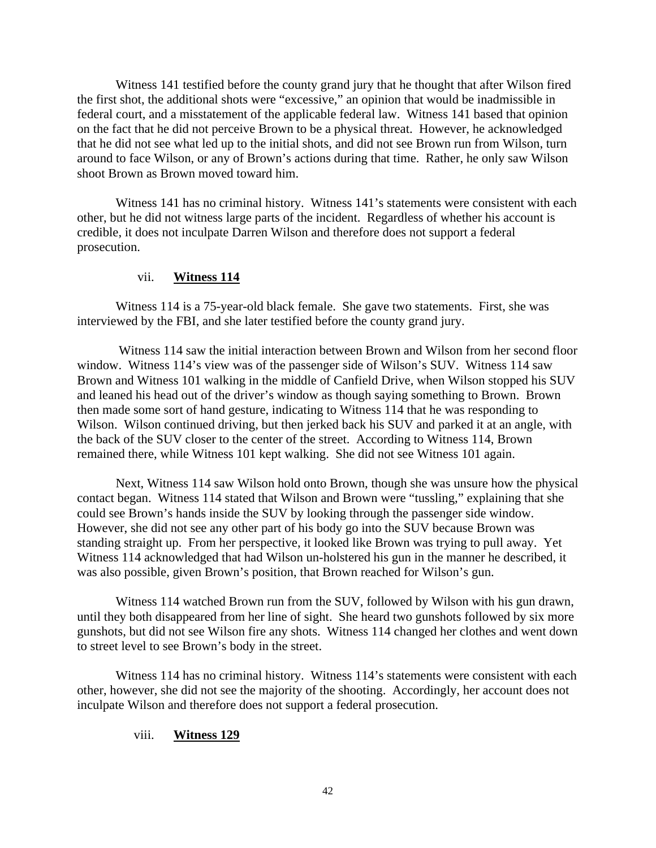Witness 141 testified before the county grand jury that he thought that after Wilson fired the first shot, the additional shots were "excessive," an opinion that would be inadmissible in federal court, and a misstatement of the applicable federal law. Witness 141 based that opinion on the fact that he did not perceive Brown to be a physical threat. However, he acknowledged that he did not see what led up to the initial shots, and did not see Brown run from Wilson, turn around to face Wilson, or any of Brown's actions during that time. Rather, he only saw Wilson shoot Brown as Brown moved toward him.

Witness 141 has no criminal history. Witness 141's statements were consistent with each other, but he did not witness large parts of the incident. Regardless of whether his account is credible, it does not inculpate Darren Wilson and therefore does not support a federal prosecution.

# vii. **Witness 114**

Witness 114 is a 75-year-old black female. She gave two statements. First, she was interviewed by the FBI, and she later testified before the county grand jury.

 Witness 114 saw the initial interaction between Brown and Wilson from her second floor window. Witness 114's view was of the passenger side of Wilson's SUV. Witness 114 saw Brown and Witness 101 walking in the middle of Canfield Drive, when Wilson stopped his SUV and leaned his head out of the driver's window as though saying something to Brown. Brown then made some sort of hand gesture, indicating to Witness 114 that he was responding to Wilson. Wilson continued driving, but then jerked back his SUV and parked it at an angle, with the back of the SUV closer to the center of the street. According to Witness 114, Brown remained there, while Witness 101 kept walking. She did not see Witness 101 again.

Next, Witness 114 saw Wilson hold onto Brown, though she was unsure how the physical contact began. Witness 114 stated that Wilson and Brown were "tussling," explaining that she could see Brown's hands inside the SUV by looking through the passenger side window. However, she did not see any other part of his body go into the SUV because Brown was standing straight up. From her perspective, it looked like Brown was trying to pull away. Yet Witness 114 acknowledged that had Wilson un-holstered his gun in the manner he described, it was also possible, given Brown's position, that Brown reached for Wilson's gun.

Witness 114 watched Brown run from the SUV, followed by Wilson with his gun drawn, until they both disappeared from her line of sight. She heard two gunshots followed by six more gunshots, but did not see Wilson fire any shots. Witness 114 changed her clothes and went down to street level to see Brown's body in the street.

Witness 114 has no criminal history. Witness 114's statements were consistent with each other, however, she did not see the majority of the shooting. Accordingly, her account does not inculpate Wilson and therefore does not support a federal prosecution.

#### viii. **Witness 129**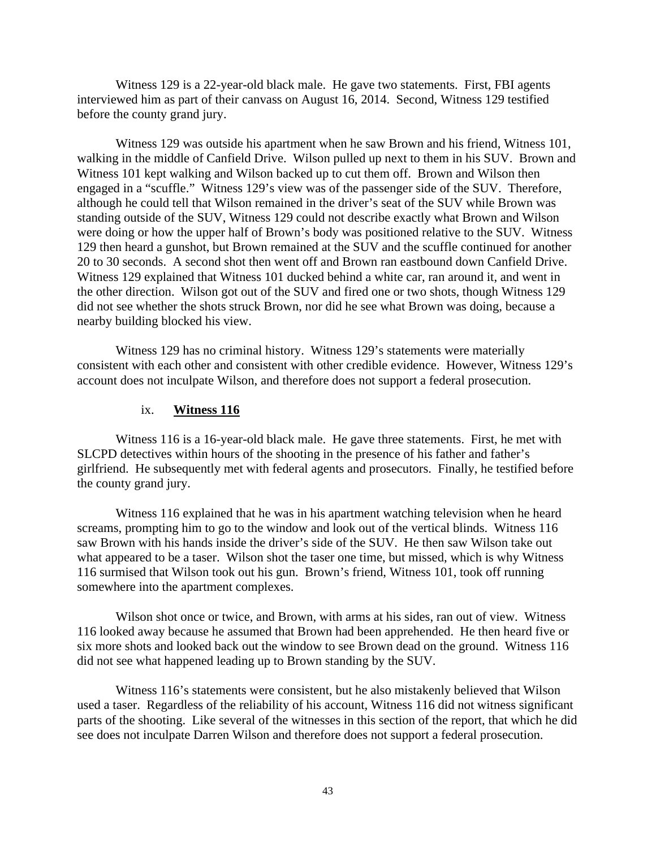Witness 129 is a 22-year-old black male. He gave two statements. First, FBI agents interviewed him as part of their canvass on August 16, 2014. Second, Witness 129 testified before the county grand jury.

Witness 129 was outside his apartment when he saw Brown and his friend, Witness 101, walking in the middle of Canfield Drive. Wilson pulled up next to them in his SUV. Brown and Witness 101 kept walking and Wilson backed up to cut them off. Brown and Wilson then engaged in a "scuffle." Witness 129's view was of the passenger side of the SUV. Therefore, although he could tell that Wilson remained in the driver's seat of the SUV while Brown was standing outside of the SUV, Witness 129 could not describe exactly what Brown and Wilson were doing or how the upper half of Brown's body was positioned relative to the SUV. Witness 129 then heard a gunshot, but Brown remained at the SUV and the scuffle continued for another 20 to 30 seconds. A second shot then went off and Brown ran eastbound down Canfield Drive. Witness 129 explained that Witness 101 ducked behind a white car, ran around it, and went in the other direction. Wilson got out of the SUV and fired one or two shots, though Witness 129 did not see whether the shots struck Brown, nor did he see what Brown was doing, because a nearby building blocked his view.

Witness 129 has no criminal history. Witness 129's statements were materially consistent with each other and consistent with other credible evidence. However, Witness 129's account does not inculpate Wilson, and therefore does not support a federal prosecution.

#### ix. **Witness 116**

Witness 116 is a 16-year-old black male. He gave three statements. First, he met with SLCPD detectives within hours of the shooting in the presence of his father and father's girlfriend. He subsequently met with federal agents and prosecutors. Finally, he testified before the county grand jury.

Witness 116 explained that he was in his apartment watching television when he heard screams, prompting him to go to the window and look out of the vertical blinds. Witness 116 saw Brown with his hands inside the driver's side of the SUV. He then saw Wilson take out what appeared to be a taser. Wilson shot the taser one time, but missed, which is why Witness 116 surmised that Wilson took out his gun. Brown's friend, Witness 101, took off running somewhere into the apartment complexes.

Wilson shot once or twice, and Brown, with arms at his sides, ran out of view. Witness 116 looked away because he assumed that Brown had been apprehended. He then heard five or six more shots and looked back out the window to see Brown dead on the ground. Witness 116 did not see what happened leading up to Brown standing by the SUV.

Witness 116's statements were consistent, but he also mistakenly believed that Wilson used a taser. Regardless of the reliability of his account, Witness 116 did not witness significant parts of the shooting. Like several of the witnesses in this section of the report, that which he did see does not inculpate Darren Wilson and therefore does not support a federal prosecution.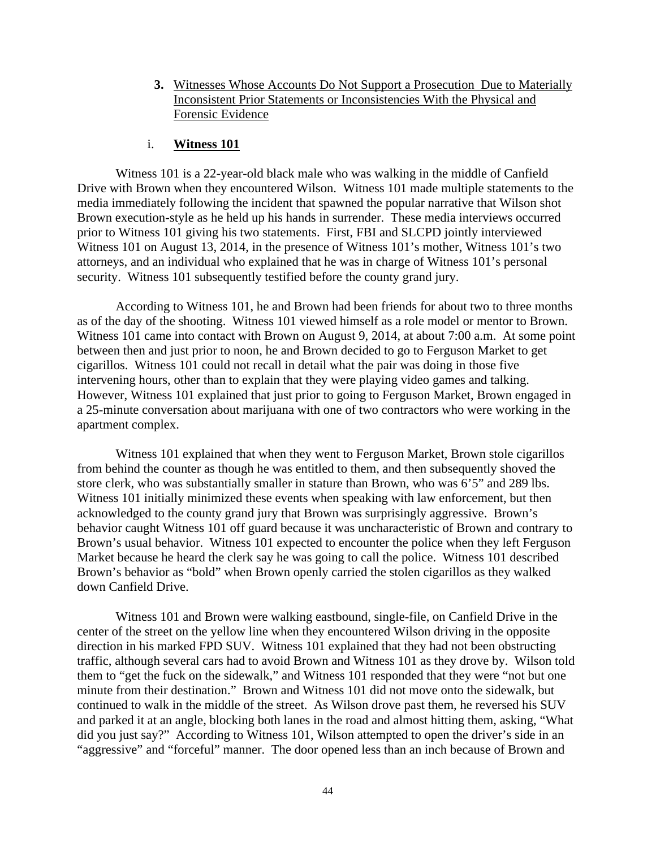**3.** Witnesses Whose Accounts Do Not Support a Prosecution Due to Materially Inconsistent Prior Statements or Inconsistencies With the Physical and Forensic Evidence

# i. **Witness 101**

Witness 101 is a 22-year-old black male who was walking in the middle of Canfield Drive with Brown when they encountered Wilson. Witness 101 made multiple statements to the media immediately following the incident that spawned the popular narrative that Wilson shot Brown execution-style as he held up his hands in surrender. These media interviews occurred prior to Witness 101 giving his two statements. First, FBI and SLCPD jointly interviewed Witness 101 on August 13, 2014, in the presence of Witness 101's mother, Witness 101's two attorneys, and an individual who explained that he was in charge of Witness 101's personal security. Witness 101 subsequently testified before the county grand jury.

According to Witness 101, he and Brown had been friends for about two to three months as of the day of the shooting. Witness 101 viewed himself as a role model or mentor to Brown. Witness 101 came into contact with Brown on August 9, 2014, at about 7:00 a.m. At some point between then and just prior to noon, he and Brown decided to go to Ferguson Market to get cigarillos. Witness 101 could not recall in detail what the pair was doing in those five intervening hours, other than to explain that they were playing video games and talking. However, Witness 101 explained that just prior to going to Ferguson Market, Brown engaged in a 25-minute conversation about marijuana with one of two contractors who were working in the apartment complex.

Witness 101 explained that when they went to Ferguson Market, Brown stole cigarillos from behind the counter as though he was entitled to them, and then subsequently shoved the store clerk, who was substantially smaller in stature than Brown, who was 6'5" and 289 lbs. Witness 101 initially minimized these events when speaking with law enforcement, but then acknowledged to the county grand jury that Brown was surprisingly aggressive. Brown's behavior caught Witness 101 off guard because it was uncharacteristic of Brown and contrary to Brown's usual behavior. Witness 101 expected to encounter the police when they left Ferguson Market because he heard the clerk say he was going to call the police. Witness 101 described Brown's behavior as "bold" when Brown openly carried the stolen cigarillos as they walked down Canfield Drive.

Witness 101 and Brown were walking eastbound, single-file, on Canfield Drive in the center of the street on the yellow line when they encountered Wilson driving in the opposite direction in his marked FPD SUV. Witness 101 explained that they had not been obstructing traffic, although several cars had to avoid Brown and Witness 101 as they drove by. Wilson told them to "get the fuck on the sidewalk," and Witness 101 responded that they were "not but one minute from their destination." Brown and Witness 101 did not move onto the sidewalk, but continued to walk in the middle of the street. As Wilson drove past them, he reversed his SUV and parked it at an angle, blocking both lanes in the road and almost hitting them, asking, "What did you just say?" According to Witness 101, Wilson attempted to open the driver's side in an "aggressive" and "forceful" manner. The door opened less than an inch because of Brown and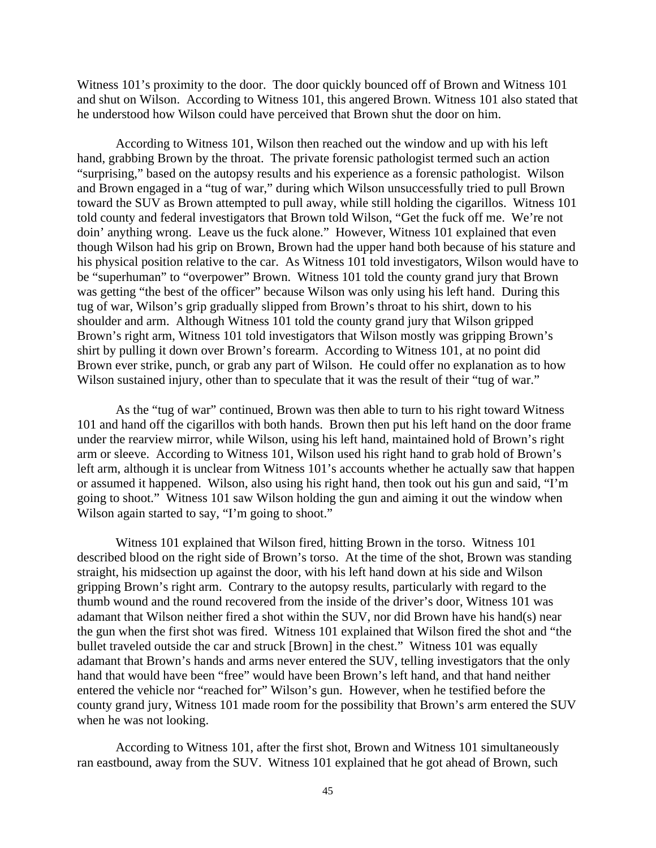Witness 101's proximity to the door. The door quickly bounced off of Brown and Witness 101 and shut on Wilson. According to Witness 101, this angered Brown. Witness 101 also stated that he understood how Wilson could have perceived that Brown shut the door on him.

According to Witness 101, Wilson then reached out the window and up with his left hand, grabbing Brown by the throat. The private forensic pathologist termed such an action "surprising," based on the autopsy results and his experience as a forensic pathologist. Wilson and Brown engaged in a "tug of war," during which Wilson unsuccessfully tried to pull Brown toward the SUV as Brown attempted to pull away, while still holding the cigarillos. Witness 101 told county and federal investigators that Brown told Wilson, "Get the fuck off me. We're not doin' anything wrong. Leave us the fuck alone." However, Witness 101 explained that even though Wilson had his grip on Brown, Brown had the upper hand both because of his stature and his physical position relative to the car. As Witness 101 told investigators, Wilson would have to be "superhuman" to "overpower" Brown. Witness 101 told the county grand jury that Brown was getting "the best of the officer" because Wilson was only using his left hand. During this tug of war, Wilson's grip gradually slipped from Brown's throat to his shirt, down to his shoulder and arm. Although Witness 101 told the county grand jury that Wilson gripped Brown's right arm, Witness 101 told investigators that Wilson mostly was gripping Brown's shirt by pulling it down over Brown's forearm. According to Witness 101, at no point did Brown ever strike, punch, or grab any part of Wilson. He could offer no explanation as to how Wilson sustained injury, other than to speculate that it was the result of their "tug of war."

As the "tug of war" continued, Brown was then able to turn to his right toward Witness 101 and hand off the cigarillos with both hands. Brown then put his left hand on the door frame under the rearview mirror, while Wilson, using his left hand, maintained hold of Brown's right arm or sleeve. According to Witness 101, Wilson used his right hand to grab hold of Brown's left arm, although it is unclear from Witness 101's accounts whether he actually saw that happen or assumed it happened. Wilson, also using his right hand, then took out his gun and said, "I'm going to shoot." Witness 101 saw Wilson holding the gun and aiming it out the window when Wilson again started to say, "I'm going to shoot."

Witness 101 explained that Wilson fired, hitting Brown in the torso. Witness 101 described blood on the right side of Brown's torso. At the time of the shot, Brown was standing straight, his midsection up against the door, with his left hand down at his side and Wilson gripping Brown's right arm. Contrary to the autopsy results, particularly with regard to the thumb wound and the round recovered from the inside of the driver's door, Witness 101 was adamant that Wilson neither fired a shot within the SUV, nor did Brown have his hand(s) near the gun when the first shot was fired. Witness 101 explained that Wilson fired the shot and "the bullet traveled outside the car and struck [Brown] in the chest." Witness 101 was equally adamant that Brown's hands and arms never entered the SUV, telling investigators that the only hand that would have been "free" would have been Brown's left hand, and that hand neither entered the vehicle nor "reached for" Wilson's gun. However, when he testified before the county grand jury, Witness 101 made room for the possibility that Brown's arm entered the SUV when he was not looking.

According to Witness 101, after the first shot, Brown and Witness 101 simultaneously ran eastbound, away from the SUV. Witness 101 explained that he got ahead of Brown, such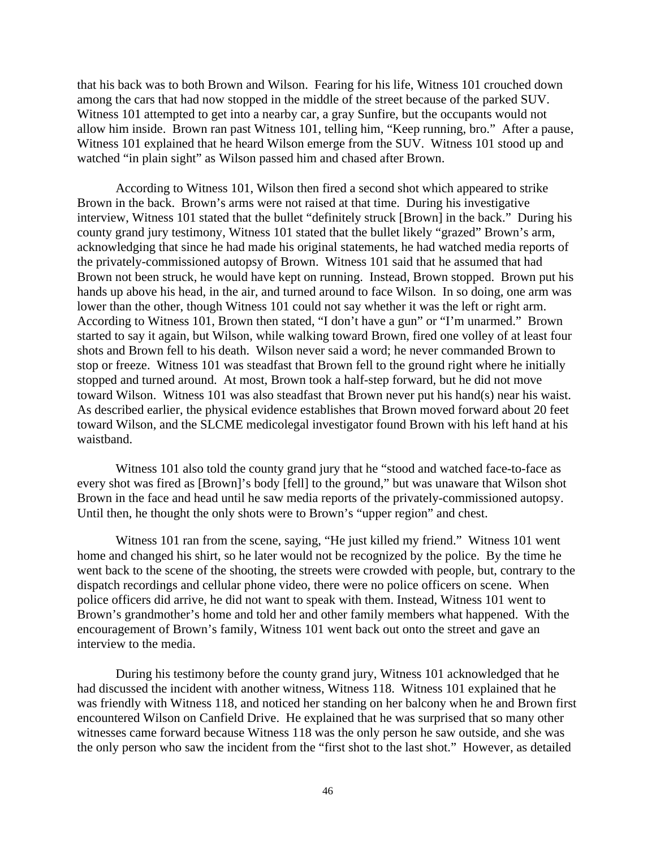that his back was to both Brown and Wilson. Fearing for his life, Witness 101 crouched down among the cars that had now stopped in the middle of the street because of the parked SUV. Witness 101 attempted to get into a nearby car, a gray Sunfire, but the occupants would not allow him inside. Brown ran past Witness 101, telling him, "Keep running, bro." After a pause, Witness 101 explained that he heard Wilson emerge from the SUV. Witness 101 stood up and watched "in plain sight" as Wilson passed him and chased after Brown.

According to Witness 101, Wilson then fired a second shot which appeared to strike Brown in the back. Brown's arms were not raised at that time. During his investigative interview, Witness 101 stated that the bullet "definitely struck [Brown] in the back." During his county grand jury testimony, Witness 101 stated that the bullet likely "grazed" Brown's arm, acknowledging that since he had made his original statements, he had watched media reports of the privately-commissioned autopsy of Brown. Witness 101 said that he assumed that had Brown not been struck, he would have kept on running. Instead, Brown stopped. Brown put his hands up above his head, in the air, and turned around to face Wilson. In so doing, one arm was lower than the other, though Witness 101 could not say whether it was the left or right arm. According to Witness 101, Brown then stated, "I don't have a gun" or "I'm unarmed." Brown started to say it again, but Wilson, while walking toward Brown, fired one volley of at least four shots and Brown fell to his death. Wilson never said a word; he never commanded Brown to stop or freeze. Witness 101 was steadfast that Brown fell to the ground right where he initially stopped and turned around. At most, Brown took a half-step forward, but he did not move toward Wilson. Witness 101 was also steadfast that Brown never put his hand(s) near his waist. As described earlier, the physical evidence establishes that Brown moved forward about 20 feet toward Wilson, and the SLCME medicolegal investigator found Brown with his left hand at his waistband.

Witness 101 also told the county grand jury that he "stood and watched face-to-face as every shot was fired as [Brown]'s body [fell] to the ground," but was unaware that Wilson shot Brown in the face and head until he saw media reports of the privately-commissioned autopsy. Until then, he thought the only shots were to Brown's "upper region" and chest.

Witness 101 ran from the scene, saying, "He just killed my friend." Witness 101 went home and changed his shirt, so he later would not be recognized by the police. By the time he went back to the scene of the shooting, the streets were crowded with people, but, contrary to the dispatch recordings and cellular phone video, there were no police officers on scene. When police officers did arrive, he did not want to speak with them. Instead, Witness 101 went to Brown's grandmother's home and told her and other family members what happened. With the encouragement of Brown's family, Witness 101 went back out onto the street and gave an interview to the media.

During his testimony before the county grand jury, Witness 101 acknowledged that he had discussed the incident with another witness, Witness 118. Witness 101 explained that he was friendly with Witness 118, and noticed her standing on her balcony when he and Brown first encountered Wilson on Canfield Drive. He explained that he was surprised that so many other witnesses came forward because Witness 118 was the only person he saw outside, and she was the only person who saw the incident from the "first shot to the last shot." However, as detailed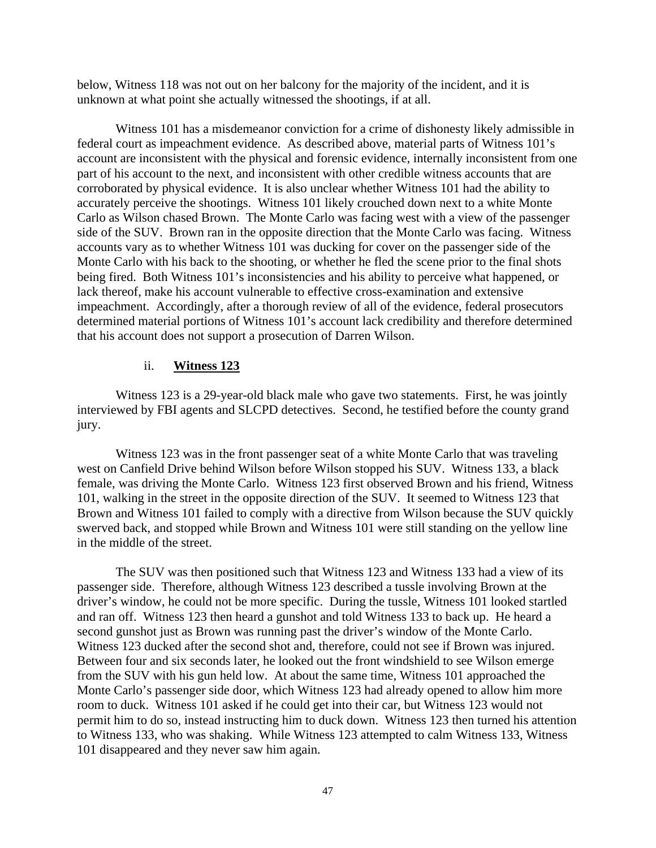below, Witness 118 was not out on her balcony for the majority of the incident, and it is unknown at what point she actually witnessed the shootings, if at all.

Witness 101 has a misdemeanor conviction for a crime of dishonesty likely admissible in federal court as impeachment evidence. As described above, material parts of Witness 101's account are inconsistent with the physical and forensic evidence, internally inconsistent from one part of his account to the next, and inconsistent with other credible witness accounts that are corroborated by physical evidence. It is also unclear whether Witness 101 had the ability to accurately perceive the shootings. Witness 101 likely crouched down next to a white Monte Carlo as Wilson chased Brown. The Monte Carlo was facing west with a view of the passenger side of the SUV. Brown ran in the opposite direction that the Monte Carlo was facing. Witness accounts vary as to whether Witness 101 was ducking for cover on the passenger side of the Monte Carlo with his back to the shooting, or whether he fled the scene prior to the final shots being fired. Both Witness 101's inconsistencies and his ability to perceive what happened, or lack thereof, make his account vulnerable to effective cross-examination and extensive impeachment. Accordingly, after a thorough review of all of the evidence, federal prosecutors determined material portions of Witness 101's account lack credibility and therefore determined that his account does not support a prosecution of Darren Wilson.

# ii. **Witness 123**

Witness 123 is a 29-year-old black male who gave two statements. First, he was jointly interviewed by FBI agents and SLCPD detectives. Second, he testified before the county grand jury.

Witness 123 was in the front passenger seat of a white Monte Carlo that was traveling west on Canfield Drive behind Wilson before Wilson stopped his SUV. Witness 133, a black female, was driving the Monte Carlo. Witness 123 first observed Brown and his friend, Witness 101, walking in the street in the opposite direction of the SUV. It seemed to Witness 123 that Brown and Witness 101 failed to comply with a directive from Wilson because the SUV quickly swerved back, and stopped while Brown and Witness 101 were still standing on the yellow line in the middle of the street.

The SUV was then positioned such that Witness 123 and Witness 133 had a view of its passenger side. Therefore, although Witness 123 described a tussle involving Brown at the driver's window, he could not be more specific. During the tussle, Witness 101 looked startled and ran off. Witness 123 then heard a gunshot and told Witness 133 to back up. He heard a second gunshot just as Brown was running past the driver's window of the Monte Carlo. Witness 123 ducked after the second shot and, therefore, could not see if Brown was injured. Between four and six seconds later, he looked out the front windshield to see Wilson emerge from the SUV with his gun held low. At about the same time, Witness 101 approached the Monte Carlo's passenger side door, which Witness 123 had already opened to allow him more room to duck. Witness 101 asked if he could get into their car, but Witness 123 would not permit him to do so, instead instructing him to duck down. Witness 123 then turned his attention to Witness 133, who was shaking. While Witness 123 attempted to calm Witness 133, Witness 101 disappeared and they never saw him again.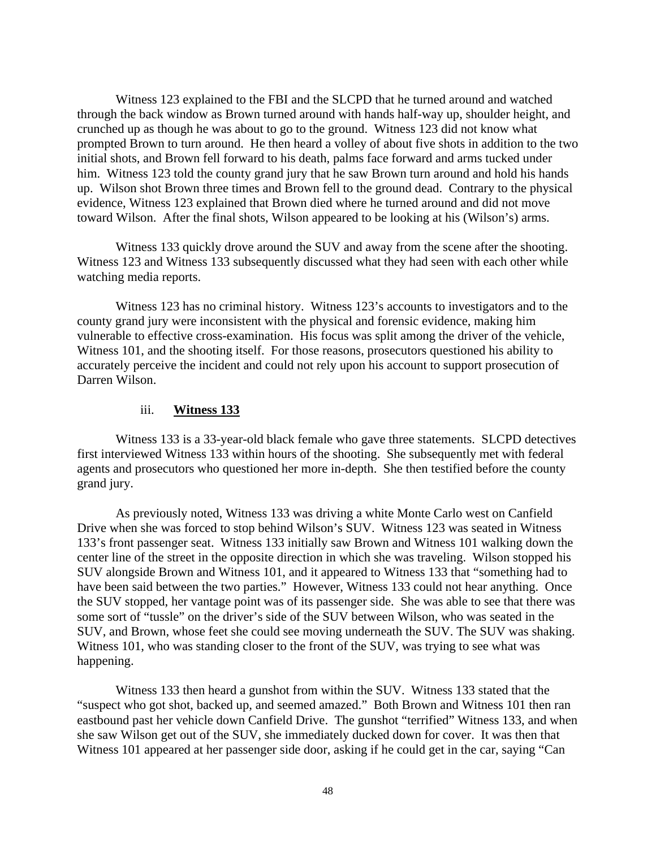Witness 123 explained to the FBI and the SLCPD that he turned around and watched through the back window as Brown turned around with hands half-way up, shoulder height, and crunched up as though he was about to go to the ground. Witness 123 did not know what prompted Brown to turn around. He then heard a volley of about five shots in addition to the two initial shots, and Brown fell forward to his death, palms face forward and arms tucked under him. Witness 123 told the county grand jury that he saw Brown turn around and hold his hands up. Wilson shot Brown three times and Brown fell to the ground dead. Contrary to the physical evidence, Witness 123 explained that Brown died where he turned around and did not move toward Wilson. After the final shots, Wilson appeared to be looking at his (Wilson's) arms.

Witness 133 quickly drove around the SUV and away from the scene after the shooting. Witness 123 and Witness 133 subsequently discussed what they had seen with each other while watching media reports.

Witness 123 has no criminal history. Witness 123's accounts to investigators and to the county grand jury were inconsistent with the physical and forensic evidence, making him vulnerable to effective cross-examination. His focus was split among the driver of the vehicle, Witness 101, and the shooting itself. For those reasons, prosecutors questioned his ability to accurately perceive the incident and could not rely upon his account to support prosecution of Darren Wilson.

## iii. **Witness 133**

Witness 133 is a 33-year-old black female who gave three statements. SLCPD detectives first interviewed Witness 133 within hours of the shooting. She subsequently met with federal agents and prosecutors who questioned her more in-depth. She then testified before the county grand jury.

As previously noted, Witness 133 was driving a white Monte Carlo west on Canfield Drive when she was forced to stop behind Wilson's SUV. Witness 123 was seated in Witness 133's front passenger seat. Witness 133 initially saw Brown and Witness 101 walking down the center line of the street in the opposite direction in which she was traveling. Wilson stopped his SUV alongside Brown and Witness 101, and it appeared to Witness 133 that "something had to have been said between the two parties." However, Witness 133 could not hear anything. Once the SUV stopped, her vantage point was of its passenger side. She was able to see that there was some sort of "tussle" on the driver's side of the SUV between Wilson, who was seated in the SUV, and Brown, whose feet she could see moving underneath the SUV. The SUV was shaking. Witness 101, who was standing closer to the front of the SUV, was trying to see what was happening.

Witness 133 then heard a gunshot from within the SUV. Witness 133 stated that the "suspect who got shot, backed up, and seemed amazed." Both Brown and Witness 101 then ran eastbound past her vehicle down Canfield Drive. The gunshot "terrified" Witness 133, and when she saw Wilson get out of the SUV, she immediately ducked down for cover. It was then that Witness 101 appeared at her passenger side door, asking if he could get in the car, saying "Can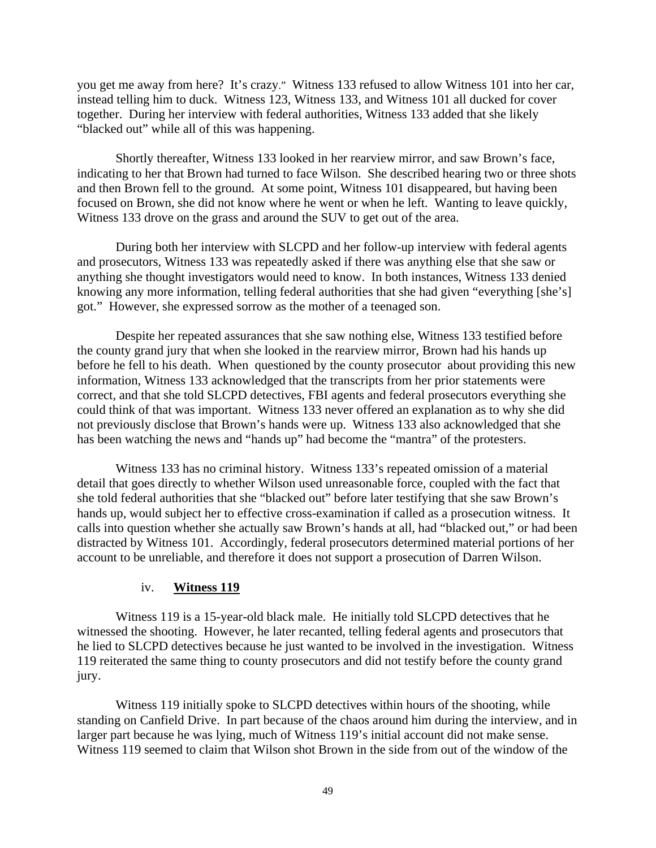you get me away from here? It's crazy." Witness 133 refused to allow Witness 101 into her car, instead telling him to duck. Witness 123, Witness 133, and Witness 101 all ducked for cover together. During her interview with federal authorities, Witness 133 added that she likely "blacked out" while all of this was happening.

Shortly thereafter, Witness 133 looked in her rearview mirror, and saw Brown's face, indicating to her that Brown had turned to face Wilson. She described hearing two or three shots and then Brown fell to the ground. At some point, Witness 101 disappeared, but having been focused on Brown, she did not know where he went or when he left. Wanting to leave quickly, Witness 133 drove on the grass and around the SUV to get out of the area.

During both her interview with SLCPD and her follow-up interview with federal agents and prosecutors, Witness 133 was repeatedly asked if there was anything else that she saw or anything she thought investigators would need to know. In both instances, Witness 133 denied knowing any more information, telling federal authorities that she had given "everything [she's] got." However, she expressed sorrow as the mother of a teenaged son.

Despite her repeated assurances that she saw nothing else, Witness 133 testified before the county grand jury that when she looked in the rearview mirror, Brown had his hands up before he fell to his death. When questioned by the county prosecutor about providing this new information, Witness 133 acknowledged that the transcripts from her prior statements were correct, and that she told SLCPD detectives, FBI agents and federal prosecutors everything she could think of that was important. Witness 133 never offered an explanation as to why she did not previously disclose that Brown's hands were up. Witness 133 also acknowledged that she has been watching the news and "hands up" had become the "mantra" of the protesters.

Witness 133 has no criminal history. Witness 133's repeated omission of a material detail that goes directly to whether Wilson used unreasonable force, coupled with the fact that she told federal authorities that she "blacked out" before later testifying that she saw Brown's hands up, would subject her to effective cross-examination if called as a prosecution witness. It calls into question whether she actually saw Brown's hands at all, had "blacked out," or had been distracted by Witness 101. Accordingly, federal prosecutors determined material portions of her account to be unreliable, and therefore it does not support a prosecution of Darren Wilson.

#### iv. **Witness 119**

Witness 119 is a 15-year-old black male. He initially told SLCPD detectives that he witnessed the shooting. However, he later recanted, telling federal agents and prosecutors that he lied to SLCPD detectives because he just wanted to be involved in the investigation. Witness 119 reiterated the same thing to county prosecutors and did not testify before the county grand jury.

Witness 119 initially spoke to SLCPD detectives within hours of the shooting, while standing on Canfield Drive. In part because of the chaos around him during the interview, and in larger part because he was lying, much of Witness 119's initial account did not make sense. Witness 119 seemed to claim that Wilson shot Brown in the side from out of the window of the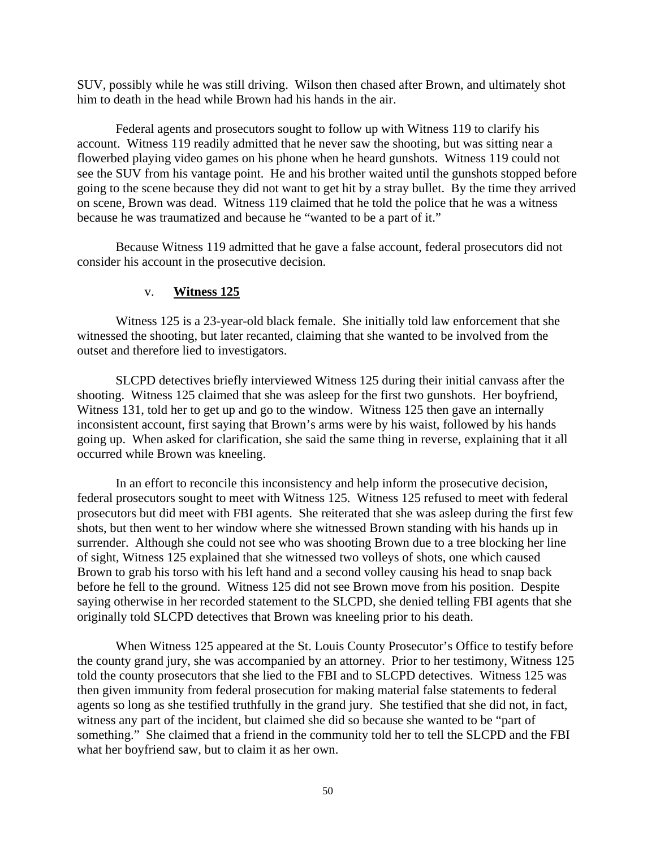SUV, possibly while he was still driving. Wilson then chased after Brown, and ultimately shot him to death in the head while Brown had his hands in the air.

Federal agents and prosecutors sought to follow up with Witness 119 to clarify his account. Witness 119 readily admitted that he never saw the shooting, but was sitting near a flowerbed playing video games on his phone when he heard gunshots. Witness 119 could not see the SUV from his vantage point. He and his brother waited until the gunshots stopped before going to the scene because they did not want to get hit by a stray bullet. By the time they arrived on scene, Brown was dead. Witness 119 claimed that he told the police that he was a witness because he was traumatized and because he "wanted to be a part of it."

Because Witness 119 admitted that he gave a false account, federal prosecutors did not consider his account in the prosecutive decision.

# v. **Witness 125**

Witness 125 is a 23-year-old black female. She initially told law enforcement that she witnessed the shooting, but later recanted, claiming that she wanted to be involved from the outset and therefore lied to investigators.

SLCPD detectives briefly interviewed Witness 125 during their initial canvass after the shooting. Witness 125 claimed that she was asleep for the first two gunshots. Her boyfriend, Witness 131, told her to get up and go to the window. Witness 125 then gave an internally inconsistent account, first saying that Brown's arms were by his waist, followed by his hands going up. When asked for clarification, she said the same thing in reverse, explaining that it all occurred while Brown was kneeling.

In an effort to reconcile this inconsistency and help inform the prosecutive decision, federal prosecutors sought to meet with Witness 125. Witness 125 refused to meet with federal prosecutors but did meet with FBI agents. She reiterated that she was asleep during the first few shots, but then went to her window where she witnessed Brown standing with his hands up in surrender. Although she could not see who was shooting Brown due to a tree blocking her line of sight, Witness 125 explained that she witnessed two volleys of shots, one which caused Brown to grab his torso with his left hand and a second volley causing his head to snap back before he fell to the ground. Witness 125 did not see Brown move from his position. Despite saying otherwise in her recorded statement to the SLCPD, she denied telling FBI agents that she originally told SLCPD detectives that Brown was kneeling prior to his death.

When Witness 125 appeared at the St. Louis County Prosecutor's Office to testify before the county grand jury, she was accompanied by an attorney. Prior to her testimony, Witness 125 told the county prosecutors that she lied to the FBI and to SLCPD detectives. Witness 125 was then given immunity from federal prosecution for making material false statements to federal agents so long as she testified truthfully in the grand jury. She testified that she did not, in fact, witness any part of the incident, but claimed she did so because she wanted to be "part of something." She claimed that a friend in the community told her to tell the SLCPD and the FBI what her boyfriend saw, but to claim it as her own.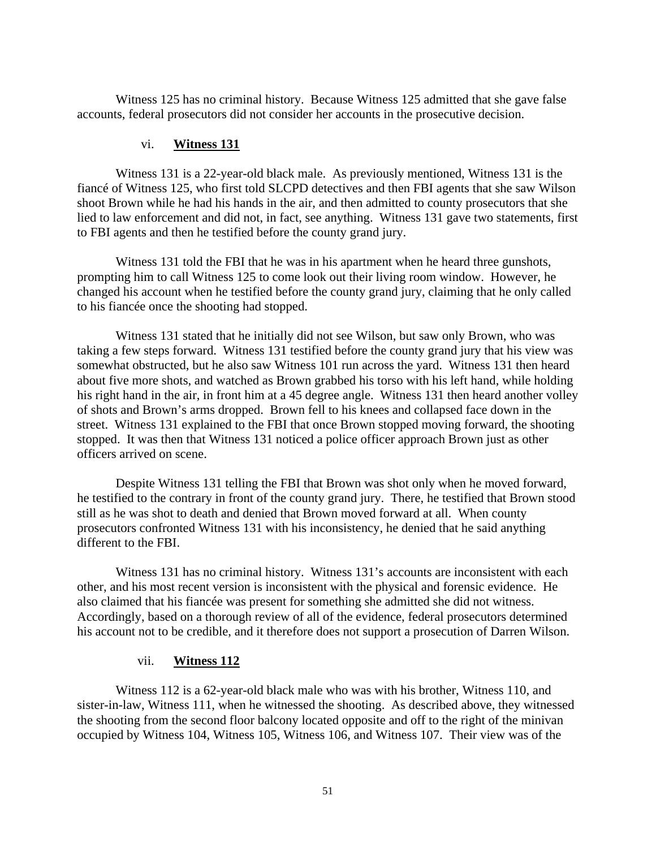Witness 125 has no criminal history. Because Witness 125 admitted that she gave false accounts, federal prosecutors did not consider her accounts in the prosecutive decision.

### vi. **Witness 131**

Witness 131 is a 22-year-old black male. As previously mentioned, Witness 131 is the fiancé of Witness 125, who first told SLCPD detectives and then FBI agents that she saw Wilson shoot Brown while he had his hands in the air, and then admitted to county prosecutors that she lied to law enforcement and did not, in fact, see anything. Witness 131 gave two statements, first to FBI agents and then he testified before the county grand jury.

Witness 131 told the FBI that he was in his apartment when he heard three gunshots, prompting him to call Witness 125 to come look out their living room window. However, he changed his account when he testified before the county grand jury, claiming that he only called to his fiancée once the shooting had stopped.

Witness 131 stated that he initially did not see Wilson, but saw only Brown, who was taking a few steps forward. Witness 131 testified before the county grand jury that his view was somewhat obstructed, but he also saw Witness 101 run across the yard. Witness 131 then heard about five more shots, and watched as Brown grabbed his torso with his left hand, while holding his right hand in the air, in front him at a 45 degree angle. Witness 131 then heard another volley of shots and Brown's arms dropped. Brown fell to his knees and collapsed face down in the street. Witness 131 explained to the FBI that once Brown stopped moving forward, the shooting stopped. It was then that Witness 131 noticed a police officer approach Brown just as other officers arrived on scene.

Despite Witness 131 telling the FBI that Brown was shot only when he moved forward, he testified to the contrary in front of the county grand jury. There, he testified that Brown stood still as he was shot to death and denied that Brown moved forward at all. When county prosecutors confronted Witness 131 with his inconsistency, he denied that he said anything different to the FBI.

Witness 131 has no criminal history. Witness 131's accounts are inconsistent with each other, and his most recent version is inconsistent with the physical and forensic evidence. He also claimed that his fiancée was present for something she admitted she did not witness. Accordingly, based on a thorough review of all of the evidence, federal prosecutors determined his account not to be credible, and it therefore does not support a prosecution of Darren Wilson.

### vii. **Witness 112**

Witness 112 is a 62-year-old black male who was with his brother, Witness 110, and sister-in-law, Witness 111, when he witnessed the shooting. As described above, they witnessed the shooting from the second floor balcony located opposite and off to the right of the minivan occupied by Witness 104, Witness 105, Witness 106, and Witness 107. Their view was of the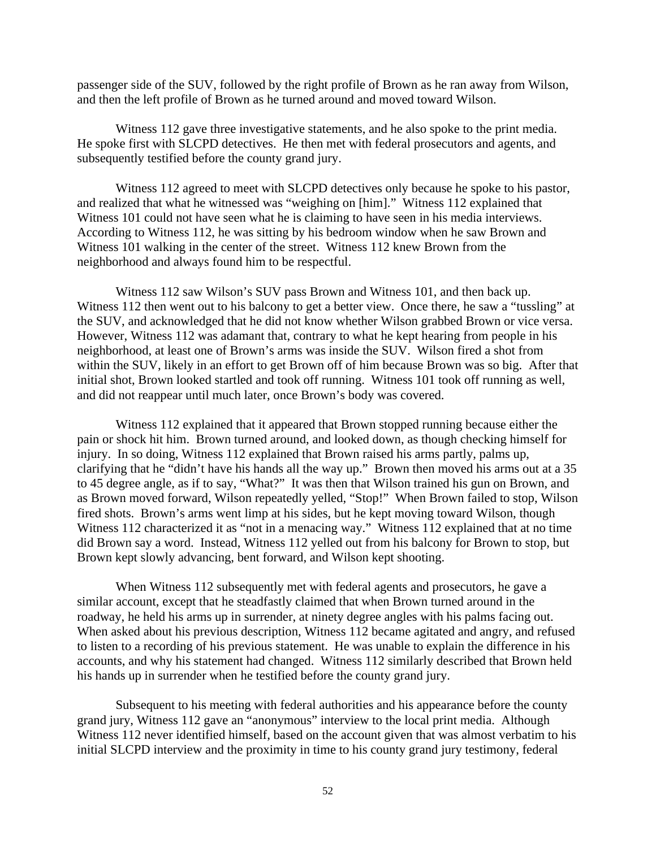passenger side of the SUV, followed by the right profile of Brown as he ran away from Wilson, and then the left profile of Brown as he turned around and moved toward Wilson.

Witness 112 gave three investigative statements, and he also spoke to the print media. He spoke first with SLCPD detectives. He then met with federal prosecutors and agents, and subsequently testified before the county grand jury.

Witness 112 agreed to meet with SLCPD detectives only because he spoke to his pastor, and realized that what he witnessed was "weighing on [him]." Witness 112 explained that Witness 101 could not have seen what he is claiming to have seen in his media interviews. According to Witness 112, he was sitting by his bedroom window when he saw Brown and Witness 101 walking in the center of the street. Witness 112 knew Brown from the neighborhood and always found him to be respectful.

Witness 112 saw Wilson's SUV pass Brown and Witness 101, and then back up. Witness 112 then went out to his balcony to get a better view. Once there, he saw a "tussling" at the SUV, and acknowledged that he did not know whether Wilson grabbed Brown or vice versa. However, Witness 112 was adamant that, contrary to what he kept hearing from people in his neighborhood, at least one of Brown's arms was inside the SUV. Wilson fired a shot from within the SUV, likely in an effort to get Brown off of him because Brown was so big. After that initial shot, Brown looked startled and took off running. Witness 101 took off running as well, and did not reappear until much later, once Brown's body was covered.

Witness 112 explained that it appeared that Brown stopped running because either the pain or shock hit him. Brown turned around, and looked down, as though checking himself for injury. In so doing, Witness 112 explained that Brown raised his arms partly, palms up, clarifying that he "didn't have his hands all the way up." Brown then moved his arms out at a 35 to 45 degree angle, as if to say, "What?" It was then that Wilson trained his gun on Brown, and as Brown moved forward, Wilson repeatedly yelled, "Stop!" When Brown failed to stop, Wilson fired shots. Brown's arms went limp at his sides, but he kept moving toward Wilson, though Witness 112 characterized it as "not in a menacing way." Witness 112 explained that at no time did Brown say a word. Instead, Witness 112 yelled out from his balcony for Brown to stop, but Brown kept slowly advancing, bent forward, and Wilson kept shooting.

When Witness 112 subsequently met with federal agents and prosecutors, he gave a similar account, except that he steadfastly claimed that when Brown turned around in the roadway, he held his arms up in surrender, at ninety degree angles with his palms facing out. When asked about his previous description, Witness 112 became agitated and angry, and refused to listen to a recording of his previous statement. He was unable to explain the difference in his accounts, and why his statement had changed. Witness 112 similarly described that Brown held his hands up in surrender when he testified before the county grand jury.

Subsequent to his meeting with federal authorities and his appearance before the county grand jury, Witness 112 gave an "anonymous" interview to the local print media. Although Witness 112 never identified himself, based on the account given that was almost verbatim to his initial SLCPD interview and the proximity in time to his county grand jury testimony, federal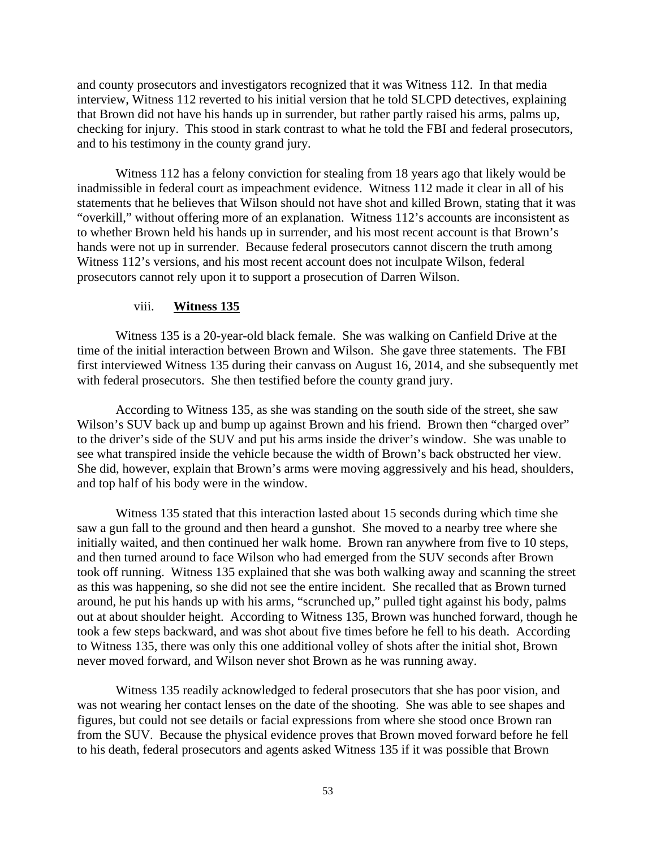and county prosecutors and investigators recognized that it was Witness 112. In that media interview, Witness 112 reverted to his initial version that he told SLCPD detectives, explaining that Brown did not have his hands up in surrender, but rather partly raised his arms, palms up, checking for injury. This stood in stark contrast to what he told the FBI and federal prosecutors, and to his testimony in the county grand jury.

Witness 112 has a felony conviction for stealing from 18 years ago that likely would be inadmissible in federal court as impeachment evidence. Witness 112 made it clear in all of his statements that he believes that Wilson should not have shot and killed Brown, stating that it was "overkill," without offering more of an explanation. Witness 112's accounts are inconsistent as to whether Brown held his hands up in surrender, and his most recent account is that Brown's hands were not up in surrender. Because federal prosecutors cannot discern the truth among Witness 112's versions, and his most recent account does not inculpate Wilson, federal prosecutors cannot rely upon it to support a prosecution of Darren Wilson.

## viii. **Witness 135**

Witness 135 is a 20-year-old black female. She was walking on Canfield Drive at the time of the initial interaction between Brown and Wilson. She gave three statements. The FBI first interviewed Witness 135 during their canvass on August 16, 2014, and she subsequently met with federal prosecutors. She then testified before the county grand jury.

According to Witness 135, as she was standing on the south side of the street, she saw Wilson's SUV back up and bump up against Brown and his friend. Brown then "charged over" to the driver's side of the SUV and put his arms inside the driver's window. She was unable to see what transpired inside the vehicle because the width of Brown's back obstructed her view. She did, however, explain that Brown's arms were moving aggressively and his head, shoulders, and top half of his body were in the window.

Witness 135 stated that this interaction lasted about 15 seconds during which time she saw a gun fall to the ground and then heard a gunshot. She moved to a nearby tree where she initially waited, and then continued her walk home. Brown ran anywhere from five to 10 steps, and then turned around to face Wilson who had emerged from the SUV seconds after Brown took off running. Witness 135 explained that she was both walking away and scanning the street as this was happening, so she did not see the entire incident. She recalled that as Brown turned around, he put his hands up with his arms, "scrunched up," pulled tight against his body, palms out at about shoulder height. According to Witness 135, Brown was hunched forward, though he took a few steps backward, and was shot about five times before he fell to his death. According to Witness 135, there was only this one additional volley of shots after the initial shot, Brown never moved forward, and Wilson never shot Brown as he was running away.

Witness 135 readily acknowledged to federal prosecutors that she has poor vision, and was not wearing her contact lenses on the date of the shooting. She was able to see shapes and figures, but could not see details or facial expressions from where she stood once Brown ran from the SUV. Because the physical evidence proves that Brown moved forward before he fell to his death, federal prosecutors and agents asked Witness 135 if it was possible that Brown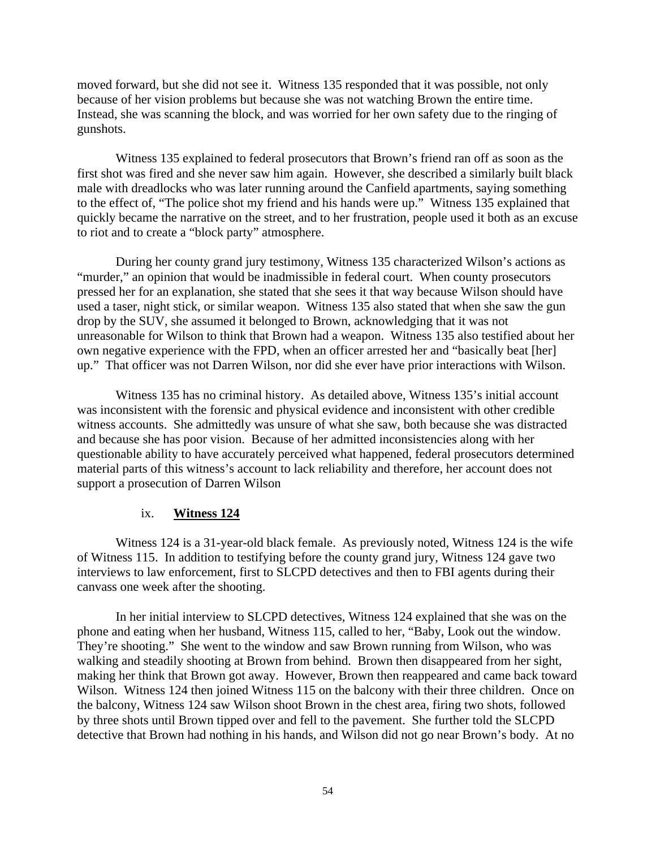moved forward, but she did not see it. Witness 135 responded that it was possible, not only because of her vision problems but because she was not watching Brown the entire time. Instead, she was scanning the block, and was worried for her own safety due to the ringing of gunshots.

Witness 135 explained to federal prosecutors that Brown's friend ran off as soon as the first shot was fired and she never saw him again. However, she described a similarly built black male with dreadlocks who was later running around the Canfield apartments, saying something to the effect of, "The police shot my friend and his hands were up." Witness 135 explained that quickly became the narrative on the street, and to her frustration, people used it both as an excuse to riot and to create a "block party" atmosphere.

During her county grand jury testimony, Witness 135 characterized Wilson's actions as "murder," an opinion that would be inadmissible in federal court. When county prosecutors pressed her for an explanation, she stated that she sees it that way because Wilson should have used a taser, night stick, or similar weapon. Witness 135 also stated that when she saw the gun drop by the SUV, she assumed it belonged to Brown, acknowledging that it was not unreasonable for Wilson to think that Brown had a weapon. Witness 135 also testified about her own negative experience with the FPD, when an officer arrested her and "basically beat [her] up." That officer was not Darren Wilson, nor did she ever have prior interactions with Wilson.

Witness 135 has no criminal history. As detailed above, Witness 135's initial account was inconsistent with the forensic and physical evidence and inconsistent with other credible witness accounts. She admittedly was unsure of what she saw, both because she was distracted and because she has poor vision. Because of her admitted inconsistencies along with her questionable ability to have accurately perceived what happened, federal prosecutors determined material parts of this witness's account to lack reliability and therefore, her account does not support a prosecution of Darren Wilson

## ix. **Witness 124**

Witness 124 is a 31-year-old black female. As previously noted, Witness 124 is the wife of Witness 115. In addition to testifying before the county grand jury, Witness 124 gave two interviews to law enforcement, first to SLCPD detectives and then to FBI agents during their canvass one week after the shooting.

In her initial interview to SLCPD detectives, Witness 124 explained that she was on the phone and eating when her husband, Witness 115, called to her, "Baby, Look out the window. They're shooting." She went to the window and saw Brown running from Wilson, who was walking and steadily shooting at Brown from behind. Brown then disappeared from her sight, making her think that Brown got away. However, Brown then reappeared and came back toward Wilson. Witness 124 then joined Witness 115 on the balcony with their three children. Once on the balcony, Witness 124 saw Wilson shoot Brown in the chest area, firing two shots, followed by three shots until Brown tipped over and fell to the pavement. She further told the SLCPD detective that Brown had nothing in his hands, and Wilson did not go near Brown's body. At no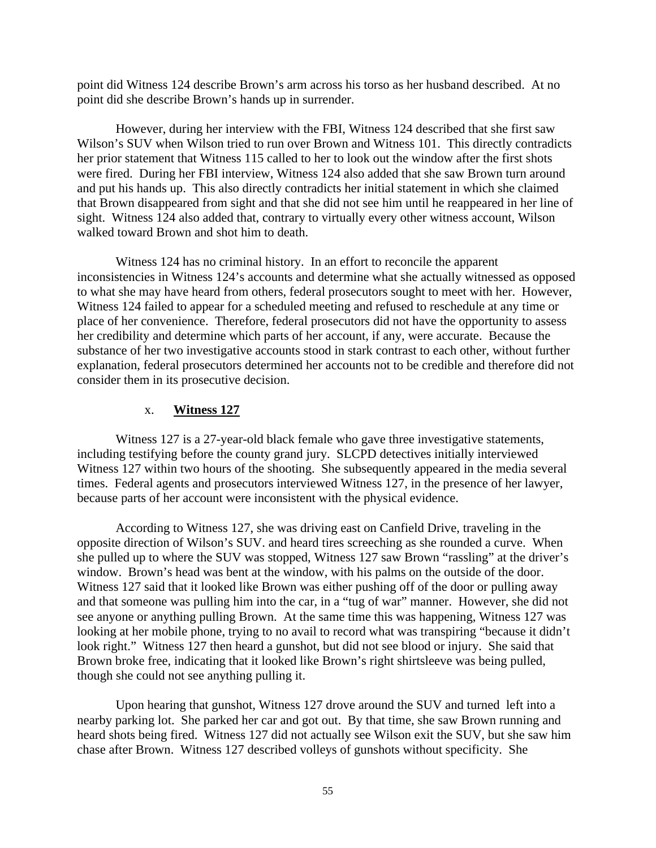point did Witness 124 describe Brown's arm across his torso as her husband described. At no point did she describe Brown's hands up in surrender.

However, during her interview with the FBI, Witness 124 described that she first saw Wilson's SUV when Wilson tried to run over Brown and Witness 101. This directly contradicts her prior statement that Witness 115 called to her to look out the window after the first shots were fired. During her FBI interview, Witness 124 also added that she saw Brown turn around and put his hands up. This also directly contradicts her initial statement in which she claimed that Brown disappeared from sight and that she did not see him until he reappeared in her line of sight. Witness 124 also added that, contrary to virtually every other witness account, Wilson walked toward Brown and shot him to death.

Witness 124 has no criminal history. In an effort to reconcile the apparent inconsistencies in Witness 124's accounts and determine what she actually witnessed as opposed to what she may have heard from others, federal prosecutors sought to meet with her. However, Witness 124 failed to appear for a scheduled meeting and refused to reschedule at any time or place of her convenience. Therefore, federal prosecutors did not have the opportunity to assess her credibility and determine which parts of her account, if any, were accurate. Because the substance of her two investigative accounts stood in stark contrast to each other, without further explanation, federal prosecutors determined her accounts not to be credible and therefore did not consider them in its prosecutive decision.

## x. **Witness 127**

Witness 127 is a 27-year-old black female who gave three investigative statements, including testifying before the county grand jury. SLCPD detectives initially interviewed Witness 127 within two hours of the shooting. She subsequently appeared in the media several times. Federal agents and prosecutors interviewed Witness 127, in the presence of her lawyer, because parts of her account were inconsistent with the physical evidence.

According to Witness 127, she was driving east on Canfield Drive, traveling in the opposite direction of Wilson's SUV. and heard tires screeching as she rounded a curve. When she pulled up to where the SUV was stopped, Witness 127 saw Brown "rassling" at the driver's window. Brown's head was bent at the window, with his palms on the outside of the door. Witness 127 said that it looked like Brown was either pushing off of the door or pulling away and that someone was pulling him into the car, in a "tug of war" manner. However, she did not see anyone or anything pulling Brown. At the same time this was happening, Witness 127 was looking at her mobile phone, trying to no avail to record what was transpiring "because it didn't look right." Witness 127 then heard a gunshot, but did not see blood or injury. She said that Brown broke free, indicating that it looked like Brown's right shirtsleeve was being pulled, though she could not see anything pulling it.

Upon hearing that gunshot, Witness 127 drove around the SUV and turned left into a nearby parking lot. She parked her car and got out. By that time, she saw Brown running and heard shots being fired. Witness 127 did not actually see Wilson exit the SUV, but she saw him chase after Brown. Witness 127 described volleys of gunshots without specificity. She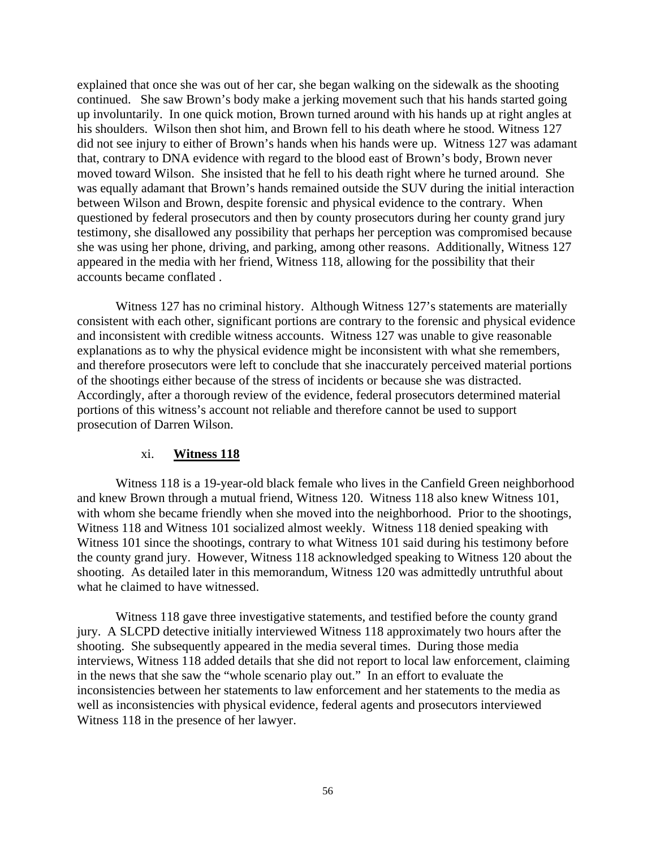explained that once she was out of her car, she began walking on the sidewalk as the shooting continued. She saw Brown's body make a jerking movement such that his hands started going up involuntarily. In one quick motion, Brown turned around with his hands up at right angles at his shoulders. Wilson then shot him, and Brown fell to his death where he stood. Witness 127 did not see injury to either of Brown's hands when his hands were up. Witness 127 was adamant that, contrary to DNA evidence with regard to the blood east of Brown's body, Brown never moved toward Wilson. She insisted that he fell to his death right where he turned around. She was equally adamant that Brown's hands remained outside the SUV during the initial interaction between Wilson and Brown, despite forensic and physical evidence to the contrary. When questioned by federal prosecutors and then by county prosecutors during her county grand jury testimony, she disallowed any possibility that perhaps her perception was compromised because she was using her phone, driving, and parking, among other reasons. Additionally, Witness 127 appeared in the media with her friend, Witness 118, allowing for the possibility that their accounts became conflated .

Witness 127 has no criminal history. Although Witness 127's statements are materially consistent with each other, significant portions are contrary to the forensic and physical evidence and inconsistent with credible witness accounts. Witness 127 was unable to give reasonable explanations as to why the physical evidence might be inconsistent with what she remembers, and therefore prosecutors were left to conclude that she inaccurately perceived material portions of the shootings either because of the stress of incidents or because she was distracted. Accordingly, after a thorough review of the evidence, federal prosecutors determined material portions of this witness's account not reliable and therefore cannot be used to support prosecution of Darren Wilson.

# xi. **Witness 118**

Witness 118 is a 19-year-old black female who lives in the Canfield Green neighborhood and knew Brown through a mutual friend, Witness 120. Witness 118 also knew Witness 101, with whom she became friendly when she moved into the neighborhood. Prior to the shootings, Witness 118 and Witness 101 socialized almost weekly. Witness 118 denied speaking with Witness 101 since the shootings, contrary to what Witness 101 said during his testimony before the county grand jury. However, Witness 118 acknowledged speaking to Witness 120 about the shooting. As detailed later in this memorandum, Witness 120 was admittedly untruthful about what he claimed to have witnessed.

Witness 118 gave three investigative statements, and testified before the county grand jury. A SLCPD detective initially interviewed Witness 118 approximately two hours after the shooting. She subsequently appeared in the media several times. During those media interviews, Witness 118 added details that she did not report to local law enforcement, claiming in the news that she saw the "whole scenario play out." In an effort to evaluate the inconsistencies between her statements to law enforcement and her statements to the media as well as inconsistencies with physical evidence, federal agents and prosecutors interviewed Witness 118 in the presence of her lawyer.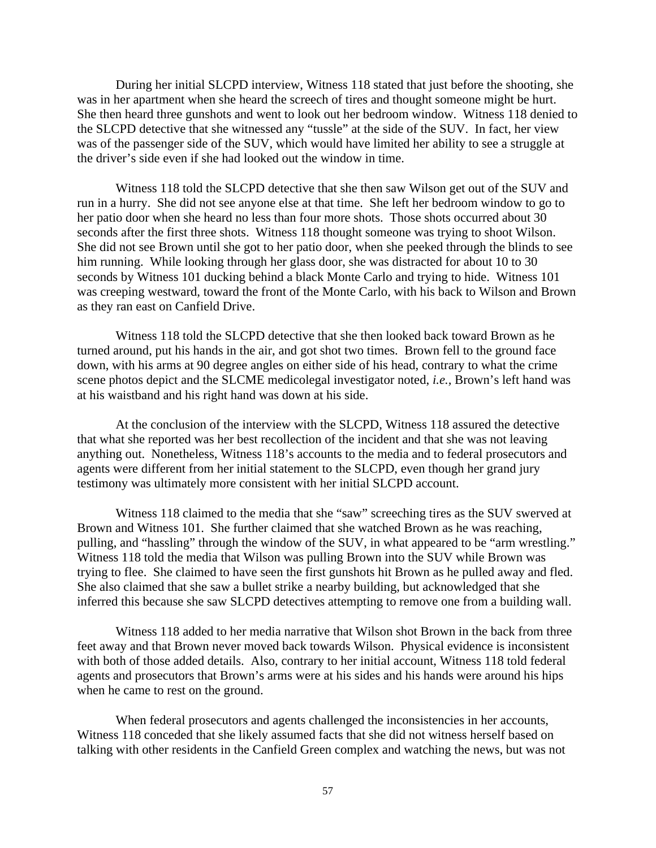During her initial SLCPD interview, Witness 118 stated that just before the shooting, she was in her apartment when she heard the screech of tires and thought someone might be hurt. She then heard three gunshots and went to look out her bedroom window. Witness 118 denied to the SLCPD detective that she witnessed any "tussle" at the side of the SUV. In fact, her view was of the passenger side of the SUV, which would have limited her ability to see a struggle at the driver's side even if she had looked out the window in time.

Witness 118 told the SLCPD detective that she then saw Wilson get out of the SUV and run in a hurry. She did not see anyone else at that time. She left her bedroom window to go to her patio door when she heard no less than four more shots. Those shots occurred about 30 seconds after the first three shots. Witness 118 thought someone was trying to shoot Wilson. She did not see Brown until she got to her patio door, when she peeked through the blinds to see him running. While looking through her glass door, she was distracted for about 10 to 30 seconds by Witness 101 ducking behind a black Monte Carlo and trying to hide. Witness 101 was creeping westward, toward the front of the Monte Carlo, with his back to Wilson and Brown as they ran east on Canfield Drive.

Witness 118 told the SLCPD detective that she then looked back toward Brown as he turned around, put his hands in the air, and got shot two times. Brown fell to the ground face down, with his arms at 90 degree angles on either side of his head, contrary to what the crime scene photos depict and the SLCME medicolegal investigator noted, *i.e.,* Brown's left hand was at his waistband and his right hand was down at his side.

At the conclusion of the interview with the SLCPD, Witness 118 assured the detective that what she reported was her best recollection of the incident and that she was not leaving anything out. Nonetheless, Witness 118's accounts to the media and to federal prosecutors and agents were different from her initial statement to the SLCPD, even though her grand jury testimony was ultimately more consistent with her initial SLCPD account.

Witness 118 claimed to the media that she "saw" screeching tires as the SUV swerved at Brown and Witness 101. She further claimed that she watched Brown as he was reaching, pulling, and "hassling" through the window of the SUV, in what appeared to be "arm wrestling." Witness 118 told the media that Wilson was pulling Brown into the SUV while Brown was trying to flee. She claimed to have seen the first gunshots hit Brown as he pulled away and fled. She also claimed that she saw a bullet strike a nearby building, but acknowledged that she inferred this because she saw SLCPD detectives attempting to remove one from a building wall.

Witness 118 added to her media narrative that Wilson shot Brown in the back from three feet away and that Brown never moved back towards Wilson. Physical evidence is inconsistent with both of those added details. Also, contrary to her initial account, Witness 118 told federal agents and prosecutors that Brown's arms were at his sides and his hands were around his hips when he came to rest on the ground.

When federal prosecutors and agents challenged the inconsistencies in her accounts, Witness 118 conceded that she likely assumed facts that she did not witness herself based on talking with other residents in the Canfield Green complex and watching the news, but was not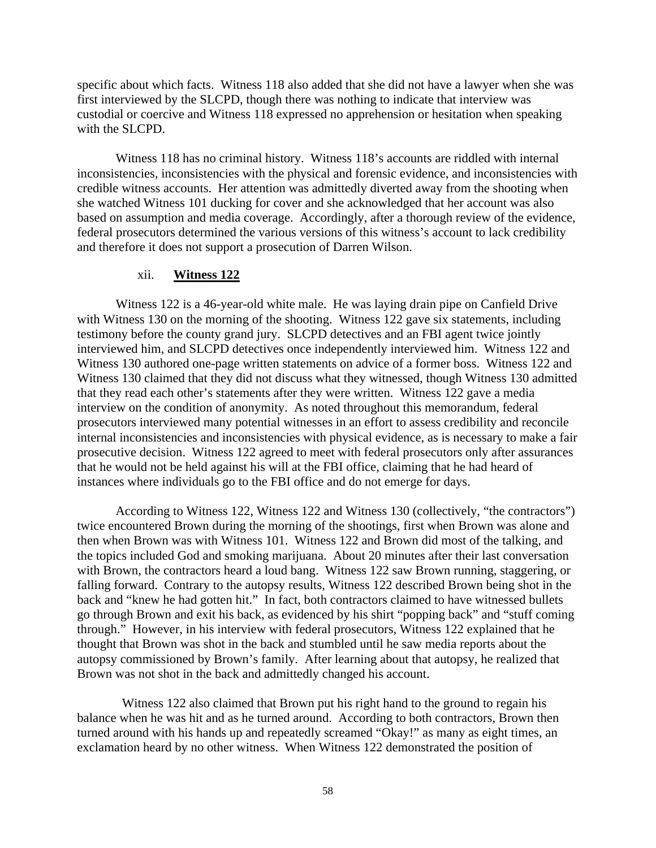specific about which facts. Witness 118 also added that she did not have a lawyer when she was first interviewed by the SLCPD, though there was nothing to indicate that interview was custodial or coercive and Witness 118 expressed no apprehension or hesitation when speaking with the SLCPD.

Witness 118 has no criminal history. Witness 118's accounts are riddled with internal inconsistencies, inconsistencies with the physical and forensic evidence, and inconsistencies with credible witness accounts. Her attention was admittedly diverted away from the shooting when she watched Witness 101 ducking for cover and she acknowledged that her account was also based on assumption and media coverage. Accordingly, after a thorough review of the evidence, federal prosecutors determined the various versions of this witness's account to lack credibility and therefore it does not support a prosecution of Darren Wilson.

# xii. **Witness 122**

Witness 122 is a 46-year-old white male. He was laying drain pipe on Canfield Drive with Witness 130 on the morning of the shooting. Witness 122 gave six statements, including testimony before the county grand jury. SLCPD detectives and an FBI agent twice jointly interviewed him, and SLCPD detectives once independently interviewed him. Witness 122 and Witness 130 authored one-page written statements on advice of a former boss. Witness 122 and Witness 130 claimed that they did not discuss what they witnessed, though Witness 130 admitted that they read each other's statements after they were written. Witness 122 gave a media interview on the condition of anonymity. As noted throughout this memorandum, federal prosecutors interviewed many potential witnesses in an effort to assess credibility and reconcile internal inconsistencies and inconsistencies with physical evidence, as is necessary to make a fair prosecutive decision. Witness 122 agreed to meet with federal prosecutors only after assurances that he would not be held against his will at the FBI office, claiming that he had heard of instances where individuals go to the FBI office and do not emerge for days.

According to Witness 122, Witness 122 and Witness 130 (collectively, "the contractors") twice encountered Brown during the morning of the shootings, first when Brown was alone and then when Brown was with Witness 101. Witness 122 and Brown did most of the talking, and the topics included God and smoking marijuana. About 20 minutes after their last conversation with Brown, the contractors heard a loud bang. Witness 122 saw Brown running, staggering, or falling forward. Contrary to the autopsy results, Witness 122 described Brown being shot in the back and "knew he had gotten hit." In fact, both contractors claimed to have witnessed bullets go through Brown and exit his back, as evidenced by his shirt "popping back" and "stuff coming through." However, in his interview with federal prosecutors, Witness 122 explained that he thought that Brown was shot in the back and stumbled until he saw media reports about the autopsy commissioned by Brown's family. After learning about that autopsy, he realized that Brown was not shot in the back and admittedly changed his account.

 Witness 122 also claimed that Brown put his right hand to the ground to regain his balance when he was hit and as he turned around. According to both contractors, Brown then turned around with his hands up and repeatedly screamed "Okay!" as many as eight times, an exclamation heard by no other witness. When Witness 122 demonstrated the position of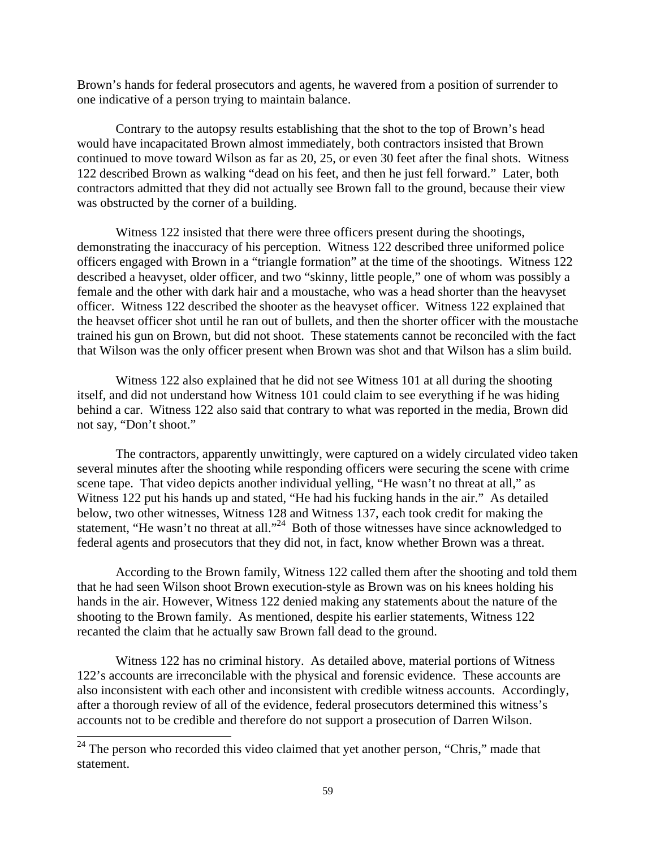Brown's hands for federal prosecutors and agents, he wavered from a position of surrender to one indicative of a person trying to maintain balance.

Contrary to the autopsy results establishing that the shot to the top of Brown's head would have incapacitated Brown almost immediately, both contractors insisted that Brown continued to move toward Wilson as far as 20, 25, or even 30 feet after the final shots. Witness 122 described Brown as walking "dead on his feet, and then he just fell forward." Later, both contractors admitted that they did not actually see Brown fall to the ground, because their view was obstructed by the corner of a building.

Witness 122 insisted that there were three officers present during the shootings, demonstrating the inaccuracy of his perception. Witness 122 described three uniformed police officers engaged with Brown in a "triangle formation" at the time of the shootings. Witness 122 described a heavyset, older officer, and two "skinny, little people," one of whom was possibly a female and the other with dark hair and a moustache, who was a head shorter than the heavyset officer. Witness 122 described the shooter as the heavyset officer. Witness 122 explained that the heavset officer shot until he ran out of bullets, and then the shorter officer with the moustache trained his gun on Brown, but did not shoot. These statements cannot be reconciled with the fact that Wilson was the only officer present when Brown was shot and that Wilson has a slim build.

Witness 122 also explained that he did not see Witness 101 at all during the shooting itself, and did not understand how Witness 101 could claim to see everything if he was hiding behind a car. Witness 122 also said that contrary to what was reported in the media, Brown did not say, "Don't shoot."

The contractors, apparently unwittingly, were captured on a widely circulated video taken several minutes after the shooting while responding officers were securing the scene with crime scene tape. That video depicts another individual yelling, "He wasn't no threat at all," as Witness 122 put his hands up and stated, "He had his fucking hands in the air." As detailed below, two other witnesses, Witness 128 and Witness 137, each took credit for making the statement, "He wasn't no threat at all."<sup>24</sup> Both of those witnesses have since acknowledged to federal agents and prosecutors that they did not, in fact, know whether Brown was a threat.

According to the Brown family, Witness 122 called them after the shooting and told them that he had seen Wilson shoot Brown execution-style as Brown was on his knees holding his hands in the air. However, Witness 122 denied making any statements about the nature of the shooting to the Brown family. As mentioned, despite his earlier statements, Witness 122 recanted the claim that he actually saw Brown fall dead to the ground.

Witness 122 has no criminal history. As detailed above, material portions of Witness 122's accounts are irreconcilable with the physical and forensic evidence. These accounts are also inconsistent with each other and inconsistent with credible witness accounts. Accordingly, after a thorough review of all of the evidence, federal prosecutors determined this witness's accounts not to be credible and therefore do not support a prosecution of Darren Wilson.

 $\overline{a}$ 

 $24$  The person who recorded this video claimed that yet another person, "Chris," made that statement.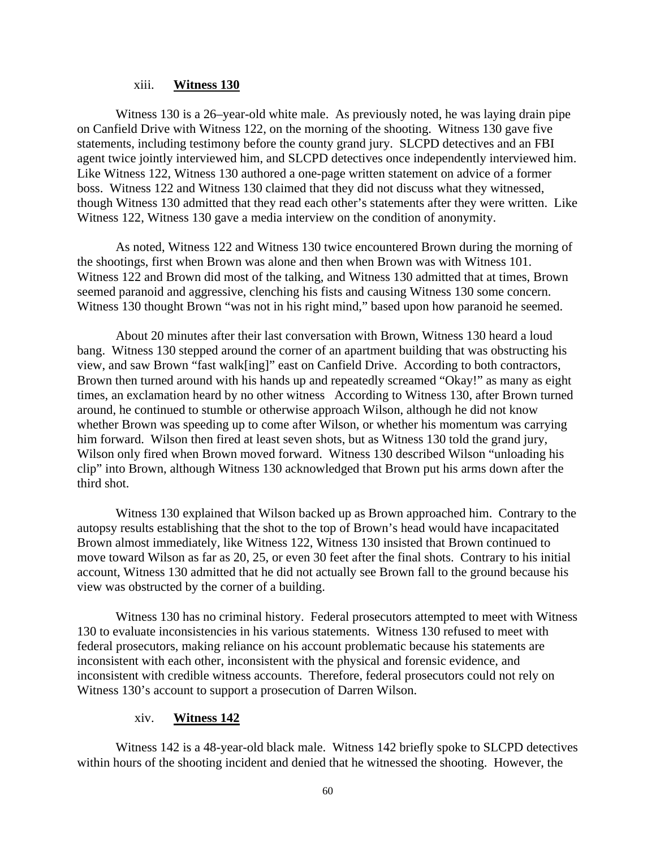### xiii. **Witness 130**

Witness 130 is a 26–year-old white male. As previously noted, he was laying drain pipe on Canfield Drive with Witness 122, on the morning of the shooting. Witness 130 gave five statements, including testimony before the county grand jury. SLCPD detectives and an FBI agent twice jointly interviewed him, and SLCPD detectives once independently interviewed him. Like Witness 122, Witness 130 authored a one-page written statement on advice of a former boss. Witness 122 and Witness 130 claimed that they did not discuss what they witnessed, though Witness 130 admitted that they read each other's statements after they were written. Like Witness 122, Witness 130 gave a media interview on the condition of anonymity.

As noted, Witness 122 and Witness 130 twice encountered Brown during the morning of the shootings, first when Brown was alone and then when Brown was with Witness 101. Witness 122 and Brown did most of the talking, and Witness 130 admitted that at times, Brown seemed paranoid and aggressive, clenching his fists and causing Witness 130 some concern. Witness 130 thought Brown "was not in his right mind," based upon how paranoid he seemed.

About 20 minutes after their last conversation with Brown, Witness 130 heard a loud bang. Witness 130 stepped around the corner of an apartment building that was obstructing his view, and saw Brown "fast walk[ing]" east on Canfield Drive. According to both contractors, Brown then turned around with his hands up and repeatedly screamed "Okay!" as many as eight times, an exclamation heard by no other witness According to Witness 130, after Brown turned around, he continued to stumble or otherwise approach Wilson, although he did not know whether Brown was speeding up to come after Wilson, or whether his momentum was carrying him forward. Wilson then fired at least seven shots, but as Witness 130 told the grand jury, Wilson only fired when Brown moved forward. Witness 130 described Wilson "unloading his clip" into Brown, although Witness 130 acknowledged that Brown put his arms down after the third shot.

Witness 130 explained that Wilson backed up as Brown approached him. Contrary to the autopsy results establishing that the shot to the top of Brown's head would have incapacitated Brown almost immediately, like Witness 122, Witness 130 insisted that Brown continued to move toward Wilson as far as 20, 25, or even 30 feet after the final shots. Contrary to his initial account, Witness 130 admitted that he did not actually see Brown fall to the ground because his view was obstructed by the corner of a building.

Witness 130 has no criminal history. Federal prosecutors attempted to meet with Witness 130 to evaluate inconsistencies in his various statements. Witness 130 refused to meet with federal prosecutors, making reliance on his account problematic because his statements are inconsistent with each other, inconsistent with the physical and forensic evidence, and inconsistent with credible witness accounts. Therefore, federal prosecutors could not rely on Witness 130's account to support a prosecution of Darren Wilson.

# xiv. **Witness 142**

Witness 142 is a 48-year-old black male. Witness 142 briefly spoke to SLCPD detectives within hours of the shooting incident and denied that he witnessed the shooting. However, the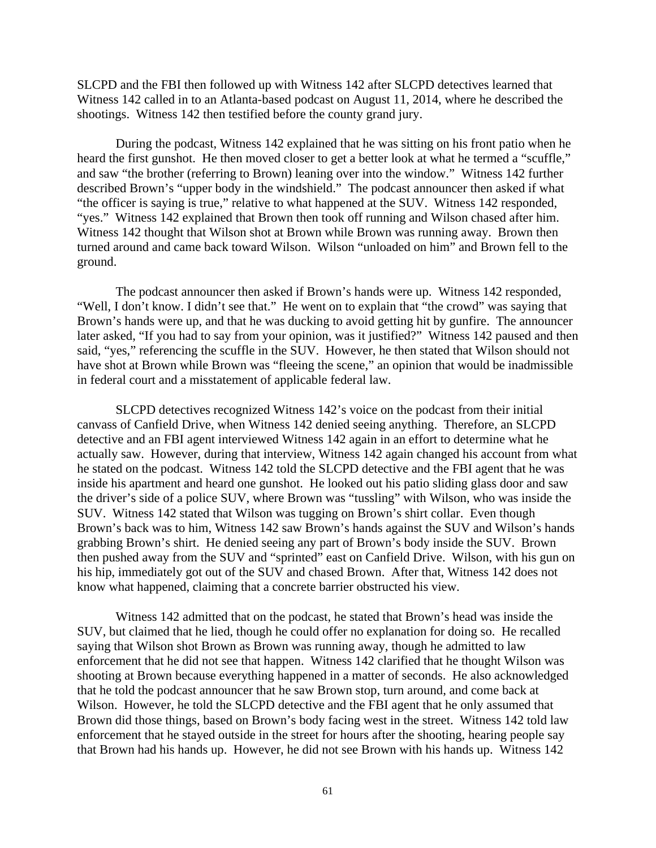SLCPD and the FBI then followed up with Witness 142 after SLCPD detectives learned that Witness 142 called in to an Atlanta-based podcast on August 11, 2014, where he described the shootings. Witness 142 then testified before the county grand jury.

During the podcast, Witness 142 explained that he was sitting on his front patio when he heard the first gunshot. He then moved closer to get a better look at what he termed a "scuffle," and saw "the brother (referring to Brown) leaning over into the window." Witness 142 further described Brown's "upper body in the windshield." The podcast announcer then asked if what "the officer is saying is true," relative to what happened at the SUV. Witness 142 responded, "yes." Witness 142 explained that Brown then took off running and Wilson chased after him. Witness 142 thought that Wilson shot at Brown while Brown was running away. Brown then turned around and came back toward Wilson. Wilson "unloaded on him" and Brown fell to the ground.

The podcast announcer then asked if Brown's hands were up. Witness 142 responded, "Well, I don't know. I didn't see that." He went on to explain that "the crowd" was saying that Brown's hands were up, and that he was ducking to avoid getting hit by gunfire. The announcer later asked, "If you had to say from your opinion, was it justified?" Witness 142 paused and then said, "yes," referencing the scuffle in the SUV. However, he then stated that Wilson should not have shot at Brown while Brown was "fleeing the scene," an opinion that would be inadmissible in federal court and a misstatement of applicable federal law.

SLCPD detectives recognized Witness 142's voice on the podcast from their initial canvass of Canfield Drive, when Witness 142 denied seeing anything. Therefore, an SLCPD detective and an FBI agent interviewed Witness 142 again in an effort to determine what he actually saw. However, during that interview, Witness 142 again changed his account from what he stated on the podcast. Witness 142 told the SLCPD detective and the FBI agent that he was inside his apartment and heard one gunshot. He looked out his patio sliding glass door and saw the driver's side of a police SUV, where Brown was "tussling" with Wilson, who was inside the SUV. Witness 142 stated that Wilson was tugging on Brown's shirt collar. Even though Brown's back was to him, Witness 142 saw Brown's hands against the SUV and Wilson's hands grabbing Brown's shirt. He denied seeing any part of Brown's body inside the SUV. Brown then pushed away from the SUV and "sprinted" east on Canfield Drive. Wilson, with his gun on his hip, immediately got out of the SUV and chased Brown. After that, Witness 142 does not know what happened, claiming that a concrete barrier obstructed his view.

Witness 142 admitted that on the podcast, he stated that Brown's head was inside the SUV, but claimed that he lied, though he could offer no explanation for doing so. He recalled saying that Wilson shot Brown as Brown was running away, though he admitted to law enforcement that he did not see that happen. Witness 142 clarified that he thought Wilson was shooting at Brown because everything happened in a matter of seconds. He also acknowledged that he told the podcast announcer that he saw Brown stop, turn around, and come back at Wilson. However, he told the SLCPD detective and the FBI agent that he only assumed that Brown did those things, based on Brown's body facing west in the street. Witness 142 told law enforcement that he stayed outside in the street for hours after the shooting, hearing people say that Brown had his hands up. However, he did not see Brown with his hands up. Witness 142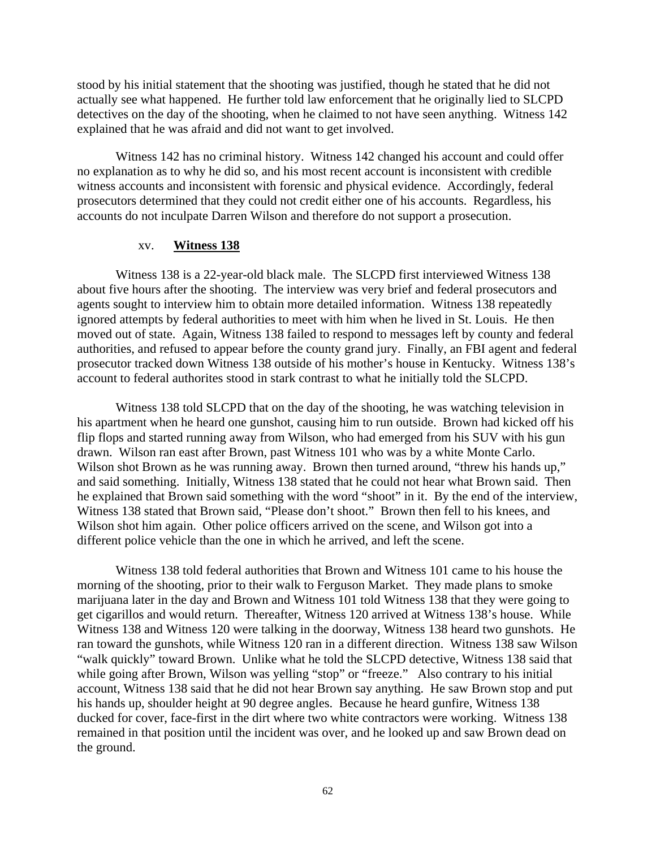stood by his initial statement that the shooting was justified, though he stated that he did not actually see what happened. He further told law enforcement that he originally lied to SLCPD detectives on the day of the shooting, when he claimed to not have seen anything. Witness 142 explained that he was afraid and did not want to get involved.

Witness 142 has no criminal history. Witness 142 changed his account and could offer no explanation as to why he did so, and his most recent account is inconsistent with credible witness accounts and inconsistent with forensic and physical evidence. Accordingly, federal prosecutors determined that they could not credit either one of his accounts. Regardless, his accounts do not inculpate Darren Wilson and therefore do not support a prosecution.

#### xv. **Witness 138**

Witness 138 is a 22-year-old black male. The SLCPD first interviewed Witness 138 about five hours after the shooting. The interview was very brief and federal prosecutors and agents sought to interview him to obtain more detailed information. Witness 138 repeatedly ignored attempts by federal authorities to meet with him when he lived in St. Louis. He then moved out of state. Again, Witness 138 failed to respond to messages left by county and federal authorities, and refused to appear before the county grand jury. Finally, an FBI agent and federal prosecutor tracked down Witness 138 outside of his mother's house in Kentucky. Witness 138's account to federal authorites stood in stark contrast to what he initially told the SLCPD.

Witness 138 told SLCPD that on the day of the shooting, he was watching television in his apartment when he heard one gunshot, causing him to run outside. Brown had kicked off his flip flops and started running away from Wilson, who had emerged from his SUV with his gun drawn. Wilson ran east after Brown, past Witness 101 who was by a white Monte Carlo. Wilson shot Brown as he was running away. Brown then turned around, "threw his hands up," and said something. Initially, Witness 138 stated that he could not hear what Brown said. Then he explained that Brown said something with the word "shoot" in it. By the end of the interview, Witness 138 stated that Brown said, "Please don't shoot." Brown then fell to his knees, and Wilson shot him again. Other police officers arrived on the scene, and Wilson got into a different police vehicle than the one in which he arrived, and left the scene.

Witness 138 told federal authorities that Brown and Witness 101 came to his house the morning of the shooting, prior to their walk to Ferguson Market. They made plans to smoke marijuana later in the day and Brown and Witness 101 told Witness 138 that they were going to get cigarillos and would return. Thereafter, Witness 120 arrived at Witness 138's house. While Witness 138 and Witness 120 were talking in the doorway, Witness 138 heard two gunshots. He ran toward the gunshots, while Witness 120 ran in a different direction. Witness 138 saw Wilson "walk quickly" toward Brown. Unlike what he told the SLCPD detective, Witness 138 said that while going after Brown, Wilson was yelling "stop" or "freeze." Also contrary to his initial account, Witness 138 said that he did not hear Brown say anything. He saw Brown stop and put his hands up, shoulder height at 90 degree angles. Because he heard gunfire, Witness 138 ducked for cover, face-first in the dirt where two white contractors were working. Witness 138 remained in that position until the incident was over, and he looked up and saw Brown dead on the ground.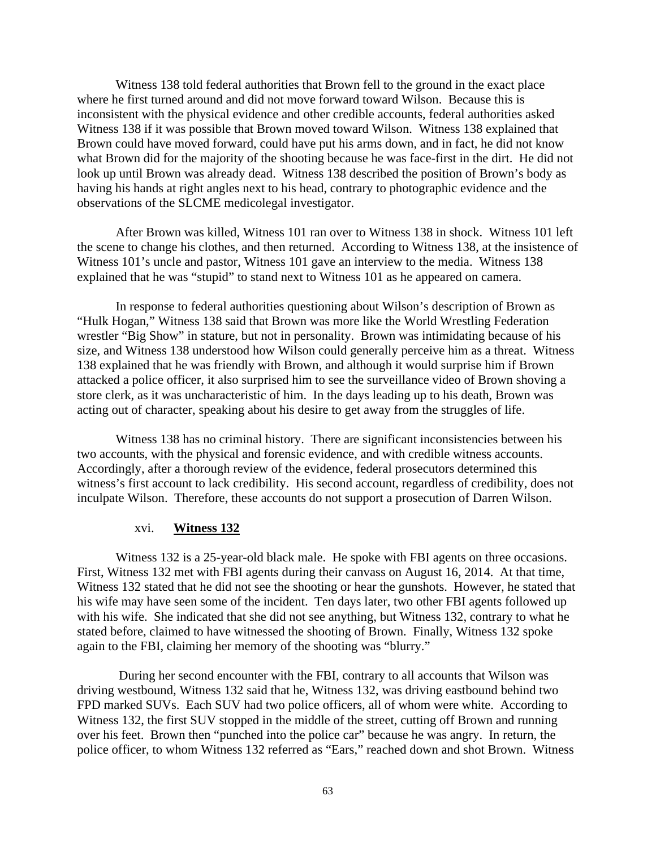Witness 138 told federal authorities that Brown fell to the ground in the exact place where he first turned around and did not move forward toward Wilson. Because this is inconsistent with the physical evidence and other credible accounts, federal authorities asked Witness 138 if it was possible that Brown moved toward Wilson. Witness 138 explained that Brown could have moved forward, could have put his arms down, and in fact, he did not know what Brown did for the majority of the shooting because he was face-first in the dirt. He did not look up until Brown was already dead. Witness 138 described the position of Brown's body as having his hands at right angles next to his head, contrary to photographic evidence and the observations of the SLCME medicolegal investigator.

After Brown was killed, Witness 101 ran over to Witness 138 in shock. Witness 101 left the scene to change his clothes, and then returned. According to Witness 138, at the insistence of Witness 101's uncle and pastor, Witness 101 gave an interview to the media. Witness 138 explained that he was "stupid" to stand next to Witness 101 as he appeared on camera.

In response to federal authorities questioning about Wilson's description of Brown as "Hulk Hogan," Witness 138 said that Brown was more like the World Wrestling Federation wrestler "Big Show" in stature, but not in personality. Brown was intimidating because of his size, and Witness 138 understood how Wilson could generally perceive him as a threat. Witness 138 explained that he was friendly with Brown, and although it would surprise him if Brown attacked a police officer, it also surprised him to see the surveillance video of Brown shoving a store clerk, as it was uncharacteristic of him. In the days leading up to his death, Brown was acting out of character, speaking about his desire to get away from the struggles of life.

Witness 138 has no criminal history. There are significant inconsistencies between his two accounts, with the physical and forensic evidence, and with credible witness accounts. Accordingly, after a thorough review of the evidence, federal prosecutors determined this witness's first account to lack credibility. His second account, regardless of credibility, does not inculpate Wilson. Therefore, these accounts do not support a prosecution of Darren Wilson.

### xvi. **Witness 132**

Witness 132 is a 25-year-old black male. He spoke with FBI agents on three occasions. First, Witness 132 met with FBI agents during their canvass on August 16, 2014. At that time, Witness 132 stated that he did not see the shooting or hear the gunshots. However, he stated that his wife may have seen some of the incident. Ten days later, two other FBI agents followed up with his wife. She indicated that she did not see anything, but Witness 132, contrary to what he stated before, claimed to have witnessed the shooting of Brown. Finally, Witness 132 spoke again to the FBI, claiming her memory of the shooting was "blurry."

 During her second encounter with the FBI, contrary to all accounts that Wilson was driving westbound, Witness 132 said that he, Witness 132, was driving eastbound behind two FPD marked SUVs. Each SUV had two police officers, all of whom were white. According to Witness 132, the first SUV stopped in the middle of the street, cutting off Brown and running over his feet. Brown then "punched into the police car" because he was angry. In return, the police officer, to whom Witness 132 referred as "Ears," reached down and shot Brown. Witness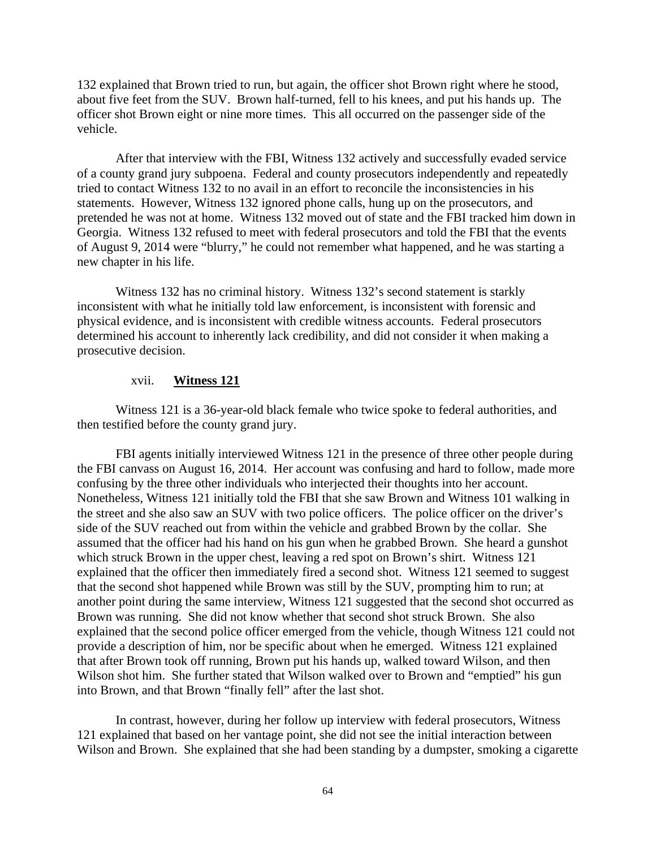132 explained that Brown tried to run, but again, the officer shot Brown right where he stood, about five feet from the SUV. Brown half-turned, fell to his knees, and put his hands up. The officer shot Brown eight or nine more times. This all occurred on the passenger side of the vehicle.

After that interview with the FBI, Witness 132 actively and successfully evaded service of a county grand jury subpoena. Federal and county prosecutors independently and repeatedly tried to contact Witness 132 to no avail in an effort to reconcile the inconsistencies in his statements. However, Witness 132 ignored phone calls, hung up on the prosecutors, and pretended he was not at home. Witness 132 moved out of state and the FBI tracked him down in Georgia. Witness 132 refused to meet with federal prosecutors and told the FBI that the events of August 9, 2014 were "blurry," he could not remember what happened, and he was starting a new chapter in his life.

Witness 132 has no criminal history. Witness 132's second statement is starkly inconsistent with what he initially told law enforcement, is inconsistent with forensic and physical evidence, and is inconsistent with credible witness accounts. Federal prosecutors determined his account to inherently lack credibility, and did not consider it when making a prosecutive decision.

## xvii. **Witness 121**

Witness 121 is a 36-year-old black female who twice spoke to federal authorities, and then testified before the county grand jury.

FBI agents initially interviewed Witness 121 in the presence of three other people during the FBI canvass on August 16, 2014. Her account was confusing and hard to follow, made more confusing by the three other individuals who interjected their thoughts into her account. Nonetheless, Witness 121 initially told the FBI that she saw Brown and Witness 101 walking in the street and she also saw an SUV with two police officers. The police officer on the driver's side of the SUV reached out from within the vehicle and grabbed Brown by the collar. She assumed that the officer had his hand on his gun when he grabbed Brown. She heard a gunshot which struck Brown in the upper chest, leaving a red spot on Brown's shirt. Witness 121 explained that the officer then immediately fired a second shot. Witness 121 seemed to suggest that the second shot happened while Brown was still by the SUV, prompting him to run; at another point during the same interview, Witness 121 suggested that the second shot occurred as Brown was running. She did not know whether that second shot struck Brown. She also explained that the second police officer emerged from the vehicle, though Witness 121 could not provide a description of him, nor be specific about when he emerged. Witness 121 explained that after Brown took off running, Brown put his hands up, walked toward Wilson, and then Wilson shot him. She further stated that Wilson walked over to Brown and "emptied" his gun into Brown, and that Brown "finally fell" after the last shot.

In contrast, however, during her follow up interview with federal prosecutors, Witness 121 explained that based on her vantage point, she did not see the initial interaction between Wilson and Brown. She explained that she had been standing by a dumpster, smoking a cigarette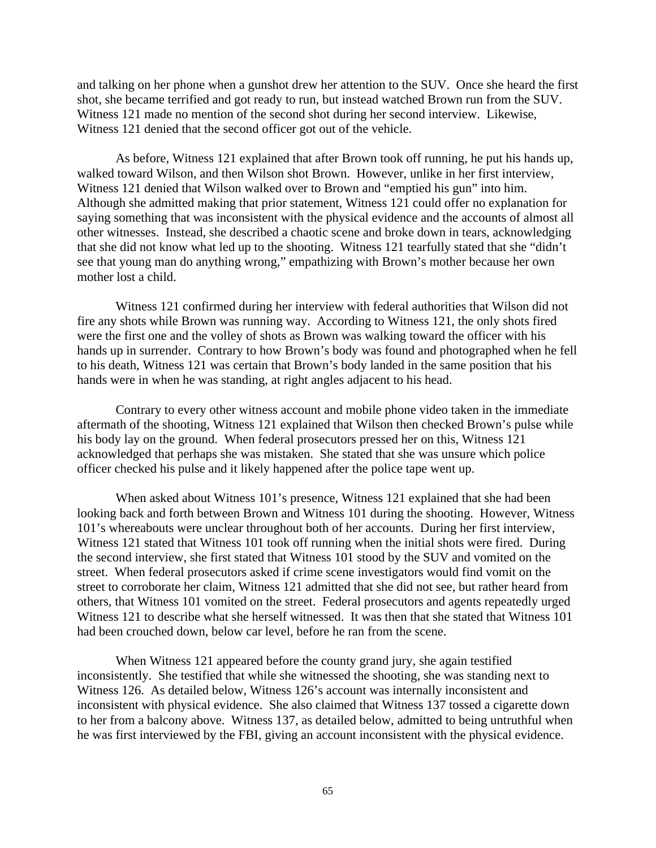and talking on her phone when a gunshot drew her attention to the SUV. Once she heard the first shot, she became terrified and got ready to run, but instead watched Brown run from the SUV. Witness 121 made no mention of the second shot during her second interview. Likewise, Witness 121 denied that the second officer got out of the vehicle.

As before, Witness 121 explained that after Brown took off running, he put his hands up, walked toward Wilson, and then Wilson shot Brown. However, unlike in her first interview, Witness 121 denied that Wilson walked over to Brown and "emptied his gun" into him. Although she admitted making that prior statement, Witness 121 could offer no explanation for saying something that was inconsistent with the physical evidence and the accounts of almost all other witnesses. Instead, she described a chaotic scene and broke down in tears, acknowledging that she did not know what led up to the shooting. Witness 121 tearfully stated that she "didn't see that young man do anything wrong," empathizing with Brown's mother because her own mother lost a child.

Witness 121 confirmed during her interview with federal authorities that Wilson did not fire any shots while Brown was running way. According to Witness 121, the only shots fired were the first one and the volley of shots as Brown was walking toward the officer with his hands up in surrender. Contrary to how Brown's body was found and photographed when he fell to his death, Witness 121 was certain that Brown's body landed in the same position that his hands were in when he was standing, at right angles adjacent to his head.

Contrary to every other witness account and mobile phone video taken in the immediate aftermath of the shooting, Witness 121 explained that Wilson then checked Brown's pulse while his body lay on the ground. When federal prosecutors pressed her on this, Witness 121 acknowledged that perhaps she was mistaken. She stated that she was unsure which police officer checked his pulse and it likely happened after the police tape went up.

When asked about Witness 101's presence, Witness 121 explained that she had been looking back and forth between Brown and Witness 101 during the shooting. However, Witness 101's whereabouts were unclear throughout both of her accounts. During her first interview, Witness 121 stated that Witness 101 took off running when the initial shots were fired. During the second interview, she first stated that Witness 101 stood by the SUV and vomited on the street. When federal prosecutors asked if crime scene investigators would find vomit on the street to corroborate her claim, Witness 121 admitted that she did not see, but rather heard from others, that Witness 101 vomited on the street. Federal prosecutors and agents repeatedly urged Witness 121 to describe what she herself witnessed. It was then that she stated that Witness 101 had been crouched down, below car level, before he ran from the scene.

When Witness 121 appeared before the county grand jury, she again testified inconsistently. She testified that while she witnessed the shooting, she was standing next to Witness 126. As detailed below, Witness 126's account was internally inconsistent and inconsistent with physical evidence. She also claimed that Witness 137 tossed a cigarette down to her from a balcony above. Witness 137, as detailed below, admitted to being untruthful when he was first interviewed by the FBI, giving an account inconsistent with the physical evidence.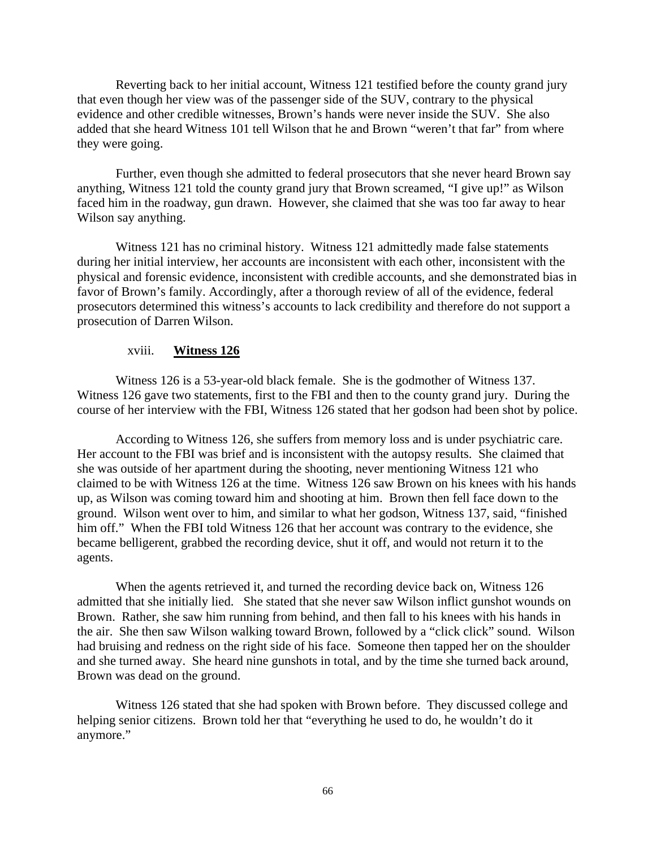Reverting back to her initial account, Witness 121 testified before the county grand jury that even though her view was of the passenger side of the SUV, contrary to the physical evidence and other credible witnesses, Brown's hands were never inside the SUV. She also added that she heard Witness 101 tell Wilson that he and Brown "weren't that far" from where they were going.

Further, even though she admitted to federal prosecutors that she never heard Brown say anything, Witness 121 told the county grand jury that Brown screamed, "I give up!" as Wilson faced him in the roadway, gun drawn. However, she claimed that she was too far away to hear Wilson say anything.

Witness 121 has no criminal history. Witness 121 admittedly made false statements during her initial interview, her accounts are inconsistent with each other, inconsistent with the physical and forensic evidence, inconsistent with credible accounts, and she demonstrated bias in favor of Brown's family. Accordingly, after a thorough review of all of the evidence, federal prosecutors determined this witness's accounts to lack credibility and therefore do not support a prosecution of Darren Wilson.

## xviii. **Witness 126**

Witness 126 is a 53-year-old black female. She is the godmother of Witness 137. Witness 126 gave two statements, first to the FBI and then to the county grand jury. During the course of her interview with the FBI, Witness 126 stated that her godson had been shot by police.

According to Witness 126, she suffers from memory loss and is under psychiatric care. Her account to the FBI was brief and is inconsistent with the autopsy results. She claimed that she was outside of her apartment during the shooting, never mentioning Witness 121 who claimed to be with Witness 126 at the time. Witness 126 saw Brown on his knees with his hands up, as Wilson was coming toward him and shooting at him. Brown then fell face down to the ground. Wilson went over to him, and similar to what her godson, Witness 137, said, "finished him off." When the FBI told Witness 126 that her account was contrary to the evidence, she became belligerent, grabbed the recording device, shut it off, and would not return it to the agents.

When the agents retrieved it, and turned the recording device back on, Witness 126 admitted that she initially lied. She stated that she never saw Wilson inflict gunshot wounds on Brown. Rather, she saw him running from behind, and then fall to his knees with his hands in the air. She then saw Wilson walking toward Brown, followed by a "click click" sound. Wilson had bruising and redness on the right side of his face. Someone then tapped her on the shoulder and she turned away. She heard nine gunshots in total, and by the time she turned back around, Brown was dead on the ground.

Witness 126 stated that she had spoken with Brown before. They discussed college and helping senior citizens. Brown told her that "everything he used to do, he wouldn't do it anymore."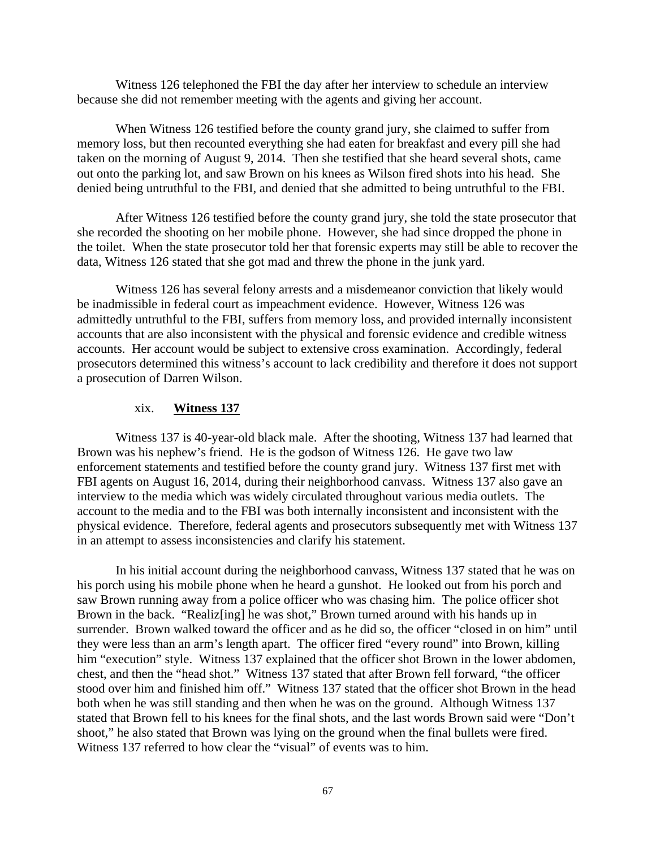Witness 126 telephoned the FBI the day after her interview to schedule an interview because she did not remember meeting with the agents and giving her account.

When Witness 126 testified before the county grand jury, she claimed to suffer from memory loss, but then recounted everything she had eaten for breakfast and every pill she had taken on the morning of August 9, 2014. Then she testified that she heard several shots, came out onto the parking lot, and saw Brown on his knees as Wilson fired shots into his head. She denied being untruthful to the FBI, and denied that she admitted to being untruthful to the FBI.

After Witness 126 testified before the county grand jury, she told the state prosecutor that she recorded the shooting on her mobile phone. However, she had since dropped the phone in the toilet. When the state prosecutor told her that forensic experts may still be able to recover the data, Witness 126 stated that she got mad and threw the phone in the junk yard.

Witness 126 has several felony arrests and a misdemeanor conviction that likely would be inadmissible in federal court as impeachment evidence. However, Witness 126 was admittedly untruthful to the FBI, suffers from memory loss, and provided internally inconsistent accounts that are also inconsistent with the physical and forensic evidence and credible witness accounts. Her account would be subject to extensive cross examination. Accordingly, federal prosecutors determined this witness's account to lack credibility and therefore it does not support a prosecution of Darren Wilson.

## xix. **Witness 137**

Witness 137 is 40-year-old black male. After the shooting, Witness 137 had learned that Brown was his nephew's friend. He is the godson of Witness 126. He gave two law enforcement statements and testified before the county grand jury. Witness 137 first met with FBI agents on August 16, 2014, during their neighborhood canvass. Witness 137 also gave an interview to the media which was widely circulated throughout various media outlets. The account to the media and to the FBI was both internally inconsistent and inconsistent with the physical evidence. Therefore, federal agents and prosecutors subsequently met with Witness 137 in an attempt to assess inconsistencies and clarify his statement.

In his initial account during the neighborhood canvass, Witness 137 stated that he was on his porch using his mobile phone when he heard a gunshot. He looked out from his porch and saw Brown running away from a police officer who was chasing him. The police officer shot Brown in the back. "Realize ingl he was shot," Brown turned around with his hands up in surrender. Brown walked toward the officer and as he did so, the officer "closed in on him" until they were less than an arm's length apart. The officer fired "every round" into Brown, killing him "execution" style. Witness 137 explained that the officer shot Brown in the lower abdomen, chest, and then the "head shot." Witness 137 stated that after Brown fell forward, "the officer stood over him and finished him off." Witness 137 stated that the officer shot Brown in the head both when he was still standing and then when he was on the ground. Although Witness 137 stated that Brown fell to his knees for the final shots, and the last words Brown said were "Don't shoot," he also stated that Brown was lying on the ground when the final bullets were fired. Witness 137 referred to how clear the "visual" of events was to him.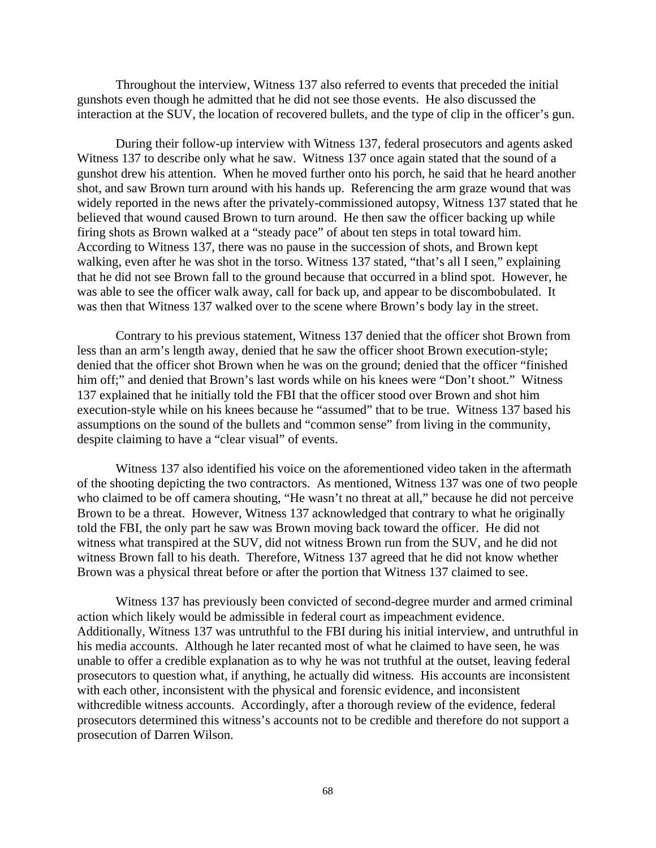Throughout the interview, Witness 137 also referred to events that preceded the initial gunshots even though he admitted that he did not see those events. He also discussed the interaction at the SUV, the location of recovered bullets, and the type of clip in the officer's gun.

During their follow-up interview with Witness 137, federal prosecutors and agents asked Witness 137 to describe only what he saw. Witness 137 once again stated that the sound of a gunshot drew his attention. When he moved further onto his porch, he said that he heard another shot, and saw Brown turn around with his hands up. Referencing the arm graze wound that was widely reported in the news after the privately-commissioned autopsy, Witness 137 stated that he believed that wound caused Brown to turn around. He then saw the officer backing up while firing shots as Brown walked at a "steady pace" of about ten steps in total toward him. According to Witness 137, there was no pause in the succession of shots, and Brown kept walking, even after he was shot in the torso. Witness 137 stated, "that's all I seen," explaining that he did not see Brown fall to the ground because that occurred in a blind spot. However, he was able to see the officer walk away, call for back up, and appear to be discombobulated. It was then that Witness 137 walked over to the scene where Brown's body lay in the street.

Contrary to his previous statement, Witness 137 denied that the officer shot Brown from less than an arm's length away, denied that he saw the officer shoot Brown execution-style; denied that the officer shot Brown when he was on the ground; denied that the officer "finished him off;" and denied that Brown's last words while on his knees were "Don't shoot." Witness 137 explained that he initially told the FBI that the officer stood over Brown and shot him execution-style while on his knees because he "assumed" that to be true. Witness 137 based his assumptions on the sound of the bullets and "common sense" from living in the community, despite claiming to have a "clear visual" of events.

Witness 137 also identified his voice on the aforementioned video taken in the aftermath of the shooting depicting the two contractors. As mentioned, Witness 137 was one of two people who claimed to be off camera shouting, "He wasn't no threat at all," because he did not perceive Brown to be a threat. However, Witness 137 acknowledged that contrary to what he originally told the FBI, the only part he saw was Brown moving back toward the officer. He did not witness what transpired at the SUV, did not witness Brown run from the SUV, and he did not witness Brown fall to his death. Therefore, Witness 137 agreed that he did not know whether Brown was a physical threat before or after the portion that Witness 137 claimed to see.

Witness 137 has previously been convicted of second-degree murder and armed criminal action which likely would be admissible in federal court as impeachment evidence. Additionally, Witness 137 was untruthful to the FBI during his initial interview, and untruthful in his media accounts. Although he later recanted most of what he claimed to have seen, he was unable to offer a credible explanation as to why he was not truthful at the outset, leaving federal prosecutors to question what, if anything, he actually did witness. His accounts are inconsistent with each other, inconsistent with the physical and forensic evidence, and inconsistent withcredible witness accounts. Accordingly, after a thorough review of the evidence, federal prosecutors determined this witness's accounts not to be credible and therefore do not support a prosecution of Darren Wilson.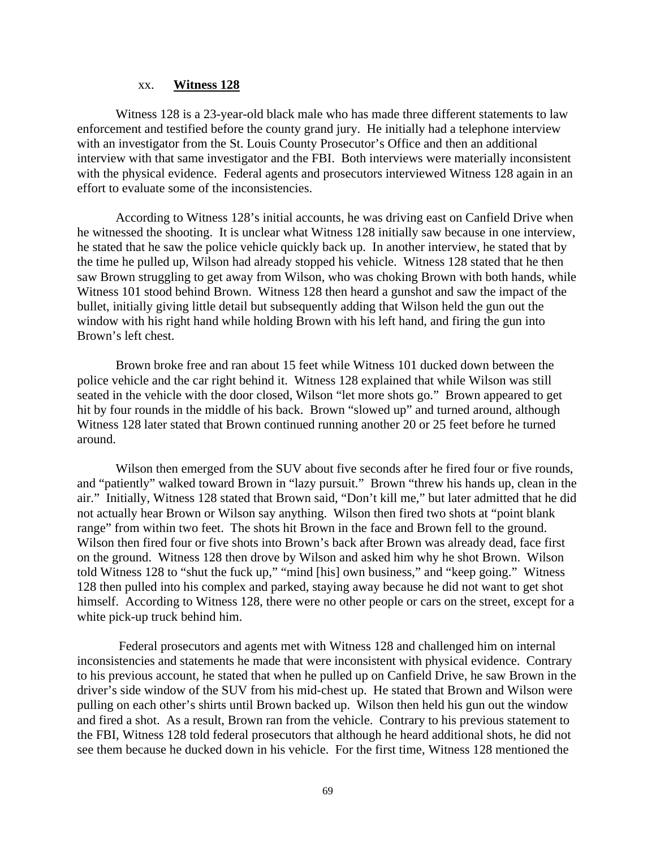#### xx. **Witness 128**

Witness 128 is a 23-year-old black male who has made three different statements to law enforcement and testified before the county grand jury. He initially had a telephone interview with an investigator from the St. Louis County Prosecutor's Office and then an additional interview with that same investigator and the FBI. Both interviews were materially inconsistent with the physical evidence. Federal agents and prosecutors interviewed Witness 128 again in an effort to evaluate some of the inconsistencies.

According to Witness 128's initial accounts, he was driving east on Canfield Drive when he witnessed the shooting. It is unclear what Witness 128 initially saw because in one interview, he stated that he saw the police vehicle quickly back up. In another interview, he stated that by the time he pulled up, Wilson had already stopped his vehicle. Witness 128 stated that he then saw Brown struggling to get away from Wilson, who was choking Brown with both hands, while Witness 101 stood behind Brown. Witness 128 then heard a gunshot and saw the impact of the bullet, initially giving little detail but subsequently adding that Wilson held the gun out the window with his right hand while holding Brown with his left hand, and firing the gun into Brown's left chest.

Brown broke free and ran about 15 feet while Witness 101 ducked down between the police vehicle and the car right behind it. Witness 128 explained that while Wilson was still seated in the vehicle with the door closed, Wilson "let more shots go." Brown appeared to get hit by four rounds in the middle of his back. Brown "slowed up" and turned around, although Witness 128 later stated that Brown continued running another 20 or 25 feet before he turned around.

Wilson then emerged from the SUV about five seconds after he fired four or five rounds, and "patiently" walked toward Brown in "lazy pursuit." Brown "threw his hands up, clean in the air." Initially, Witness 128 stated that Brown said, "Don't kill me," but later admitted that he did not actually hear Brown or Wilson say anything. Wilson then fired two shots at "point blank range" from within two feet. The shots hit Brown in the face and Brown fell to the ground. Wilson then fired four or five shots into Brown's back after Brown was already dead, face first on the ground. Witness 128 then drove by Wilson and asked him why he shot Brown. Wilson told Witness 128 to "shut the fuck up," "mind [his] own business," and "keep going." Witness 128 then pulled into his complex and parked, staying away because he did not want to get shot himself. According to Witness 128, there were no other people or cars on the street, except for a white pick-up truck behind him.

 Federal prosecutors and agents met with Witness 128 and challenged him on internal inconsistencies and statements he made that were inconsistent with physical evidence. Contrary to his previous account, he stated that when he pulled up on Canfield Drive, he saw Brown in the driver's side window of the SUV from his mid-chest up. He stated that Brown and Wilson were pulling on each other's shirts until Brown backed up. Wilson then held his gun out the window and fired a shot. As a result, Brown ran from the vehicle. Contrary to his previous statement to the FBI, Witness 128 told federal prosecutors that although he heard additional shots, he did not see them because he ducked down in his vehicle. For the first time, Witness 128 mentioned the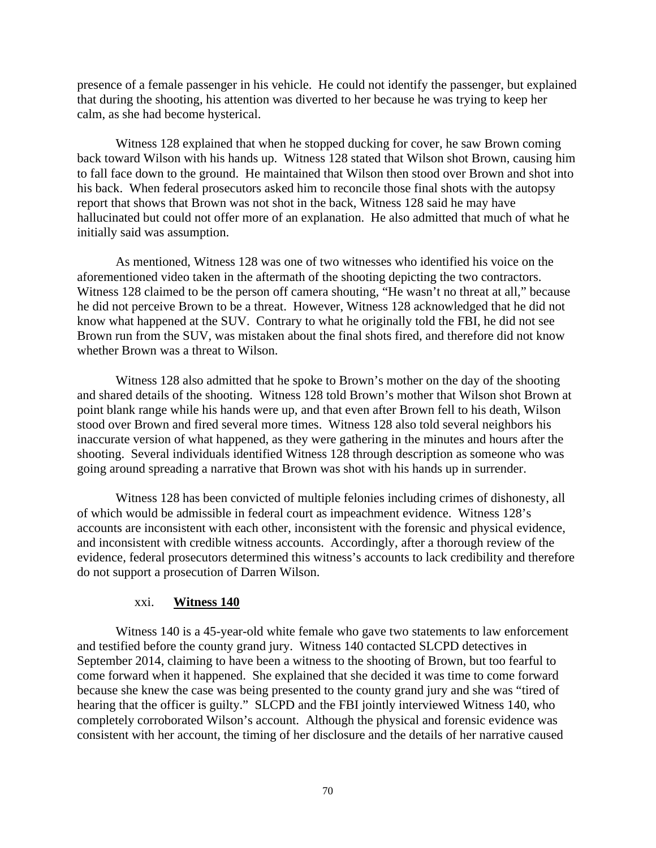presence of a female passenger in his vehicle. He could not identify the passenger, but explained that during the shooting, his attention was diverted to her because he was trying to keep her calm, as she had become hysterical.

Witness 128 explained that when he stopped ducking for cover, he saw Brown coming back toward Wilson with his hands up. Witness 128 stated that Wilson shot Brown, causing him to fall face down to the ground. He maintained that Wilson then stood over Brown and shot into his back. When federal prosecutors asked him to reconcile those final shots with the autopsy report that shows that Brown was not shot in the back, Witness 128 said he may have hallucinated but could not offer more of an explanation. He also admitted that much of what he initially said was assumption.

As mentioned, Witness 128 was one of two witnesses who identified his voice on the aforementioned video taken in the aftermath of the shooting depicting the two contractors. Witness 128 claimed to be the person off camera shouting, "He wasn't no threat at all," because he did not perceive Brown to be a threat. However, Witness 128 acknowledged that he did not know what happened at the SUV. Contrary to what he originally told the FBI, he did not see Brown run from the SUV, was mistaken about the final shots fired, and therefore did not know whether Brown was a threat to Wilson.

Witness 128 also admitted that he spoke to Brown's mother on the day of the shooting and shared details of the shooting. Witness 128 told Brown's mother that Wilson shot Brown at point blank range while his hands were up, and that even after Brown fell to his death, Wilson stood over Brown and fired several more times. Witness 128 also told several neighbors his inaccurate version of what happened, as they were gathering in the minutes and hours after the shooting. Several individuals identified Witness 128 through description as someone who was going around spreading a narrative that Brown was shot with his hands up in surrender.

Witness 128 has been convicted of multiple felonies including crimes of dishonesty, all of which would be admissible in federal court as impeachment evidence. Witness 128's accounts are inconsistent with each other, inconsistent with the forensic and physical evidence, and inconsistent with credible witness accounts. Accordingly, after a thorough review of the evidence, federal prosecutors determined this witness's accounts to lack credibility and therefore do not support a prosecution of Darren Wilson.

#### xxi. **Witness 140**

Witness 140 is a 45-year-old white female who gave two statements to law enforcement and testified before the county grand jury. Witness 140 contacted SLCPD detectives in September 2014, claiming to have been a witness to the shooting of Brown, but too fearful to come forward when it happened. She explained that she decided it was time to come forward because she knew the case was being presented to the county grand jury and she was "tired of hearing that the officer is guilty." SLCPD and the FBI jointly interviewed Witness 140, who completely corroborated Wilson's account. Although the physical and forensic evidence was consistent with her account, the timing of her disclosure and the details of her narrative caused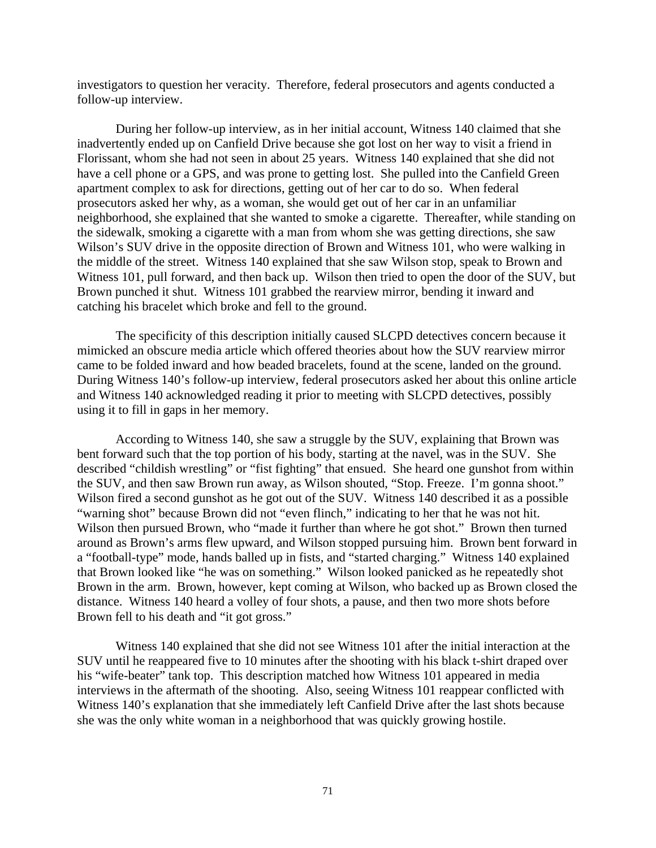investigators to question her veracity. Therefore, federal prosecutors and agents conducted a follow-up interview.

During her follow-up interview, as in her initial account, Witness 140 claimed that she inadvertently ended up on Canfield Drive because she got lost on her way to visit a friend in Florissant, whom she had not seen in about 25 years. Witness 140 explained that she did not have a cell phone or a GPS, and was prone to getting lost. She pulled into the Canfield Green apartment complex to ask for directions, getting out of her car to do so. When federal prosecutors asked her why, as a woman, she would get out of her car in an unfamiliar neighborhood, she explained that she wanted to smoke a cigarette. Thereafter, while standing on the sidewalk, smoking a cigarette with a man from whom she was getting directions, she saw Wilson's SUV drive in the opposite direction of Brown and Witness 101, who were walking in the middle of the street. Witness 140 explained that she saw Wilson stop, speak to Brown and Witness 101, pull forward, and then back up. Wilson then tried to open the door of the SUV, but Brown punched it shut. Witness 101 grabbed the rearview mirror, bending it inward and catching his bracelet which broke and fell to the ground.

The specificity of this description initially caused SLCPD detectives concern because it mimicked an obscure media article which offered theories about how the SUV rearview mirror came to be folded inward and how beaded bracelets, found at the scene, landed on the ground. During Witness 140's follow-up interview, federal prosecutors asked her about this online article and Witness 140 acknowledged reading it prior to meeting with SLCPD detectives, possibly using it to fill in gaps in her memory.

According to Witness 140, she saw a struggle by the SUV, explaining that Brown was bent forward such that the top portion of his body, starting at the navel, was in the SUV. She described "childish wrestling" or "fist fighting" that ensued. She heard one gunshot from within the SUV, and then saw Brown run away, as Wilson shouted, "Stop. Freeze. I'm gonna shoot." Wilson fired a second gunshot as he got out of the SUV. Witness 140 described it as a possible "warning shot" because Brown did not "even flinch," indicating to her that he was not hit. Wilson then pursued Brown, who "made it further than where he got shot." Brown then turned around as Brown's arms flew upward, and Wilson stopped pursuing him. Brown bent forward in a "football-type" mode, hands balled up in fists, and "started charging." Witness 140 explained that Brown looked like "he was on something." Wilson looked panicked as he repeatedly shot Brown in the arm. Brown, however, kept coming at Wilson, who backed up as Brown closed the distance. Witness 140 heard a volley of four shots, a pause, and then two more shots before Brown fell to his death and "it got gross."

Witness 140 explained that she did not see Witness 101 after the initial interaction at the SUV until he reappeared five to 10 minutes after the shooting with his black t-shirt draped over his "wife-beater" tank top. This description matched how Witness 101 appeared in media interviews in the aftermath of the shooting. Also, seeing Witness 101 reappear conflicted with Witness 140's explanation that she immediately left Canfield Drive after the last shots because she was the only white woman in a neighborhood that was quickly growing hostile.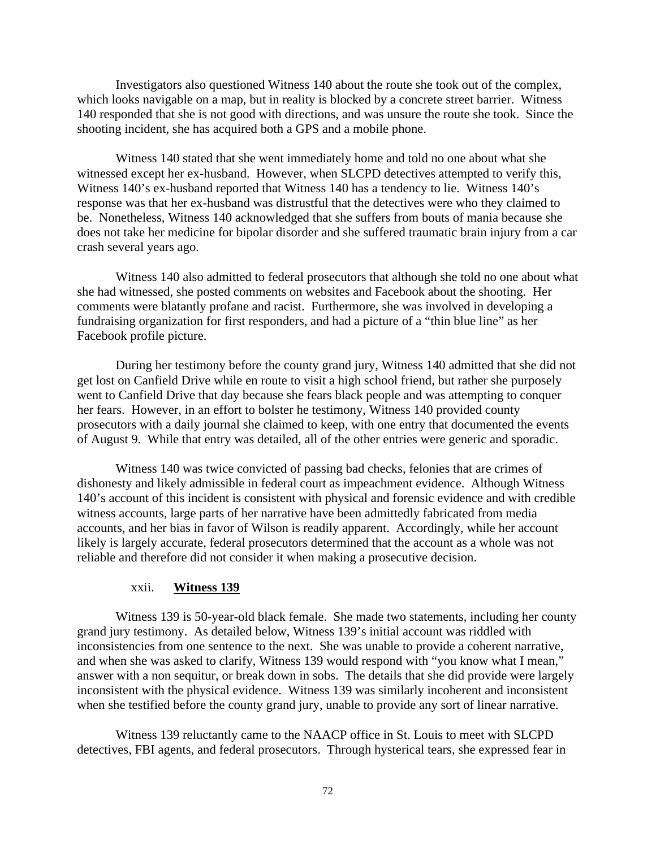Investigators also questioned Witness 140 about the route she took out of the complex, which looks navigable on a map, but in reality is blocked by a concrete street barrier. Witness 140 responded that she is not good with directions, and was unsure the route she took. Since the shooting incident, she has acquired both a GPS and a mobile phone.

Witness 140 stated that she went immediately home and told no one about what she witnessed except her ex-husband. However, when SLCPD detectives attempted to verify this, Witness 140's ex-husband reported that Witness 140 has a tendency to lie. Witness 140's response was that her ex-husband was distrustful that the detectives were who they claimed to be. Nonetheless, Witness 140 acknowledged that she suffers from bouts of mania because she does not take her medicine for bipolar disorder and she suffered traumatic brain injury from a car crash several years ago.

Witness 140 also admitted to federal prosecutors that although she told no one about what she had witnessed, she posted comments on websites and Facebook about the shooting. Her comments were blatantly profane and racist. Furthermore, she was involved in developing a fundraising organization for first responders, and had a picture of a "thin blue line" as her Facebook profile picture.

During her testimony before the county grand jury, Witness 140 admitted that she did not get lost on Canfield Drive while en route to visit a high school friend, but rather she purposely went to Canfield Drive that day because she fears black people and was attempting to conquer her fears. However, in an effort to bolster he testimony, Witness 140 provided county prosecutors with a daily journal she claimed to keep, with one entry that documented the events of August 9. While that entry was detailed, all of the other entries were generic and sporadic.

Witness 140 was twice convicted of passing bad checks, felonies that are crimes of dishonesty and likely admissible in federal court as impeachment evidence. Although Witness 140's account of this incident is consistent with physical and forensic evidence and with credible witness accounts, large parts of her narrative have been admittedly fabricated from media accounts, and her bias in favor of Wilson is readily apparent. Accordingly, while her account likely is largely accurate, federal prosecutors determined that the account as a whole was not reliable and therefore did not consider it when making a prosecutive decision.

# xxii. **Witness 139**

Witness 139 is 50-year-old black female. She made two statements, including her county grand jury testimony. As detailed below, Witness 139's initial account was riddled with inconsistencies from one sentence to the next. She was unable to provide a coherent narrative, and when she was asked to clarify, Witness 139 would respond with "you know what I mean," answer with a non sequitur, or break down in sobs. The details that she did provide were largely inconsistent with the physical evidence. Witness 139 was similarly incoherent and inconsistent when she testified before the county grand jury, unable to provide any sort of linear narrative.

Witness 139 reluctantly came to the NAACP office in St. Louis to meet with SLCPD detectives, FBI agents, and federal prosecutors. Through hysterical tears, she expressed fear in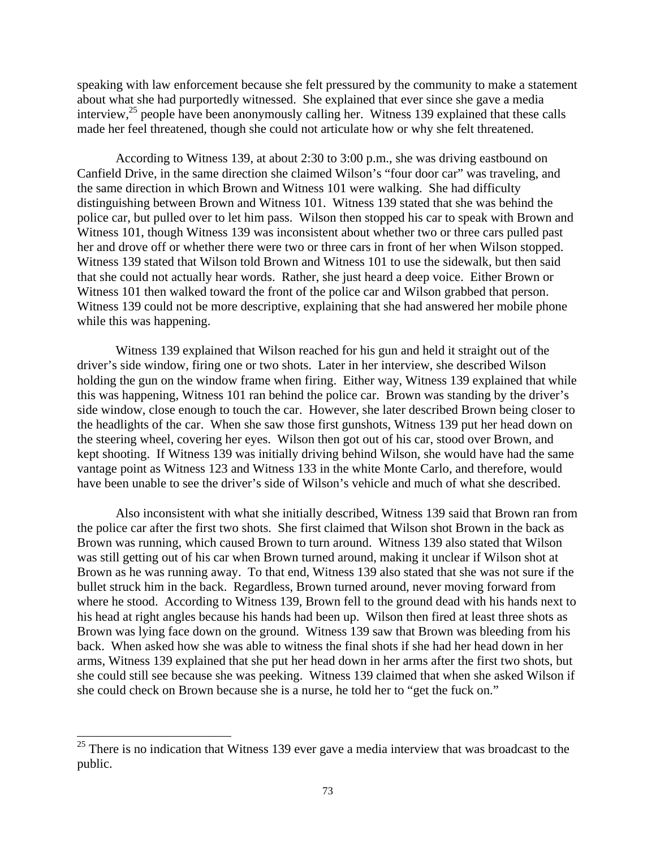speaking with law enforcement because she felt pressured by the community to make a statement about what she had purportedly witnessed. She explained that ever since she gave a media interview, $^{25}$  people have been anonymously calling her. Witness 139 explained that these calls made her feel threatened, though she could not articulate how or why she felt threatened.

According to Witness 139, at about 2:30 to 3:00 p.m., she was driving eastbound on Canfield Drive, in the same direction she claimed Wilson's "four door car" was traveling, and the same direction in which Brown and Witness 101 were walking. She had difficulty distinguishing between Brown and Witness 101. Witness 139 stated that she was behind the police car, but pulled over to let him pass. Wilson then stopped his car to speak with Brown and Witness 101, though Witness 139 was inconsistent about whether two or three cars pulled past her and drove off or whether there were two or three cars in front of her when Wilson stopped. Witness 139 stated that Wilson told Brown and Witness 101 to use the sidewalk, but then said that she could not actually hear words. Rather, she just heard a deep voice. Either Brown or Witness 101 then walked toward the front of the police car and Wilson grabbed that person. Witness 139 could not be more descriptive, explaining that she had answered her mobile phone while this was happening.

Witness 139 explained that Wilson reached for his gun and held it straight out of the driver's side window, firing one or two shots. Later in her interview, she described Wilson holding the gun on the window frame when firing. Either way, Witness 139 explained that while this was happening, Witness 101 ran behind the police car. Brown was standing by the driver's side window, close enough to touch the car. However, she later described Brown being closer to the headlights of the car. When she saw those first gunshots, Witness 139 put her head down on the steering wheel, covering her eyes. Wilson then got out of his car, stood over Brown, and kept shooting. If Witness 139 was initially driving behind Wilson, she would have had the same vantage point as Witness 123 and Witness 133 in the white Monte Carlo, and therefore, would have been unable to see the driver's side of Wilson's vehicle and much of what she described.

Also inconsistent with what she initially described, Witness 139 said that Brown ran from the police car after the first two shots. She first claimed that Wilson shot Brown in the back as Brown was running, which caused Brown to turn around. Witness 139 also stated that Wilson was still getting out of his car when Brown turned around, making it unclear if Wilson shot at Brown as he was running away. To that end, Witness 139 also stated that she was not sure if the bullet struck him in the back. Regardless, Brown turned around, never moving forward from where he stood. According to Witness 139, Brown fell to the ground dead with his hands next to his head at right angles because his hands had been up. Wilson then fired at least three shots as Brown was lying face down on the ground. Witness 139 saw that Brown was bleeding from his back. When asked how she was able to witness the final shots if she had her head down in her arms, Witness 139 explained that she put her head down in her arms after the first two shots, but she could still see because she was peeking. Witness 139 claimed that when she asked Wilson if she could check on Brown because she is a nurse, he told her to "get the fuck on."

 $\overline{\phantom{a}}$ 

 $25$  There is no indication that Witness 139 ever gave a media interview that was broadcast to the public.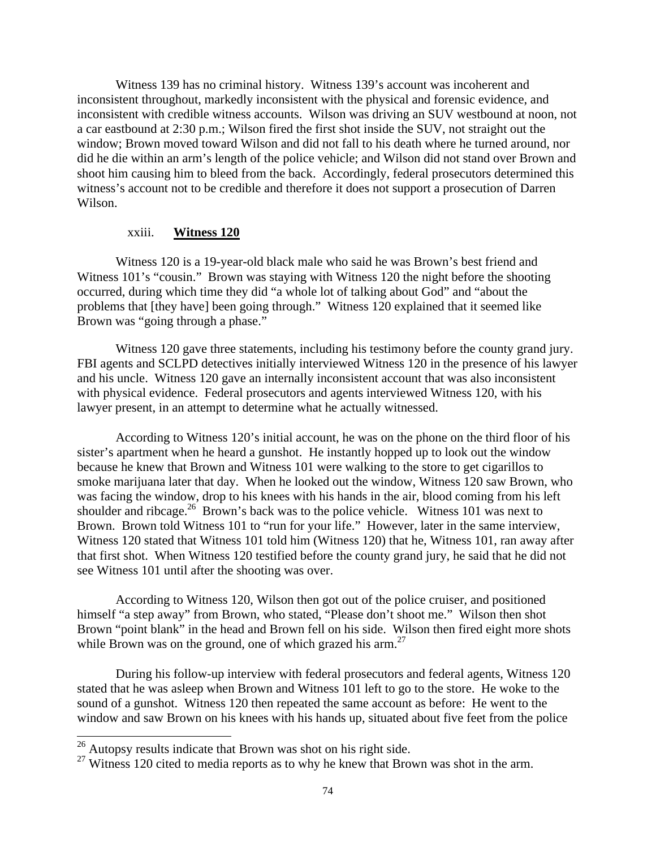Witness 139 has no criminal history. Witness 139's account was incoherent and inconsistent throughout, markedly inconsistent with the physical and forensic evidence, and inconsistent with credible witness accounts. Wilson was driving an SUV westbound at noon, not a car eastbound at 2:30 p.m.; Wilson fired the first shot inside the SUV, not straight out the window; Brown moved toward Wilson and did not fall to his death where he turned around, nor did he die within an arm's length of the police vehicle; and Wilson did not stand over Brown and shoot him causing him to bleed from the back. Accordingly, federal prosecutors determined this witness's account not to be credible and therefore it does not support a prosecution of Darren Wilson.

# xxiii. **Witness 120**

Witness 120 is a 19-year-old black male who said he was Brown's best friend and Witness 101's "cousin." Brown was staying with Witness 120 the night before the shooting occurred, during which time they did "a whole lot of talking about God" and "about the problems that [they have] been going through." Witness 120 explained that it seemed like Brown was "going through a phase."

Witness 120 gave three statements, including his testimony before the county grand jury. FBI agents and SCLPD detectives initially interviewed Witness 120 in the presence of his lawyer and his uncle. Witness 120 gave an internally inconsistent account that was also inconsistent with physical evidence. Federal prosecutors and agents interviewed Witness 120, with his lawyer present, in an attempt to determine what he actually witnessed.

According to Witness 120's initial account, he was on the phone on the third floor of his sister's apartment when he heard a gunshot. He instantly hopped up to look out the window because he knew that Brown and Witness 101 were walking to the store to get cigarillos to smoke marijuana later that day. When he looked out the window, Witness 120 saw Brown, who was facing the window, drop to his knees with his hands in the air, blood coming from his left shoulder and ribcage.<sup>26</sup> Brown's back was to the police vehicle. Witness 101 was next to Brown. Brown told Witness 101 to "run for your life." However, later in the same interview, Witness 120 stated that Witness 101 told him (Witness 120) that he, Witness 101, ran away after that first shot. When Witness 120 testified before the county grand jury, he said that he did not see Witness 101 until after the shooting was over.

According to Witness 120, Wilson then got out of the police cruiser, and positioned himself "a step away" from Brown, who stated, "Please don't shoot me." Wilson then shot Brown "point blank" in the head and Brown fell on his side. Wilson then fired eight more shots while Brown was on the ground, one of which grazed his  $arm.^{27}$ .

During his follow-up interview with federal prosecutors and federal agents, Witness 120 stated that he was asleep when Brown and Witness 101 left to go to the store. He woke to the sound of a gunshot. Witness 120 then repeated the same account as before: He went to the window and saw Brown on his knees with his hands up, situated about five feet from the police

 $\overline{\phantom{a}}$ 

 $26$  Autopsy results indicate that Brown was shot on his right side.

 $27$  Witness 120 cited to media reports as to why he knew that Brown was shot in the arm.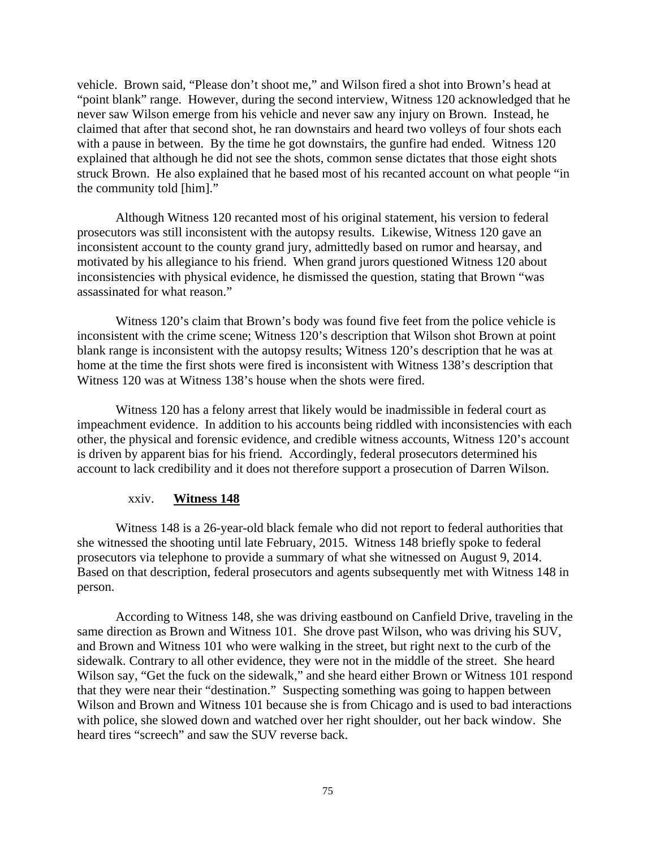vehicle. Brown said, "Please don't shoot me," and Wilson fired a shot into Brown's head at "point blank" range. However, during the second interview, Witness 120 acknowledged that he never saw Wilson emerge from his vehicle and never saw any injury on Brown. Instead, he claimed that after that second shot, he ran downstairs and heard two volleys of four shots each with a pause in between. By the time he got downstairs, the gunfire had ended. Witness 120 explained that although he did not see the shots, common sense dictates that those eight shots struck Brown. He also explained that he based most of his recanted account on what people "in the community told [him]."

Although Witness 120 recanted most of his original statement, his version to federal prosecutors was still inconsistent with the autopsy results. Likewise, Witness 120 gave an inconsistent account to the county grand jury, admittedly based on rumor and hearsay, and motivated by his allegiance to his friend. When grand jurors questioned Witness 120 about inconsistencies with physical evidence, he dismissed the question, stating that Brown "was assassinated for what reason."

Witness 120's claim that Brown's body was found five feet from the police vehicle is inconsistent with the crime scene; Witness 120's description that Wilson shot Brown at point blank range is inconsistent with the autopsy results; Witness 120's description that he was at home at the time the first shots were fired is inconsistent with Witness 138's description that Witness 120 was at Witness 138's house when the shots were fired.

Witness 120 has a felony arrest that likely would be inadmissible in federal court as impeachment evidence. In addition to his accounts being riddled with inconsistencies with each other, the physical and forensic evidence, and credible witness accounts, Witness 120's account is driven by apparent bias for his friend. Accordingly, federal prosecutors determined his account to lack credibility and it does not therefore support a prosecution of Darren Wilson.

# xxiv. **Witness 148**

Witness 148 is a 26-year-old black female who did not report to federal authorities that she witnessed the shooting until late February, 2015. Witness 148 briefly spoke to federal prosecutors via telephone to provide a summary of what she witnessed on August 9, 2014. Based on that description, federal prosecutors and agents subsequently met with Witness 148 in person.

According to Witness 148, she was driving eastbound on Canfield Drive, traveling in the same direction as Brown and Witness 101. She drove past Wilson, who was driving his SUV, and Brown and Witness 101 who were walking in the street, but right next to the curb of the sidewalk. Contrary to all other evidence, they were not in the middle of the street. She heard Wilson say, "Get the fuck on the sidewalk," and she heard either Brown or Witness 101 respond that they were near their "destination." Suspecting something was going to happen between Wilson and Brown and Witness 101 because she is from Chicago and is used to bad interactions with police, she slowed down and watched over her right shoulder, out her back window. She heard tires "screech" and saw the SUV reverse back.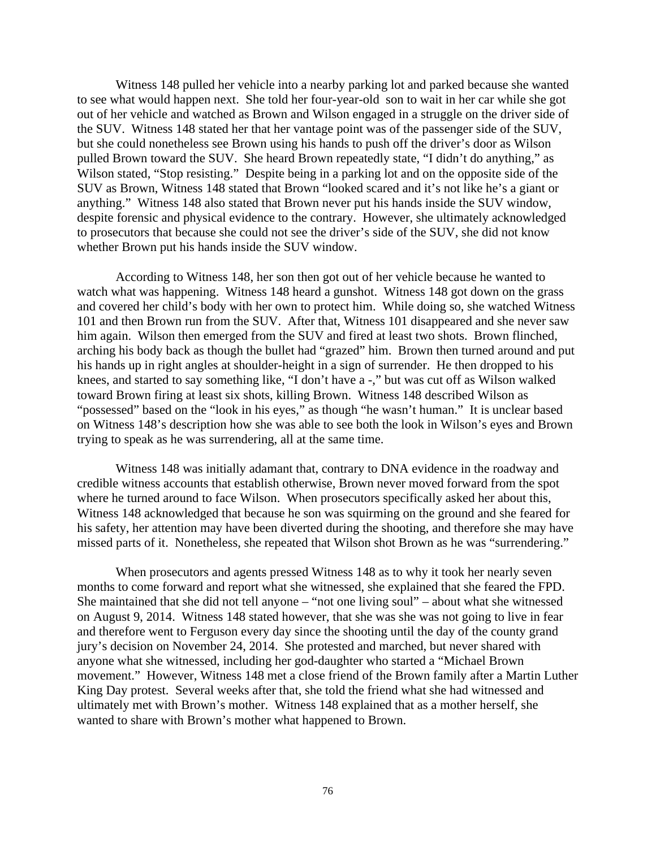Witness 148 pulled her vehicle into a nearby parking lot and parked because she wanted to see what would happen next. She told her four-year-old son to wait in her car while she got out of her vehicle and watched as Brown and Wilson engaged in a struggle on the driver side of the SUV. Witness 148 stated her that her vantage point was of the passenger side of the SUV, but she could nonetheless see Brown using his hands to push off the driver's door as Wilson pulled Brown toward the SUV. She heard Brown repeatedly state, "I didn't do anything," as Wilson stated, "Stop resisting." Despite being in a parking lot and on the opposite side of the SUV as Brown, Witness 148 stated that Brown "looked scared and it's not like he's a giant or anything." Witness 148 also stated that Brown never put his hands inside the SUV window, despite forensic and physical evidence to the contrary. However, she ultimately acknowledged to prosecutors that because she could not see the driver's side of the SUV, she did not know whether Brown put his hands inside the SUV window.

According to Witness 148, her son then got out of her vehicle because he wanted to watch what was happening. Witness 148 heard a gunshot. Witness 148 got down on the grass and covered her child's body with her own to protect him. While doing so, she watched Witness 101 and then Brown run from the SUV. After that, Witness 101 disappeared and she never saw him again. Wilson then emerged from the SUV and fired at least two shots. Brown flinched, arching his body back as though the bullet had "grazed" him. Brown then turned around and put his hands up in right angles at shoulder-height in a sign of surrender. He then dropped to his knees, and started to say something like, "I don't have a -," but was cut off as Wilson walked toward Brown firing at least six shots, killing Brown. Witness 148 described Wilson as "possessed" based on the "look in his eyes," as though "he wasn't human." It is unclear based on Witness 148's description how she was able to see both the look in Wilson's eyes and Brown trying to speak as he was surrendering, all at the same time.

Witness 148 was initially adamant that, contrary to DNA evidence in the roadway and credible witness accounts that establish otherwise, Brown never moved forward from the spot where he turned around to face Wilson. When prosecutors specifically asked her about this, Witness 148 acknowledged that because he son was squirming on the ground and she feared for his safety, her attention may have been diverted during the shooting, and therefore she may have missed parts of it. Nonetheless, she repeated that Wilson shot Brown as he was "surrendering."

When prosecutors and agents pressed Witness 148 as to why it took her nearly seven months to come forward and report what she witnessed, she explained that she feared the FPD. She maintained that she did not tell anyone – "not one living soul" – about what she witnessed on August 9, 2014. Witness 148 stated however, that she was she was not going to live in fear and therefore went to Ferguson every day since the shooting until the day of the county grand jury's decision on November 24, 2014. She protested and marched, but never shared with anyone what she witnessed, including her god-daughter who started a "Michael Brown movement." However, Witness 148 met a close friend of the Brown family after a Martin Luther King Day protest. Several weeks after that, she told the friend what she had witnessed and ultimately met with Brown's mother. Witness 148 explained that as a mother herself, she wanted to share with Brown's mother what happened to Brown.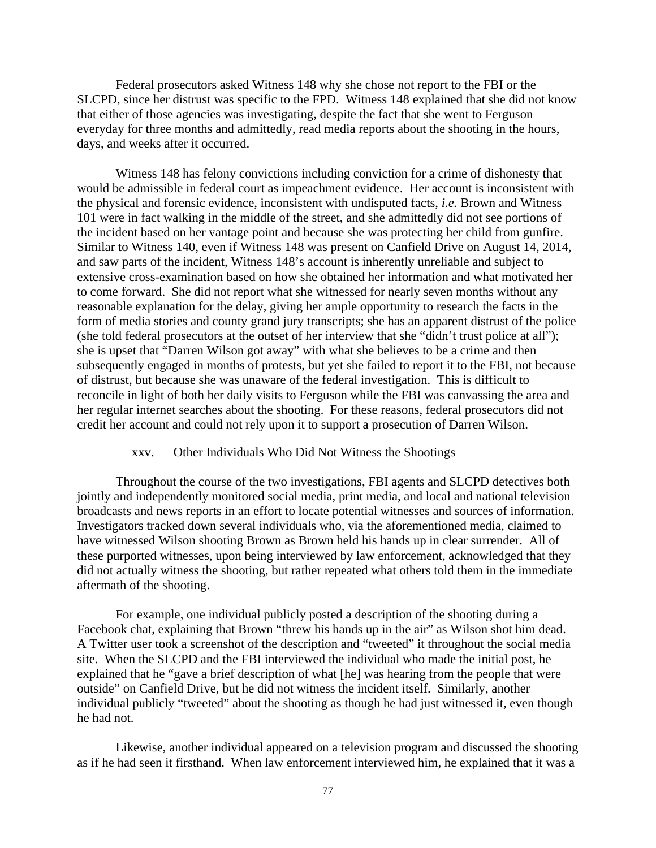Federal prosecutors asked Witness 148 why she chose not report to the FBI or the SLCPD, since her distrust was specific to the FPD. Witness 148 explained that she did not know that either of those agencies was investigating, despite the fact that she went to Ferguson everyday for three months and admittedly, read media reports about the shooting in the hours, days, and weeks after it occurred.

Witness 148 has felony convictions including conviction for a crime of dishonesty that would be admissible in federal court as impeachment evidence. Her account is inconsistent with the physical and forensic evidence, inconsistent with undisputed facts, *i.e.* Brown and Witness 101 were in fact walking in the middle of the street, and she admittedly did not see portions of the incident based on her vantage point and because she was protecting her child from gunfire. Similar to Witness 140, even if Witness 148 was present on Canfield Drive on August 14, 2014, and saw parts of the incident, Witness 148's account is inherently unreliable and subject to extensive cross-examination based on how she obtained her information and what motivated her to come forward. She did not report what she witnessed for nearly seven months without any reasonable explanation for the delay, giving her ample opportunity to research the facts in the form of media stories and county grand jury transcripts; she has an apparent distrust of the police (she told federal prosecutors at the outset of her interview that she "didn't trust police at all"); she is upset that "Darren Wilson got away" with what she believes to be a crime and then subsequently engaged in months of protests, but yet she failed to report it to the FBI, not because of distrust, but because she was unaware of the federal investigation. This is difficult to reconcile in light of both her daily visits to Ferguson while the FBI was canvassing the area and her regular internet searches about the shooting. For these reasons, federal prosecutors did not credit her account and could not rely upon it to support a prosecution of Darren Wilson.

#### xxv. Other Individuals Who Did Not Witness the Shootings

Throughout the course of the two investigations, FBI agents and SLCPD detectives both jointly and independently monitored social media, print media, and local and national television broadcasts and news reports in an effort to locate potential witnesses and sources of information. Investigators tracked down several individuals who, via the aforementioned media, claimed to have witnessed Wilson shooting Brown as Brown held his hands up in clear surrender. All of these purported witnesses, upon being interviewed by law enforcement, acknowledged that they did not actually witness the shooting, but rather repeated what others told them in the immediate aftermath of the shooting.

For example, one individual publicly posted a description of the shooting during a Facebook chat, explaining that Brown "threw his hands up in the air" as Wilson shot him dead. A Twitter user took a screenshot of the description and "tweeted" it throughout the social media site. When the SLCPD and the FBI interviewed the individual who made the initial post, he explained that he "gave a brief description of what [he] was hearing from the people that were outside" on Canfield Drive, but he did not witness the incident itself. Similarly, another individual publicly "tweeted" about the shooting as though he had just witnessed it, even though he had not.

Likewise, another individual appeared on a television program and discussed the shooting as if he had seen it firsthand. When law enforcement interviewed him, he explained that it was a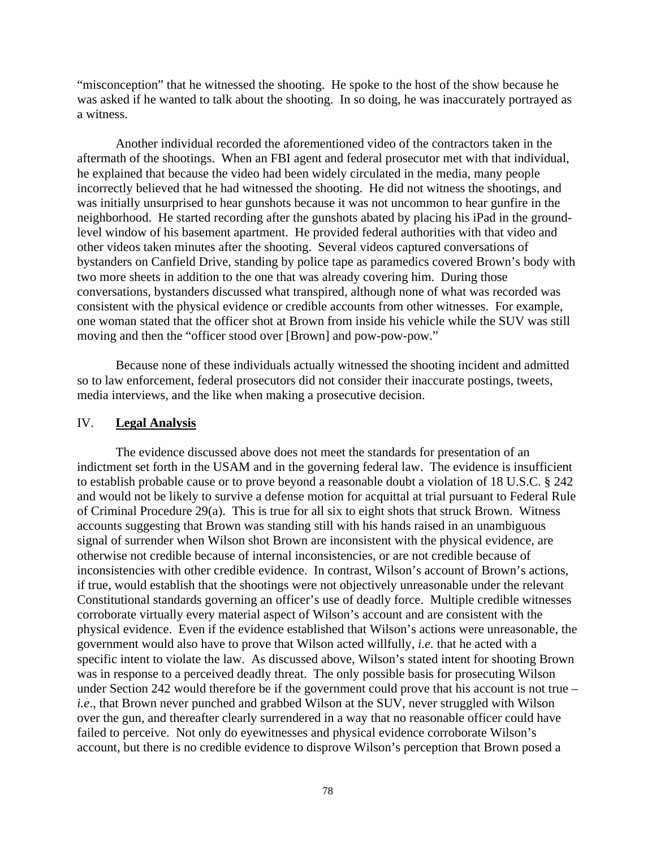"misconception" that he witnessed the shooting. He spoke to the host of the show because he was asked if he wanted to talk about the shooting. In so doing, he was inaccurately portrayed as a witness.

Another individual recorded the aforementioned video of the contractors taken in the aftermath of the shootings. When an FBI agent and federal prosecutor met with that individual, he explained that because the video had been widely circulated in the media, many people incorrectly believed that he had witnessed the shooting. He did not witness the shootings, and was initially unsurprised to hear gunshots because it was not uncommon to hear gunfire in the neighborhood. He started recording after the gunshots abated by placing his iPad in the groundlevel window of his basement apartment. He provided federal authorities with that video and other videos taken minutes after the shooting. Several videos captured conversations of bystanders on Canfield Drive, standing by police tape as paramedics covered Brown's body with two more sheets in addition to the one that was already covering him. During those conversations, bystanders discussed what transpired, although none of what was recorded was consistent with the physical evidence or credible accounts from other witnesses. For example, one woman stated that the officer shot at Brown from inside his vehicle while the SUV was still moving and then the "officer stood over [Brown] and pow-pow-pow."

Because none of these individuals actually witnessed the shooting incident and admitted so to law enforcement, federal prosecutors did not consider their inaccurate postings, tweets, media interviews, and the like when making a prosecutive decision.

# IV. **Legal Analysis**

The evidence discussed above does not meet the standards for presentation of an indictment set forth in the USAM and in the governing federal law. The evidence is insufficient to establish probable cause or to prove beyond a reasonable doubt a violation of 18 U.S.C. § 242 and would not be likely to survive a defense motion for acquittal at trial pursuant to Federal Rule of Criminal Procedure 29(a). This is true for all six to eight shots that struck Brown. Witness accounts suggesting that Brown was standing still with his hands raised in an unambiguous signal of surrender when Wilson shot Brown are inconsistent with the physical evidence, are otherwise not credible because of internal inconsistencies, or are not credible because of inconsistencies with other credible evidence. In contrast, Wilson's account of Brown's actions, if true, would establish that the shootings were not objectively unreasonable under the relevant Constitutional standards governing an officer's use of deadly force. Multiple credible witnesses corroborate virtually every material aspect of Wilson's account and are consistent with the physical evidence. Even if the evidence established that Wilson's actions were unreasonable, the government would also have to prove that Wilson acted willfully, *i.e.* that he acted with a specific intent to violate the law. As discussed above, Wilson's stated intent for shooting Brown was in response to a perceived deadly threat. The only possible basis for prosecuting Wilson under Section 242 would therefore be if the government could prove that his account is not true – *i.e*., that Brown never punched and grabbed Wilson at the SUV, never struggled with Wilson over the gun, and thereafter clearly surrendered in a way that no reasonable officer could have failed to perceive. Not only do eyewitnesses and physical evidence corroborate Wilson's account, but there is no credible evidence to disprove Wilson's perception that Brown posed a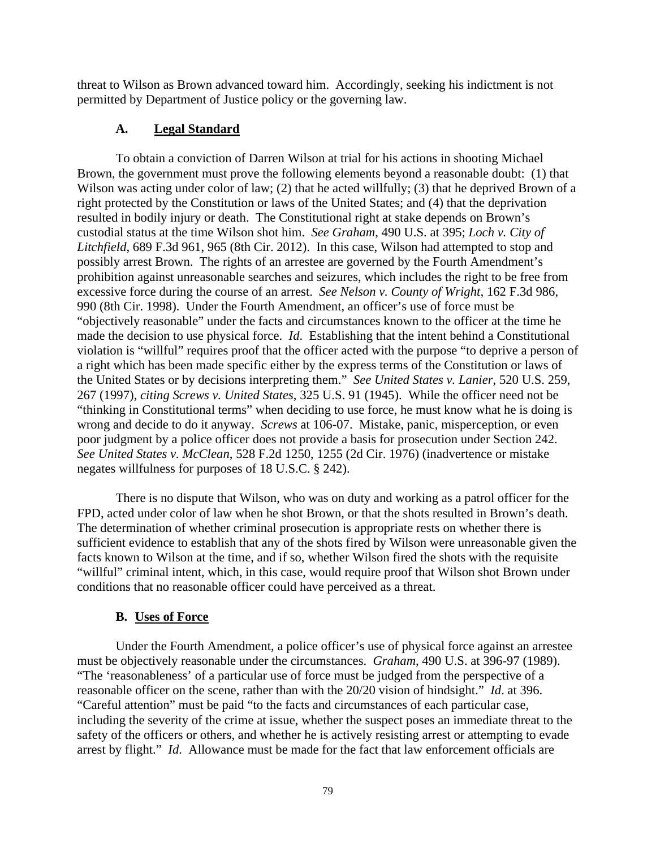threat to Wilson as Brown advanced toward him. Accordingly, seeking his indictment is not permitted by Department of Justice policy or the governing law.

# **A. Legal Standard**

To obtain a conviction of Darren Wilson at trial for his actions in shooting Michael Brown, the government must prove the following elements beyond a reasonable doubt: (1) that Wilson was acting under color of law; (2) that he acted willfully; (3) that he deprived Brown of a right protected by the Constitution or laws of the United States; and (4) that the deprivation resulted in bodily injury or death. The Constitutional right at stake depends on Brown's custodial status at the time Wilson shot him. *See Graham*, 490 U.S. at 395; *Loch v. City of Litchfield*, 689 F.3d 961, 965 (8th Cir. 2012). In this case, Wilson had attempted to stop and possibly arrest Brown. The rights of an arrestee are governed by the Fourth Amendment's prohibition against unreasonable searches and seizures, which includes the right to be free from excessive force during the course of an arrest. *See Nelson v. County of Wright*, 162 F.3d 986, 990 (8th Cir. 1998). Under the Fourth Amendment, an officer's use of force must be "objectively reasonable" under the facts and circumstances known to the officer at the time he made the decision to use physical force. *Id*. Establishing that the intent behind a Constitutional violation is "willful" requires proof that the officer acted with the purpose "to deprive a person of a right which has been made specific either by the express terms of the Constitution or laws of the United States or by decisions interpreting them." *See United States v. Lanier*, 520 U.S. 259, 267 (1997), *citing Screws v. United States*, 325 U.S. 91 (1945). While the officer need not be "thinking in Constitutional terms" when deciding to use force, he must know what he is doing is wrong and decide to do it anyway. *Screws* at 106-07. Mistake, panic, misperception, or even poor judgment by a police officer does not provide a basis for prosecution under Section 242. *See United States v. McClean*, 528 F.2d 1250, 1255 (2d Cir. 1976) (inadvertence or mistake negates willfulness for purposes of 18 U.S.C. § 242).

There is no dispute that Wilson, who was on duty and working as a patrol officer for the FPD, acted under color of law when he shot Brown, or that the shots resulted in Brown's death. The determination of whether criminal prosecution is appropriate rests on whether there is sufficient evidence to establish that any of the shots fired by Wilson were unreasonable given the facts known to Wilson at the time, and if so, whether Wilson fired the shots with the requisite "willful" criminal intent, which, in this case, would require proof that Wilson shot Brown under conditions that no reasonable officer could have perceived as a threat.

# **B. Uses of Force**

Under the Fourth Amendment, a police officer's use of physical force against an arrestee must be objectively reasonable under the circumstances. *Graham*, 490 U.S. at 396-97 (1989). "The 'reasonableness' of a particular use of force must be judged from the perspective of a reasonable officer on the scene, rather than with the 20/20 vision of hindsight." *Id*. at 396. "Careful attention" must be paid "to the facts and circumstances of each particular case, including the severity of the crime at issue, whether the suspect poses an immediate threat to the safety of the officers or others, and whether he is actively resisting arrest or attempting to evade arrest by flight." *Id*. Allowance must be made for the fact that law enforcement officials are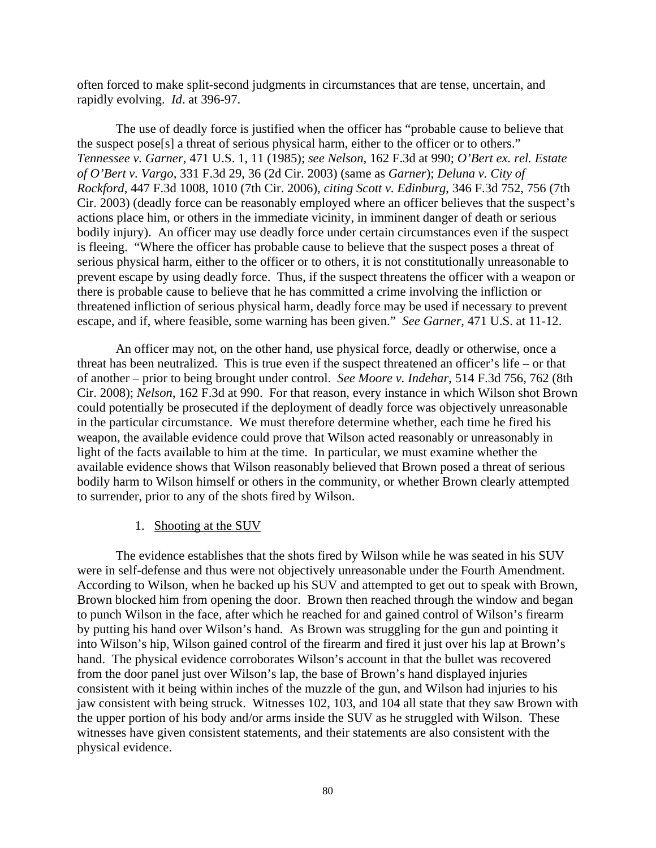often forced to make split-second judgments in circumstances that are tense, uncertain, and rapidly evolving. *Id*. at 396-97.

The use of deadly force is justified when the officer has "probable cause to believe that the suspect pose[s] a threat of serious physical harm, either to the officer or to others." *Tennessee v. Garner*, 471 U.S. 1, 11 (1985); *see Nelson*, 162 F.3d at 990; *O'Bert ex. rel. Estate of O'Bert v. Vargo*, 331 F.3d 29, 36 (2d Cir. 2003) (same as *Garner*); *Deluna v. City of Rockford*, 447 F.3d 1008, 1010 (7th Cir. 2006), *citing Scott v. Edinburg*, 346 F.3d 752, 756 (7th Cir. 2003) (deadly force can be reasonably employed where an officer believes that the suspect's actions place him, or others in the immediate vicinity, in imminent danger of death or serious bodily injury). An officer may use deadly force under certain circumstances even if the suspect is fleeing. "Where the officer has probable cause to believe that the suspect poses a threat of serious physical harm, either to the officer or to others, it is not constitutionally unreasonable to prevent escape by using deadly force. Thus, if the suspect threatens the officer with a weapon or there is probable cause to believe that he has committed a crime involving the infliction or threatened infliction of serious physical harm, deadly force may be used if necessary to prevent escape, and if, where feasible, some warning has been given." *See Garner*, 471 U.S. at 11-12.

An officer may not, on the other hand, use physical force, deadly or otherwise, once a threat has been neutralized. This is true even if the suspect threatened an officer's life – or that of another – prior to being brought under control. *See Moore v. Indehar*, 514 F.3d 756, 762 (8th Cir. 2008); *Nelson*, 162 F.3d at 990. For that reason, every instance in which Wilson shot Brown could potentially be prosecuted if the deployment of deadly force was objectively unreasonable in the particular circumstance. We must therefore determine whether, each time he fired his weapon, the available evidence could prove that Wilson acted reasonably or unreasonably in light of the facts available to him at the time. In particular, we must examine whether the available evidence shows that Wilson reasonably believed that Brown posed a threat of serious bodily harm to Wilson himself or others in the community, or whether Brown clearly attempted to surrender, prior to any of the shots fired by Wilson.

#### 1. Shooting at the SUV

were in self-defense and thus were not objectively unreasonable under the Fourth Amendment. The evidence establishes that the shots fired by Wilson while he was seated in his SUV According to Wilson, when he backed up his SUV and attempted to get out to speak with Brown, Brown blocked him from opening the door. Brown then reached through the window and began to punch Wilson in the face, after which he reached for and gained control of Wilson's firearm by putting his hand over Wilson's hand. As Brown was struggling for the gun and pointing it into Wilson's hip, Wilson gained control of the firearm and fired it just over his lap at Brown's hand. The physical evidence corroborates Wilson's account in that the bullet was recovered from the door panel just over Wilson's lap, the base of Brown's hand displayed injuries consistent with it being within inches of the muzzle of the gun, and Wilson had injuries to his jaw consistent with being struck. Witnesses 102, 103, and 104 all state that they saw Brown with the upper portion of his body and/or arms inside the SUV as he struggled with Wilson. These witnesses have given consistent statements, and their statements are also consistent with the physical evidence.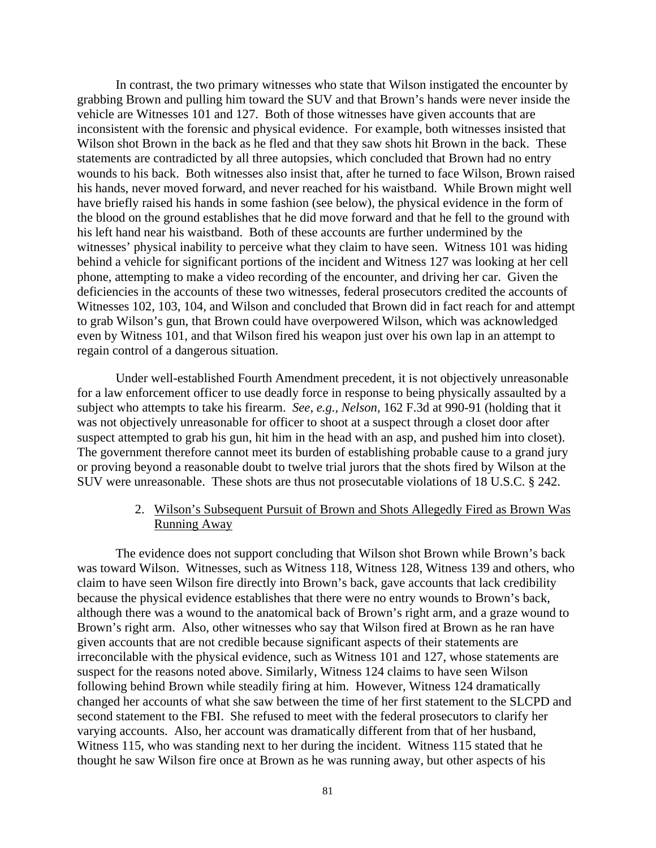In contrast, the two primary witnesses who state that Wilson instigated the encounter by grabbing Brown and pulling him toward the SUV and that Brown's hands were never inside the vehicle are Witnesses 101 and 127. Both of those witnesses have given accounts that are inconsistent with the forensic and physical evidence. For example, both witnesses insisted that Wilson shot Brown in the back as he fled and that they saw shots hit Brown in the back. These statements are contradicted by all three autopsies, which concluded that Brown had no entry wounds to his back. Both witnesses also insist that, after he turned to face Wilson, Brown raised his hands, never moved forward, and never reached for his waistband. While Brown might well have briefly raised his hands in some fashion (see below), the physical evidence in the form of the blood on the ground establishes that he did move forward and that he fell to the ground with his left hand near his waistband. Both of these accounts are further undermined by the witnesses' physical inability to perceive what they claim to have seen. Witness 101 was hiding behind a vehicle for significant portions of the incident and Witness 127 was looking at her cell phone, attempting to make a video recording of the encounter, and driving her car. Given the deficiencies in the accounts of these two witnesses, federal prosecutors credited the accounts of Witnesses 102, 103, 104, and Wilson and concluded that Brown did in fact reach for and attempt to grab Wilson's gun, that Brown could have overpowered Wilson, which was acknowledged even by Witness 101, and that Wilson fired his weapon just over his own lap in an attempt to regain control of a dangerous situation.

 Under well-established Fourth Amendment precedent, it is not objectively unreasonable for a law enforcement officer to use deadly force in response to being physically assaulted by a subject who attempts to take his firearm. *See, e.g., Nelson,* 162 F.3d at 990-91 (holding that it was not objectively unreasonable for officer to shoot at a suspect through a closet door after suspect attempted to grab his gun, hit him in the head with an asp, and pushed him into closet). The government therefore cannot meet its burden of establishing probable cause to a grand jury or proving beyond a reasonable doubt to twelve trial jurors that the shots fired by Wilson at the SUV were unreasonable. These shots are thus not prosecutable violations of 18 U.S.C. § 242.

# 2. Wilson's Subsequent Pursuit of Brown and Shots Allegedly Fired as Brown Was Running Away

The evidence does not support concluding that Wilson shot Brown while Brown's back was toward Wilson. Witnesses, such as Witness 118, Witness 128, Witness 139 and others, who claim to have seen Wilson fire directly into Brown's back, gave accounts that lack credibility because the physical evidence establishes that there were no entry wounds to Brown's back, although there was a wound to the anatomical back of Brown's right arm, and a graze wound to Brown's right arm. Also, other witnesses who say that Wilson fired at Brown as he ran have given accounts that are not credible because significant aspects of their statements are irreconcilable with the physical evidence, such as Witness 101 and 127, whose statements are suspect for the reasons noted above. Similarly, Witness 124 claims to have seen Wilson following behind Brown while steadily firing at him. However, Witness 124 dramatically changed her accounts of what she saw between the time of her first statement to the SLCPD and second statement to the FBI. She refused to meet with the federal prosecutors to clarify her varying accounts. Also, her account was dramatically different from that of her husband, Witness 115, who was standing next to her during the incident. Witness 115 stated that he thought he saw Wilson fire once at Brown as he was running away, but other aspects of his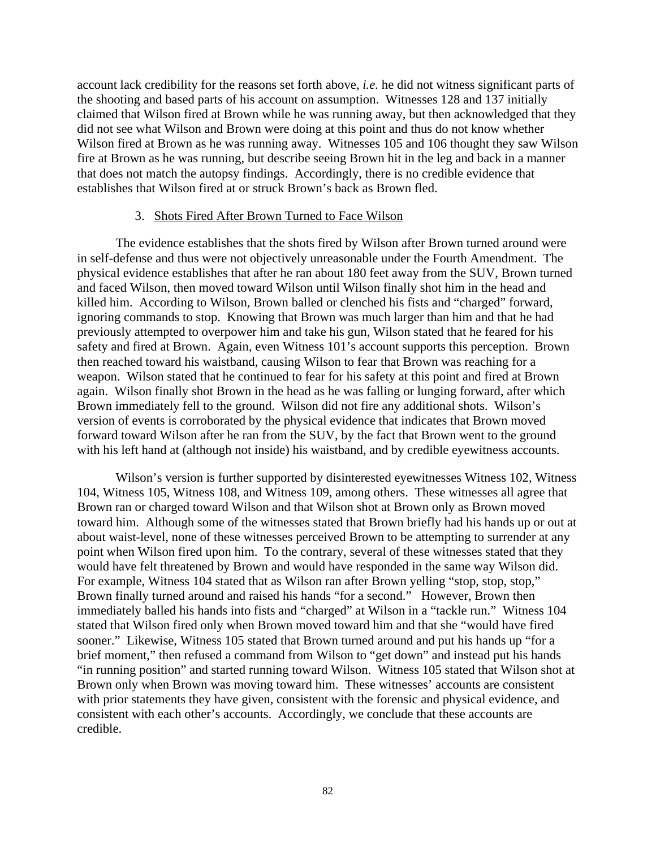account lack credibility for the reasons set forth above, *i.e.* he did not witness significant parts of the shooting and based parts of his account on assumption. Witnesses 128 and 137 initially claimed that Wilson fired at Brown while he was running away, but then acknowledged that they did not see what Wilson and Brown were doing at this point and thus do not know whether Wilson fired at Brown as he was running away. Witnesses 105 and 106 thought they saw Wilson fire at Brown as he was running, but describe seeing Brown hit in the leg and back in a manner that does not match the autopsy findings. Accordingly, there is no credible evidence that establishes that Wilson fired at or struck Brown's back as Brown fled.

#### 3. Shots Fired After Brown Turned to Face Wilson

 in self-defense and thus were not objectively unreasonable under the Fourth Amendment. The The evidence establishes that the shots fired by Wilson after Brown turned around were physical evidence establishes that after he ran about 180 feet away from the SUV, Brown turned and faced Wilson, then moved toward Wilson until Wilson finally shot him in the head and killed him. According to Wilson, Brown balled or clenched his fists and "charged" forward, ignoring commands to stop. Knowing that Brown was much larger than him and that he had previously attempted to overpower him and take his gun, Wilson stated that he feared for his safety and fired at Brown. Again, even Witness 101's account supports this perception. Brown then reached toward his waistband, causing Wilson to fear that Brown was reaching for a weapon. Wilson stated that he continued to fear for his safety at this point and fired at Brown again. Wilson finally shot Brown in the head as he was falling or lunging forward, after which Brown immediately fell to the ground. Wilson did not fire any additional shots. Wilson's version of events is corroborated by the physical evidence that indicates that Brown moved forward toward Wilson after he ran from the SUV, by the fact that Brown went to the ground with his left hand at (although not inside) his waistband, and by credible eyewitness accounts.

Wilson's version is further supported by disinterested eyewitnesses Witness 102, Witness 104, Witness 105, Witness 108, and Witness 109, among others. These witnesses all agree that Brown ran or charged toward Wilson and that Wilson shot at Brown only as Brown moved toward him. Although some of the witnesses stated that Brown briefly had his hands up or out at about waist-level, none of these witnesses perceived Brown to be attempting to surrender at any point when Wilson fired upon him. To the contrary, several of these witnesses stated that they would have felt threatened by Brown and would have responded in the same way Wilson did. For example, Witness 104 stated that as Wilson ran after Brown yelling "stop, stop, stop," Brown finally turned around and raised his hands "for a second." However, Brown then immediately balled his hands into fists and "charged" at Wilson in a "tackle run." Witness 104 stated that Wilson fired only when Brown moved toward him and that she "would have fired sooner." Likewise, Witness 105 stated that Brown turned around and put his hands up "for a brief moment," then refused a command from Wilson to "get down" and instead put his hands "in running position" and started running toward Wilson. Witness 105 stated that Wilson shot at Brown only when Brown was moving toward him. These witnesses' accounts are consistent with prior statements they have given, consistent with the forensic and physical evidence, and consistent with each other's accounts. Accordingly, we conclude that these accounts are credible.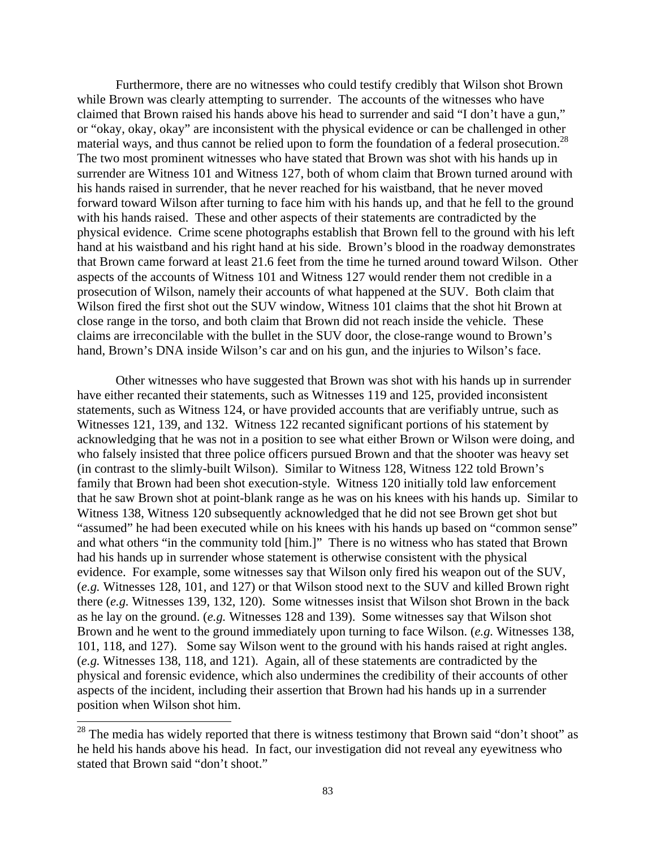material ways, and thus cannot be relied upon to form the foundation of a federal prosecution.<sup>28</sup> Furthermore, there are no witnesses who could testify credibly that Wilson shot Brown while Brown was clearly attempting to surrender. The accounts of the witnesses who have claimed that Brown raised his hands above his head to surrender and said "I don't have a gun," or "okay, okay, okay" are inconsistent with the physical evidence or can be challenged in other The two most prominent witnesses who have stated that Brown was shot with his hands up in surrender are Witness 101 and Witness 127, both of whom claim that Brown turned around with his hands raised in surrender, that he never reached for his waistband, that he never moved forward toward Wilson after turning to face him with his hands up, and that he fell to the ground with his hands raised. These and other aspects of their statements are contradicted by the physical evidence. Crime scene photographs establish that Brown fell to the ground with his left hand at his waistband and his right hand at his side. Brown's blood in the roadway demonstrates that Brown came forward at least 21.6 feet from the time he turned around toward Wilson. Other aspects of the accounts of Witness 101 and Witness 127 would render them not credible in a prosecution of Wilson, namely their accounts of what happened at the SUV. Both claim that Wilson fired the first shot out the SUV window, Witness 101 claims that the shot hit Brown at close range in the torso, and both claim that Brown did not reach inside the vehicle. These claims are irreconcilable with the bullet in the SUV door, the close-range wound to Brown's hand, Brown's DNA inside Wilson's car and on his gun, and the injuries to Wilson's face.

Other witnesses who have suggested that Brown was shot with his hands up in surrender have either recanted their statements, such as Witnesses 119 and 125, provided inconsistent statements, such as Witness 124, or have provided accounts that are verifiably untrue, such as Witnesses 121, 139, and 132. Witness 122 recanted significant portions of his statement by acknowledging that he was not in a position to see what either Brown or Wilson were doing, and who falsely insisted that three police officers pursued Brown and that the shooter was heavy set (in contrast to the slimly-built Wilson). Similar to Witness 128, Witness 122 told Brown's family that Brown had been shot execution-style. Witness 120 initially told law enforcement that he saw Brown shot at point-blank range as he was on his knees with his hands up. Similar to Witness 138, Witness 120 subsequently acknowledged that he did not see Brown get shot but "assumed" he had been executed while on his knees with his hands up based on "common sense" and what others "in the community told [him.]" There is no witness who has stated that Brown had his hands up in surrender whose statement is otherwise consistent with the physical evidence. For example, some witnesses say that Wilson only fired his weapon out of the SUV, (*e.g.* Witnesses 128, 101, and 127) or that Wilson stood next to the SUV and killed Brown right there (*e.g.* Witnesses 139, 132, 120). Some witnesses insist that Wilson shot Brown in the back as he lay on the ground. (*e.g.* Witnesses 128 and 139). Some witnesses say that Wilson shot Brown and he went to the ground immediately upon turning to face Wilson. (*e.g.* Witnesses 138, 101, 118, and 127). Some say Wilson went to the ground with his hands raised at right angles. (*e.g.* Witnesses 138, 118, and 121). Again, all of these statements are contradicted by the physical and forensic evidence, which also undermines the credibility of their accounts of other aspects of the incident, including their assertion that Brown had his hands up in a surrender position when Wilson shot him.

 $\overline{\phantom{a}}$ 

 $28$  The media has widely reported that there is witness testimony that Brown said "don't shoot" as he held his hands above his head. In fact, our investigation did not reveal any eyewitness who stated that Brown said "don't shoot."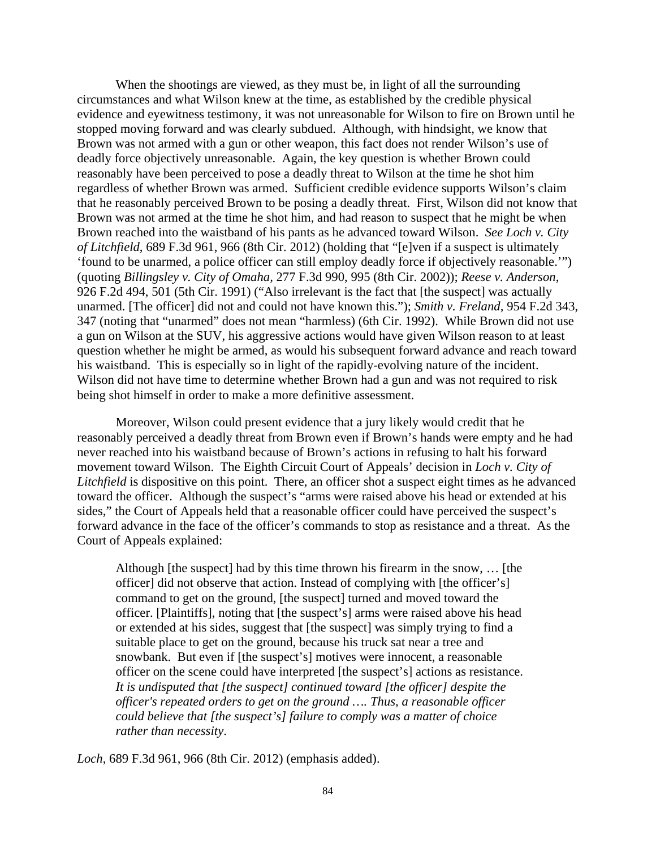When the shootings are viewed, as they must be, in light of all the surrounding circumstances and what Wilson knew at the time, as established by the credible physical evidence and eyewitness testimony, it was not unreasonable for Wilson to fire on Brown until he stopped moving forward and was clearly subdued. Although, with hindsight, we know that Brown was not armed with a gun or other weapon, this fact does not render Wilson's use of deadly force objectively unreasonable. Again, the key question is whether Brown could reasonably have been perceived to pose a deadly threat to Wilson at the time he shot him regardless of whether Brown was armed. Sufficient credible evidence supports Wilson's claim that he reasonably perceived Brown to be posing a deadly threat. First, Wilson did not know that Brown was not armed at the time he shot him, and had reason to suspect that he might be when Brown reached into the waistband of his pants as he advanced toward Wilson. *See Loch v. City of Litchfield*, 689 F.3d 961, 966 (8th Cir. 2012) (holding that "[e]ven if a suspect is ultimately 'found to be unarmed, a police officer can still employ deadly force if objectively reasonable.'") (quoting *Billingsley v. City of Omaha,* 277 F.3d 990, 995 (8th Cir. 2002)); *Reese v. Anderson*, 926 F.2d 494, 501 (5th Cir. 1991) ("Also irrelevant is the fact that [the suspect] was actually unarmed. [The officer] did not and could not have known this."); *Smith v. Freland,* 954 F.2d 343, 347 (noting that "unarmed" does not mean "harmless) (6th Cir. 1992). While Brown did not use a gun on Wilson at the SUV, his aggressive actions would have given Wilson reason to at least question whether he might be armed, as would his subsequent forward advance and reach toward his waistband. This is especially so in light of the rapidly-evolving nature of the incident. Wilson did not have time to determine whether Brown had a gun and was not required to risk being shot himself in order to make a more definitive assessment.

Moreover, Wilson could present evidence that a jury likely would credit that he reasonably perceived a deadly threat from Brown even if Brown's hands were empty and he had never reached into his waistband because of Brown's actions in refusing to halt his forward movement toward Wilson. The Eighth Circuit Court of Appeals' decision in *Loch v. City of Litchfield* is dispositive on this point. There, an officer shot a suspect eight times as he advanced toward the officer. Although the suspect's "arms were raised above his head or extended at his sides," the Court of Appeals held that a reasonable officer could have perceived the suspect's forward advance in the face of the officer's commands to stop as resistance and a threat. As the Court of Appeals explained:

Although [the suspect] had by this time thrown his firearm in the snow, … [the officer] did not observe that action. Instead of complying with [the officer's] command to get on the ground, [the suspect] turned and moved toward the officer. [Plaintiffs], noting that [the suspect's] arms were raised above his head or extended at his sides, suggest that [the suspect] was simply trying to find a suitable place to get on the ground, because his truck sat near a tree and snowbank. But even if [the suspect's] motives were innocent, a reasonable officer on the scene could have interpreted [the suspect's] actions as resistance. *It is undisputed that [the suspect] continued toward [the officer] despite the officer's repeated orders to get on the ground …. Thus, a reasonable officer could believe that [the suspect's] failure to comply was a matter of choice rather than necessity*.

*Loch*, 689 F.3d 961, 966 (8th Cir. 2012) (emphasis added).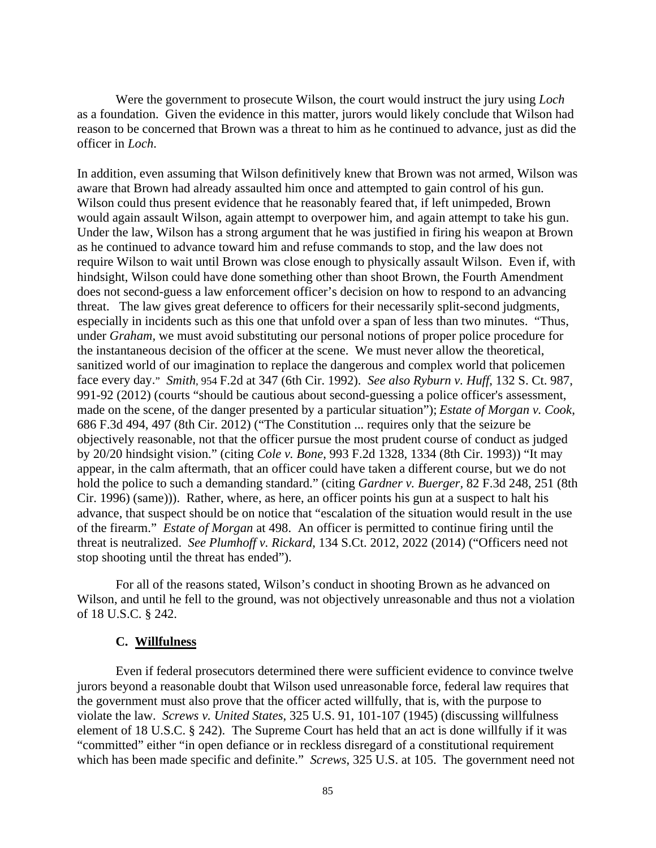Were the government to prosecute Wilson, the court would instruct the jury using *Loch*  as a foundation. Given the evidence in this matter, jurors would likely conclude that Wilson had reason to be concerned that Brown was a threat to him as he continued to advance, just as did the officer in *Loch*.

 face every day." *Smith*, 954 F.2d at 347 (6th Cir. 1992). *See also Ryburn v. Huff*, 132 S. Ct. 987, In addition, even assuming that Wilson definitively knew that Brown was not armed, Wilson was aware that Brown had already assaulted him once and attempted to gain control of his gun. Wilson could thus present evidence that he reasonably feared that, if left unimpeded, Brown would again assault Wilson, again attempt to overpower him, and again attempt to take his gun. Under the law, Wilson has a strong argument that he was justified in firing his weapon at Brown as he continued to advance toward him and refuse commands to stop, and the law does not require Wilson to wait until Brown was close enough to physically assault Wilson. Even if, with hindsight, Wilson could have done something other than shoot Brown, the Fourth Amendment does not second-guess a law enforcement officer's decision on how to respond to an advancing threat. The law gives great deference to officers for their necessarily split-second judgments, especially in incidents such as this one that unfold over a span of less than two minutes. "Thus, under *Graham,* we must avoid substituting our personal notions of proper police procedure for the instantaneous decision of the officer at the scene. We must never allow the theoretical, sanitized world of our imagination to replace the dangerous and complex world that policemen 991-92 (2012) (courts "should be cautious about second-guessing a police officer's assessment, made on the scene, of the danger presented by a particular situation"); *Estate of Morgan v. Cook*, 686 F.3d 494, 497 (8th Cir. 2012) ("The Constitution ... requires only that the seizure be objectively reasonable, not that the officer pursue the most prudent course of conduct as judged by 20/20 hindsight vision." (citing *Cole v. Bone*, 993 F.2d 1328, 1334 (8th Cir. 1993)) "It may appear, in the calm aftermath, that an officer could have taken a different course, but we do not hold the police to such a demanding standard." (citing *Gardner v. Buerger,* 82 F.3d 248, 251 (8th Cir. 1996) (same))). Rather, where, as here, an officer points his gun at a suspect to halt his advance, that suspect should be on notice that "escalation of the situation would result in the use of the firearm." *Estate of Morgan* at 498. An officer is permitted to continue firing until the threat is neutralized. *See Plumhoff v. Rickard*, 134 S.Ct. 2012, 2022 (2014) ("Officers need not stop shooting until the threat has ended").

For all of the reasons stated, Wilson's conduct in shooting Brown as he advanced on Wilson, and until he fell to the ground, was not objectively unreasonable and thus not a violation of 18 U.S.C. § 242.

# **C. Willfulness**

Even if federal prosecutors determined there were sufficient evidence to convince twelve jurors beyond a reasonable doubt that Wilson used unreasonable force, federal law requires that the government must also prove that the officer acted willfully, that is, with the purpose to violate the law. *Screws v. United States*, 325 U.S. 91, 101-107 (1945) (discussing willfulness element of 18 U.S.C. § 242). The Supreme Court has held that an act is done willfully if it was "committed" either "in open defiance or in reckless disregard of a constitutional requirement which has been made specific and definite." *Screws*, 325 U.S. at 105. The government need not